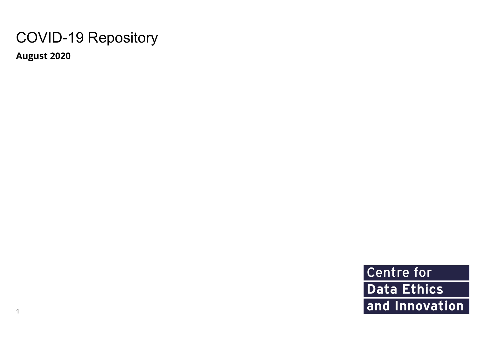## COVID-19 Repository

**August 2020**

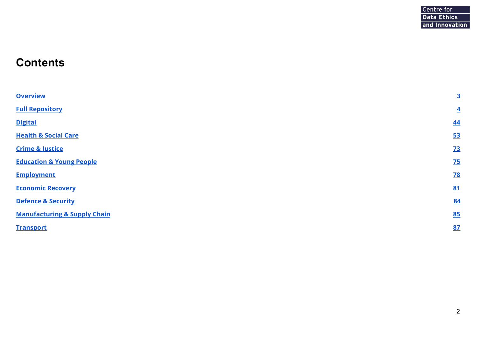### **Contents**

| <b>Overview</b>                         | $\overline{\mathbf{3}}$ |
|-----------------------------------------|-------------------------|
| <b>Full Repository</b>                  | $\overline{\mathbf{4}}$ |
| <b>Digital</b>                          | <u>44</u>               |
| <b>Health &amp; Social Care</b>         | <u>53</u>               |
| <b>Crime &amp; Justice</b>              | <u>73</u>               |
| <b>Education &amp; Young People</b>     | <u>75</u>               |
| <b>Employment</b>                       | <u>78</u>               |
| <b>Economic Recovery</b>                | <u>81</u>               |
| <b>Defence &amp; Security</b>           | <u>84</u>               |
| <b>Manufacturing &amp; Supply Chain</b> | <u>85</u>               |
| <b>Transport</b>                        | <u>87</u>               |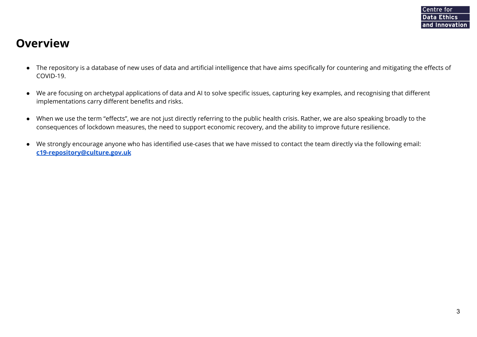### <span id="page-2-0"></span>**Overview**

- The repository is a database of new uses of data and artificial intelligence that have aims specifically for countering and mitigating the effects of COVID-19.
- We are focusing on archetypal applications of data and AI to solve specific issues, capturing key examples, and recognising that different implementations carry different benefits and risks.
- When we use the term "effects", we are not just directly referring to the public health crisis. Rather, we are also speaking broadly to the consequences of lockdown measures, the need to support economic recovery, and the ability to improve future resilience.
- **●** We strongly encourage anyone who has identified use-cases that we have missed to contact the team directly via the following email: **[c19-repository@culture.gov.uk](mailto:c19-repository@culture.gov.uk)**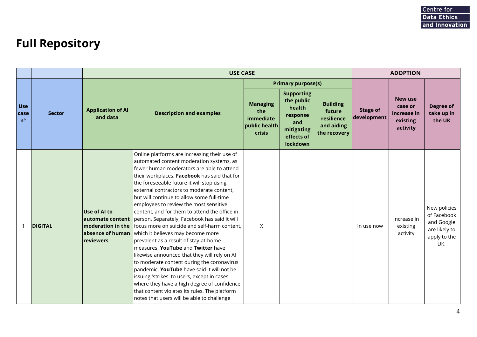### <span id="page-3-0"></span>**Full Repository**

|                            |                |                                                                                        | <b>USE CASE</b>                                                                                                                                                                                                                                                                                                                                                                                                                                                                                                                                                                                                                                                                                                                                                                                                                                                                                                                                                                       |                                                                |                                                                                                      |                                                                       |                                | <b>ADOPTION</b>                                                  |                                                                                   |
|----------------------------|----------------|----------------------------------------------------------------------------------------|---------------------------------------------------------------------------------------------------------------------------------------------------------------------------------------------------------------------------------------------------------------------------------------------------------------------------------------------------------------------------------------------------------------------------------------------------------------------------------------------------------------------------------------------------------------------------------------------------------------------------------------------------------------------------------------------------------------------------------------------------------------------------------------------------------------------------------------------------------------------------------------------------------------------------------------------------------------------------------------|----------------------------------------------------------------|------------------------------------------------------------------------------------------------------|-----------------------------------------------------------------------|--------------------------------|------------------------------------------------------------------|-----------------------------------------------------------------------------------|
|                            |                |                                                                                        |                                                                                                                                                                                                                                                                                                                                                                                                                                                                                                                                                                                                                                                                                                                                                                                                                                                                                                                                                                                       |                                                                | <b>Primary purpose(s)</b>                                                                            |                                                                       |                                |                                                                  |                                                                                   |
| Use<br>case<br>$n^{\circ}$ | <b>Sector</b>  | <b>Application of Al</b><br>and data                                                   | <b>Description and examples</b>                                                                                                                                                                                                                                                                                                                                                                                                                                                                                                                                                                                                                                                                                                                                                                                                                                                                                                                                                       | <b>Managing</b><br>the<br>immediate<br>public health<br>crisis | <b>Supporting</b><br>the public<br>health<br>response<br>and<br>mitigating<br>effects of<br>lockdown | <b>Building</b><br>future<br>resilience<br>and aiding<br>the recovery | <b>Stage of</b><br>development | <b>New use</b><br>case or<br>increase in<br>existing<br>activity | Degree of<br>take up in<br>the UK                                                 |
| $\mathbf{1}$               | <b>DIGITAL</b> | Use of Al to<br>automate content<br>moderation in the<br>absence of human<br>reviewers | Online platforms are increasing their use of<br>automated content moderation systems, as<br>fewer human moderators are able to attend<br>their workplaces. Facebook has said that for<br>the foreseeable future it will stop using<br>external contractors to moderate content,<br>but will continue to allow some full-time<br>employees to review the most sensitive<br>content, and for them to attend the office in<br>person. Separately, Facebook has said it will<br>focus more on suicide and self-harm content,<br>which it believes may become more<br>prevalent as a result of stay-at-home<br>measures. YouTube and Twitter have<br>likewise announced that they will rely on Al<br>to moderate content during the coronavirus<br>pandemic. YouTube have said it will not be<br>issuing 'strikes' to users, except in cases<br>where they have a high degree of confidence<br>that content violates its rules. The platform<br>notes that users will be able to challenge | $\times$                                                       |                                                                                                      |                                                                       | In use now                     | Increase in<br>existing<br>activity                              | New policies<br>of Facebook<br>and Google<br>are likely to<br>apply to the<br>UK. |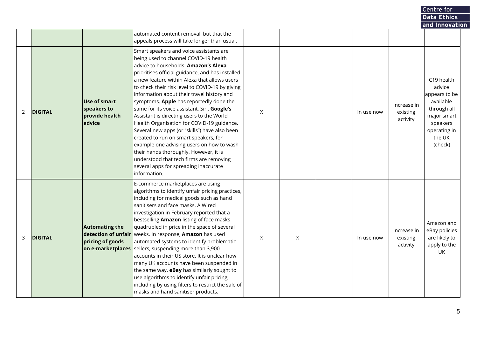#### and Innovation automated content removal, but that the appeals process will take longer than usual. Smart speakers and voice assistants are being used to channel COVID-19 health advice to households. **Amazon's Alexa** prioritises official guidance, and has installed a new feature within Alexa that allows users C19 health to check their risk level to COVID-19 by giving advice information about their travel history and appears to be **Use of smart** symptoms. **Apple** has reportedly done the available Increase in **speakers to** same for its voice assistant, Siri. **Google's** through all 2 **DIGITAL** X I In use now existing **provide health** Assistant is directing users to the World major smart activity **advice** Health Organisation for COVID-19 guidance. speakers operating in Several new apps (or "skills") have also been created to run on smart speakers, for the UK example one advising users on how to wash (check) their hands thoroughly. However, it is understood that tech firms are removing several apps for spreading inaccurate information. E-commerce marketplaces are using algorithms to identify unfair pricing practices, including for medical goods such as hand sanitisers and face masks. A Wired investigation in February reported that a bestselling **Amazon** listing of face masks Amazon and **Automating the** quadrupled in price in the space of several eBay policies Increase in weeks. In response, **Amazon** has used **detection of unfair** 3 **DIGITAL** X  $X$  In use now existing are likely to **pricing of goods** automated systems to identify problematic activity apply to the **on e-marketplaces** sellers, suspending more than 3,900 UK accounts in their US store. It is unclear how many UK accounts have been suspended in the same way. **eBay** has similarly sought to use algorithms to identify unfair pricing, including by using filters to restrict the sale of masks and hand sanitiser products.

**Centre for Data Ethics**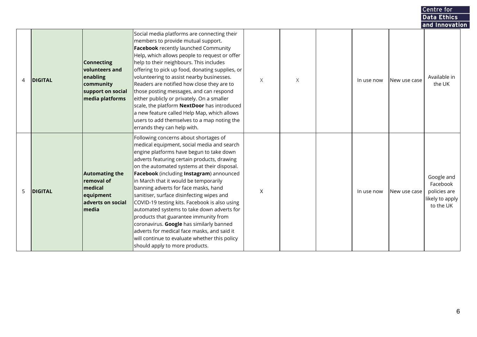|   |                |                                                                                                         |                                                                                                                                                                                                                                                                                                                                                                                                                                                                                                                                                                                                                                                                                                                               |   |   |  | Centre for |              |                                                                        |  |
|---|----------------|---------------------------------------------------------------------------------------------------------|-------------------------------------------------------------------------------------------------------------------------------------------------------------------------------------------------------------------------------------------------------------------------------------------------------------------------------------------------------------------------------------------------------------------------------------------------------------------------------------------------------------------------------------------------------------------------------------------------------------------------------------------------------------------------------------------------------------------------------|---|---|--|------------|--------------|------------------------------------------------------------------------|--|
|   |                |                                                                                                         |                                                                                                                                                                                                                                                                                                                                                                                                                                                                                                                                                                                                                                                                                                                               |   |   |  |            |              | Data Ethics                                                            |  |
| 4 | <b>DIGITAL</b> | Connecting<br>volunteers and<br>enabling<br>community<br>support on social<br>media platforms           | Social media platforms are connecting their<br>members to provide mutual support.<br><b>Facebook</b> recently launched Community<br>Help, which allows people to request or offer<br>help to their neighbours. This includes<br>offering to pick up food, donating supplies, or<br>volunteering to assist nearby businesses.<br>Readers are notified how close they are to<br>those posting messages, and can respond<br>either publicly or privately. On a smaller<br>scale, the platform <b>NextDoor</b> has introduced<br>a new feature called Help Map, which allows<br>users to add themselves to a map noting the<br>errands they can help with.                                                                        | X | X |  | In use now | New use case | and Innovation<br>Available in<br>the UK                               |  |
| 5 | <b>DIGITAL</b> | <b>Automating the</b><br><b>removal of</b><br><b>medical</b><br>equipment<br>adverts on social<br>media | Following concerns about shortages of<br>medical equipment, social media and search<br>engine platforms have begun to take down<br>adverts featuring certain products, drawing<br>on the automated systems at their disposal.<br>Facebook (including Instagram) announced<br>in March that it would be temporarily<br>banning adverts for face masks, hand<br>sanitiser, surface disinfecting wipes and<br>COVID-19 testing kits. Facebook is also using<br>automated systems to take down adverts for<br>products that guarantee immunity from<br>coronavirus. Google has similarly banned<br>adverts for medical face masks, and said it<br>will continue to evaluate whether this policy<br>should apply to more products. | X |   |  | In use now | New use case | Google and<br>Facebook<br>policies are<br>likely to apply<br>to the UK |  |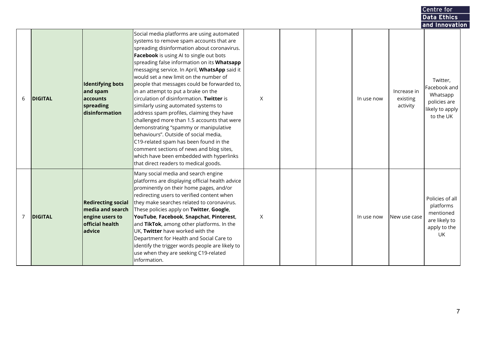|                |                |                                                                                               |                                                                                                                                                                                                                                                                                                                                                                                                                                                                                                                                                                                                                                                                                                                                                                                                                                                                              |   |  |            |                                     | Data Ethics                                                                                            |  |
|----------------|----------------|-----------------------------------------------------------------------------------------------|------------------------------------------------------------------------------------------------------------------------------------------------------------------------------------------------------------------------------------------------------------------------------------------------------------------------------------------------------------------------------------------------------------------------------------------------------------------------------------------------------------------------------------------------------------------------------------------------------------------------------------------------------------------------------------------------------------------------------------------------------------------------------------------------------------------------------------------------------------------------------|---|--|------------|-------------------------------------|--------------------------------------------------------------------------------------------------------|--|
| 6              | <b>DIGITAL</b> | <b>Identifying bots</b><br>and spam<br>accounts<br>spreading<br>disinformation                | Social media platforms are using automated<br>systems to remove spam accounts that are<br>spreading disinformation about coronavirus.<br><b>Facebook</b> is using AI to single out bots<br>spreading false information on its <b>Whatsapp</b><br>messaging service. In April, WhatsApp said it<br>would set a new limit on the number of<br>people that messages could be forwarded to,<br>in an attempt to put a brake on the<br>circulation of disinformation. Twitter is<br>similarly using automated systems to<br>address spam profiles, claiming they have<br>challenged more than 1.5 accounts that were<br>demonstrating "spammy or manipulative<br>behaviours". Outside of social media,<br>C19-related spam has been found in the<br>comment sections of news and blog sites,<br>which have been embedded with hyperlinks<br>that direct readers to medical goods. | X |  | In use now | Increase in<br>existing<br>activity | and Innovation<br>Twitter,<br>Facebook and<br>Whatsapp<br>policies are<br>likely to apply<br>to the UK |  |
| $\overline{7}$ | <b>DIGITAL</b> | <b>Redirecting social</b><br>media and search<br>engine users to<br>official health<br>advice | Many social media and search engine<br>platforms are displaying official health advice<br>prominently on their home pages, and/or<br>redirecting users to verified content when<br>they make searches related to coronavirus.<br>These policies apply on Twitter, Google,<br>YouTube, Facebook, Snapchat, Pinterest,<br>and TikTok, among other platforms. In the<br>UK, Twitter have worked with the<br>Department for Health and Social Care to<br>identify the trigger words people are likely to<br>use when they are seeking C19-related<br>information.                                                                                                                                                                                                                                                                                                                | X |  | In use now | New use case                        | Policies of all<br>platforms<br>mentioned<br>are likely to<br>apply to the<br>UK                       |  |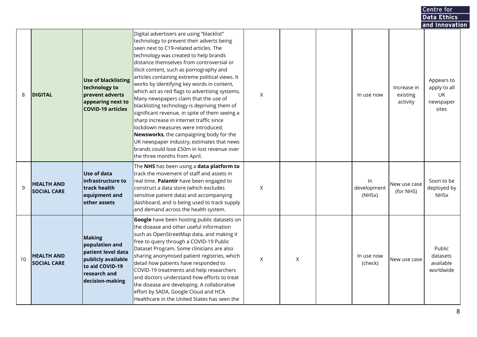|    |                                         |                                                                                                                                   |                                                                                                                                                                                                                                                                                                                                                                                                                                                                                                                                                                                                                                                                                                                                                                                                                            |   |   |                             |                                     | Centre for                                             |  |
|----|-----------------------------------------|-----------------------------------------------------------------------------------------------------------------------------------|----------------------------------------------------------------------------------------------------------------------------------------------------------------------------------------------------------------------------------------------------------------------------------------------------------------------------------------------------------------------------------------------------------------------------------------------------------------------------------------------------------------------------------------------------------------------------------------------------------------------------------------------------------------------------------------------------------------------------------------------------------------------------------------------------------------------------|---|---|-----------------------------|-------------------------------------|--------------------------------------------------------|--|
|    |                                         |                                                                                                                                   |                                                                                                                                                                                                                                                                                                                                                                                                                                                                                                                                                                                                                                                                                                                                                                                                                            |   |   |                             |                                     | Data Ethics                                            |  |
|    |                                         |                                                                                                                                   |                                                                                                                                                                                                                                                                                                                                                                                                                                                                                                                                                                                                                                                                                                                                                                                                                            |   |   |                             |                                     | and Innovation                                         |  |
| 8  | <b>DIGITAL</b>                          | <b>Use of blacklisting</b><br>technology to<br>prevent adverts<br>appearing next to<br><b>COVID-19 articles</b>                   | Digital advertisers are using "blacklist"<br>technology to prevent their adverts being<br>seen next to C19-related articles. The<br>technology was created to help brands<br>distance themselves from controversial or<br>illicit content, such as pornography and<br>articles containing extreme political views. It<br>works by identifying key words in content,<br>which act as red flags to advertising systems.<br>Many newspapers claim that the use of<br>blacklisting technology is depriving them of<br>significant revenue, in spite of them seeing a<br>sharp increase in internet traffic since<br>lockdown measures were introduced.<br>Newsworks, the campaigning body for the<br>UK newspaper industry, estimates that news<br>brands could lose £50m in lost revenue over<br>the three months from April. | X |   | In use now                  | Increase in<br>existing<br>activity | Appears to<br>apply to all<br>UK<br>newspaper<br>sites |  |
| 9  | <b>HEALTH AND</b><br><b>SOCIAL CARE</b> | <b>Use of data</b><br>infrastructure to<br>track health<br>equipment and<br>other assets                                          | The NHS has been using a data platform to<br>track the movement of staff and assets in<br>real time. Palantir have been engaged to<br>construct a data store (which excludes<br>sensitive patient data) and accompanying<br>dashboard, and is being used to track supply<br>and demand across the health system.                                                                                                                                                                                                                                                                                                                                                                                                                                                                                                           | X |   | In<br>development<br>(NHSx) | New use case<br>(for NHS)           | Soon to be<br>deployed by<br><b>NHSx</b>               |  |
| 10 | <b>HEALTH AND</b><br><b>SOCIAL CARE</b> | <b>Making</b><br>population and<br>patient level data<br>publicly available<br>to aid COVID-19<br>research and<br>decision-making | Google have been hosting public datasets on<br>the disease and other useful information<br>such as OpenStreetMap data, and making it<br>free to query through a COVID-19 Public<br>Dataset Program. Some clinicians are also<br>sharing anonymised patient registries, which<br>detail how patients have responded to<br>COVID-19 treatments and help researchers<br>and doctors understand how efforts to treat<br>the disease are developing. A collaborative<br>effort by SADA, Google Cloud and HCA<br>Healthcare in the United States has seen the                                                                                                                                                                                                                                                                    | Χ | X | In use now<br>(check)       | New use case                        | Public<br>datasets<br>available<br>worldwide           |  |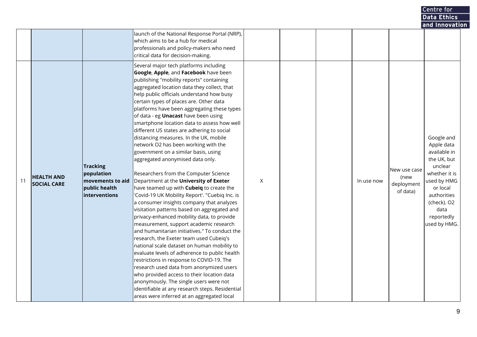|    |                                         |                                                                                     |                                                                                                                                                                                                                                                                                                                                                                                                                                                                                                                                                                                                                                                                                                                                                                                                                                                                                                                                                                                                                                                                                                                                                                                                                                                                                                                                                                                                                                                                                       |   |  |            |                                                | Centre for                                                                                                                                                                         |  |
|----|-----------------------------------------|-------------------------------------------------------------------------------------|---------------------------------------------------------------------------------------------------------------------------------------------------------------------------------------------------------------------------------------------------------------------------------------------------------------------------------------------------------------------------------------------------------------------------------------------------------------------------------------------------------------------------------------------------------------------------------------------------------------------------------------------------------------------------------------------------------------------------------------------------------------------------------------------------------------------------------------------------------------------------------------------------------------------------------------------------------------------------------------------------------------------------------------------------------------------------------------------------------------------------------------------------------------------------------------------------------------------------------------------------------------------------------------------------------------------------------------------------------------------------------------------------------------------------------------------------------------------------------------|---|--|------------|------------------------------------------------|------------------------------------------------------------------------------------------------------------------------------------------------------------------------------------|--|
|    |                                         |                                                                                     |                                                                                                                                                                                                                                                                                                                                                                                                                                                                                                                                                                                                                                                                                                                                                                                                                                                                                                                                                                                                                                                                                                                                                                                                                                                                                                                                                                                                                                                                                       |   |  |            |                                                | Data Ethics                                                                                                                                                                        |  |
|    |                                         |                                                                                     |                                                                                                                                                                                                                                                                                                                                                                                                                                                                                                                                                                                                                                                                                                                                                                                                                                                                                                                                                                                                                                                                                                                                                                                                                                                                                                                                                                                                                                                                                       |   |  |            |                                                | and Innovation                                                                                                                                                                     |  |
|    |                                         |                                                                                     | launch of the National Response Portal (NRP),<br>which aims to be a hub for medical<br>professionals and policy-makers who need<br>critical data for decision-making.                                                                                                                                                                                                                                                                                                                                                                                                                                                                                                                                                                                                                                                                                                                                                                                                                                                                                                                                                                                                                                                                                                                                                                                                                                                                                                                 |   |  |            |                                                |                                                                                                                                                                                    |  |
| 11 | <b>HEALTH AND</b><br><b>SOCIAL CARE</b> | <b>Tracking</b><br>population<br>movements to aid<br>public health<br>interventions | Several major tech platforms including<br>Google, Apple, and Facebook have been<br>publishing "mobility reports" containing<br>aggregated location data they collect, that<br>help public officials understand how busy<br>certain types of places are. Other data<br>platforms have been aggregating these types<br>of data - eg <b>Unacast</b> have been using<br>smartphone location data to assess how well<br>different US states are adhering to social<br>distancing measures. In the UK, mobile<br>network O2 has been working with the<br>government on a similar basis, using<br>aggregated anonymised data only.<br>Researchers from the Computer Science<br>Department at the University of Exeter<br>have teamed up with <b>Cubeiq</b> to create the<br>'Covid-19 UK Mobility Report'. "Cuebiq Inc. is<br>a consumer insights company that analyzes<br>visitation patterns based on aggregated and<br>privacy-enhanced mobility data, to provide<br>measurement, support academic research<br>and humanitarian initiatives." To conduct the<br>research, the Exeter team used Cubeiq's<br>national scale dataset on human mobility to<br>evaluate levels of adherence to public health<br>restrictions in response to COVID-19. The<br>research used data from anonymized users<br>who provided access to their location data<br>anonymously. The single users were not<br>identifiable at any research steps. Residential<br>areas were inferred at an aggregated local | Χ |  | In use now | New use case<br>(new<br>deployment<br>of data) | Google and<br>Apple data<br>available in<br>the UK, but<br>unclear<br>whether it is<br>used by HMG<br>or local<br>authorities<br>(check). O2<br>data<br>reportedly<br>used by HMG. |  |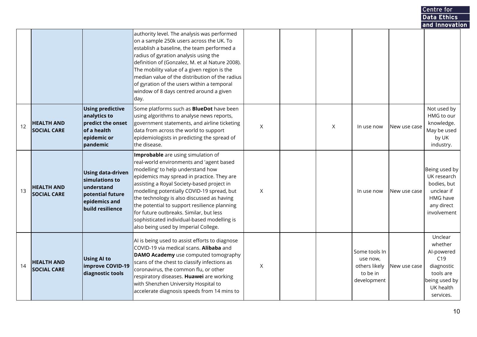#### and Innovation authority level. The analysis was performed on a sample 250k users across the UK. To establish a baseline, the team performed a radius of gyration analysis using the definition of (Gonzalez, M. et al Nature 2008). The mobility value of a given region is the median value of the distribution of the radius of gyration of the users within a temporal window of 8 days centred around a given day. **Using predictive** Some platforms such as **BlueDot** have been Not used by **analytics to** using algorithms to analyse news reports, HMG to our <sup>12</sup> **HEALTH AND predict the onset** government statements, and airline ticketing knowledge. X  $X = \vert$  In use now  $\vert$  New use case **of a health** data from across the world to support May be used **SOCIAL CARE epidemic or** by UK epidemiologists in predicting the spread of **pandemic** the disease. industry. **Improbable** are using simulation of real-world environments and 'agent based modelling' to help understand how Being used by **Using data-driven** epidemics may spread in practice. They are UK research **simulations to** assisting a Royal Society-based project in bodies, but **HEALTH AND understand** modelling potentially COVID-19 spread, but 13 X In use now New use case unclear if **SOCIAL CARE potential future** the technology is also discussed as having HMG have **epidemics and** the potential to support resilience planning any direct **build resilience** for future outbreaks. Similar, but less involvement sophisticated individual-based modelling is also being used by Imperial College. Unclear AI is being used to assist efforts to diagnose whether COVID-19 via medical scans. **Alibaba** and Some tools In AI-powered **DAMO Academy** use computed tomography **Using AI to** use now,  $C19$ scans of the chest to classify infections as **HEALTH AND improve COVID-19** 14 X others likely New use case diagnostic **SOCIAL CARE** coronavirus, the common flu, or other tools are **diagnostic tools** to be in respiratory diseases. **Huawei** are working being used by development with Shenzhen University Hospital to UK health accelerate diagnosis speeds from 14 mins to services.

**Centre for Data Ethics**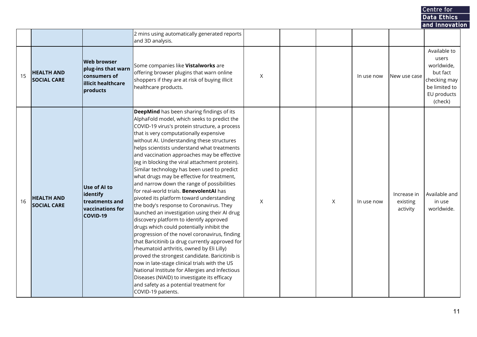## **Centre for<br>Data Ethics<br>and Innovati**

| рата ститез    |
|----------------|
| and Innovation |
|                |

|    |                                         |                                                                                                   | 2 mins using automatically generated reports<br>and 3D analysis.                                                                                                                                                                                                                                                                                                                                                                                                                                                                                                                                                                                                                                                                                                                                                                                                                                                                                                                                                                                                                                                                                                                                                                         |   |   |            |                                     |                                                                                                            |
|----|-----------------------------------------|---------------------------------------------------------------------------------------------------|------------------------------------------------------------------------------------------------------------------------------------------------------------------------------------------------------------------------------------------------------------------------------------------------------------------------------------------------------------------------------------------------------------------------------------------------------------------------------------------------------------------------------------------------------------------------------------------------------------------------------------------------------------------------------------------------------------------------------------------------------------------------------------------------------------------------------------------------------------------------------------------------------------------------------------------------------------------------------------------------------------------------------------------------------------------------------------------------------------------------------------------------------------------------------------------------------------------------------------------|---|---|------------|-------------------------------------|------------------------------------------------------------------------------------------------------------|
| 15 | <b>HEALTH AND</b><br><b>SOCIAL CARE</b> | <b>Web browser</b><br>plug-ins that warn<br>consumers of<br><b>illicit healthcare</b><br>products | Some companies like Vistalworks are<br>offering browser plugins that warn online<br>shoppers if they are at risk of buying illicit<br>healthcare products.                                                                                                                                                                                                                                                                                                                                                                                                                                                                                                                                                                                                                                                                                                                                                                                                                                                                                                                                                                                                                                                                               | Χ |   | In use now | New use case                        | Available to<br>users<br>worldwide,<br>but fact<br>checking may<br>be limited to<br>EU products<br>(check) |
| 16 | <b>HEALTH AND</b><br><b>SOCIAL CARE</b> | Use of AI to<br>identify<br>treatments and<br>vaccinations for<br>COVID-19                        | DeepMind has been sharing findings of its<br>AlphaFold model, which seeks to predict the<br>COVID-19 virus's protein structure, a process<br>that is very computationally expensive<br>without AI. Understanding these structures<br>helps scientists understand what treatments<br>and vaccination approaches may be effective<br>(eg in blocking the viral attachment protein).<br>Similar technology has been used to predict<br>what drugs may be effective for treatment,<br>and narrow down the range of possibilities<br>for real-world trials. <b>BenevolentAI</b> has<br>pivoted its platform toward understanding<br>the body's response to Coronavirus. They<br>launched an investigation using their AI drug<br>discovery platform to identify approved<br>drugs which could potentially inhibit the<br>progression of the novel coronavirus, finding<br>that Baricitinib (a drug currently approved for<br>rheumatoid arthritis, owned by Eli Lilly)<br>proved the strongest candidate. Baricitinib is<br>now in late-stage clinical trials with the US<br>National Institute for Allergies and Infectious<br>Diseases (NIAID) to investigate its efficacy<br>and safety as a potential treatment for<br>COVID-19 patients. | X | X | In use now | Increase in<br>existing<br>activity | Available and<br>in use<br>worldwide.                                                                      |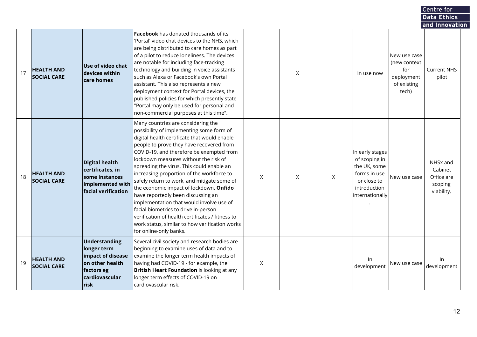|    |                                         |                                                                                                              |                                                                                                                                                                                                                                                                                                                                                                                                                                                                                                                                                                                                                                                                                                               |   |   |   |                                                                                                                    |                                                                            | Centre for                                                 |  |
|----|-----------------------------------------|--------------------------------------------------------------------------------------------------------------|---------------------------------------------------------------------------------------------------------------------------------------------------------------------------------------------------------------------------------------------------------------------------------------------------------------------------------------------------------------------------------------------------------------------------------------------------------------------------------------------------------------------------------------------------------------------------------------------------------------------------------------------------------------------------------------------------------------|---|---|---|--------------------------------------------------------------------------------------------------------------------|----------------------------------------------------------------------------|------------------------------------------------------------|--|
|    |                                         |                                                                                                              |                                                                                                                                                                                                                                                                                                                                                                                                                                                                                                                                                                                                                                                                                                               |   |   |   |                                                                                                                    |                                                                            | <b>Data Ethics</b>                                         |  |
| 17 | <b>HEALTH AND</b><br><b>SOCIAL CARE</b> | Use of video chat<br>ldevices within<br>care homes                                                           | <b>Facebook</b> has donated thousands of its<br>'Portal' video chat devices to the NHS, which<br>are being distributed to care homes as part<br>of a pilot to reduce loneliness. The devices<br>are notable for including face-tracking<br>technology and building in voice assistants<br>such as Alexa or Facebook's own Portal<br>assistant. This also represents a new<br>deployment context for Portal devices, the<br>published policies for which presently state<br>"Portal may only be used for personal and<br>non-commercial purposes at this time".                                                                                                                                                |   | X |   | In use now                                                                                                         | New use case<br>(new context)<br>for<br>deployment<br>of existing<br>tech) | and Innovation<br><b>Current NHS</b><br>pilot              |  |
| 18 | <b>HEALTH AND</b><br><b>SOCIAL CARE</b> | <b>Digital health</b><br>certificates, in<br>some instances<br>implemented with<br>facial verification       | Many countries are considering the<br>possibility of implementing some form of<br>digital health certificate that would enable<br>people to prove they have recovered from<br>COVID-19, and therefore be exempted from<br>lockdown measures without the risk of<br>spreading the virus. This could enable an<br>increasing proportion of the workforce to<br>safely return to work, and mitigate some of<br>the economic impact of lockdown. Onfido<br>have reportedly been discussing an<br>implementation that would involve use of<br>facial biometrics to drive in-person<br>verification of health certificates / fitness to<br>work status, similar to how verification works<br>for online-only banks. | X | X | X | In early stages<br>of scoping in<br>the UK, some<br>forms in use<br>or close to<br>introduction<br>internationally | New use case                                                               | NHSx and<br>Cabinet<br>Office are<br>scoping<br>viability. |  |
| 19 | <b>HEALTH AND</b><br><b>SOCIAL CARE</b> | Understanding<br>longer term<br>impact of disease<br>on other health<br>factors eg<br>cardiovascular<br>risk | Several civil society and research bodies are<br>beginning to examine uses of data and to<br>examine the longer term health impacts of<br>having had COVID-19 - for example, the<br>British Heart Foundation is looking at any<br>longer term effects of COVID-19 on<br>cardiovascular risk.                                                                                                                                                                                                                                                                                                                                                                                                                  | X |   |   | In.<br>development                                                                                                 | lNew use case                                                              | In.<br>development                                         |  |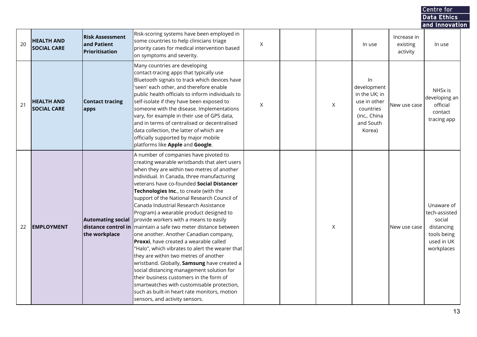# **Centre for<br>Data Ethics<br>and Innovation**

| 20 | <b>HEALTH AND</b><br><b>SOCIAL CARE</b> | <b>Risk Assessment</b><br>and Patient<br>Prioritisation | Risk-scoring systems have been employed in<br>some countries to help clinicians triage<br>priority cases for medical intervention based<br>on symptoms and severity.                                                                                                                                                                                                                                                                                                                                                                                                                                                                                                                                                                                                                                                                                                                                                                                                                           | X |              | In use                                                                                               | Increase in<br>existing<br>activity | In use                                                                                         |
|----|-----------------------------------------|---------------------------------------------------------|------------------------------------------------------------------------------------------------------------------------------------------------------------------------------------------------------------------------------------------------------------------------------------------------------------------------------------------------------------------------------------------------------------------------------------------------------------------------------------------------------------------------------------------------------------------------------------------------------------------------------------------------------------------------------------------------------------------------------------------------------------------------------------------------------------------------------------------------------------------------------------------------------------------------------------------------------------------------------------------------|---|--------------|------------------------------------------------------------------------------------------------------|-------------------------------------|------------------------------------------------------------------------------------------------|
| 21 | <b>HEALTH AND</b><br><b>SOCIAL CARE</b> | <b>Contact tracing</b><br>apps                          | Many countries are developing<br>contact-tracing apps that typically use<br>Bluetooth signals to track which devices have<br>'seen' each other, and therefore enable<br>public health officials to inform individuals to<br>self-isolate if they have been exposed to<br>someone with the disease. Implementations<br>vary, for example in their use of GPS data,<br>and in terms of centralised or decentralised<br>data collection, the latter of which are<br>officially supported by major mobile<br>platforms like Apple and Google.                                                                                                                                                                                                                                                                                                                                                                                                                                                      | X | X            | In<br>development<br>in the UK; in<br>use in other<br>countries<br>(inc China<br>and South<br>Korea) | New use case                        | NHSx is<br>developing an<br>official<br>contact<br>tracing app                                 |
| 22 | <b>EMPLOYMENT</b>                       | <b>Automating social</b><br>the workplace               | A number of companies have pivoted to<br>creating wearable wristbands that alert users<br>when they are within two metres of another<br>individual. In Canada, three manufacturing<br>veterans have co-founded Social Distancer<br>Technologies Inc., to create (with the<br>support of the National Research Council of<br>Canada Industrial Research Assistance<br>Program) a wearable product designed to<br>provide workers with a means to easily<br>distance control in maintain a safe two meter distance between<br>one another. Another Canadian company,<br><b>Proxxi</b> , have created a wearable called<br>"Halo", which vibrates to alert the wearer that<br>they are within two metres of another<br>wristband. Globally, <b>Samsung</b> have created a<br>social distancing management solution for<br>their business customers in the form of<br>smartwatches with customisable protection,<br>such as built-in heart rate monitors, motion<br>sensors, and activity sensors. |   | $\mathsf{X}$ |                                                                                                      | New use case                        | Unaware of<br>tech-assisted<br>social<br>distancing<br>tools being<br>used in UK<br>workplaces |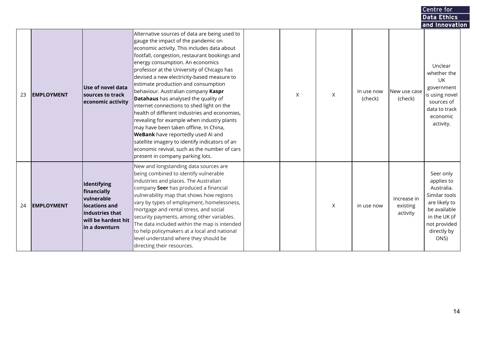|    |                   |                                                                                                                       |                                                                                                                                                                                                                                                                                                                                                                                                                                                                                                                                                                                                                                                                                                                                                                                                                            |             |             |                       |                                     | Centre for                                                                                                                                      |  |
|----|-------------------|-----------------------------------------------------------------------------------------------------------------------|----------------------------------------------------------------------------------------------------------------------------------------------------------------------------------------------------------------------------------------------------------------------------------------------------------------------------------------------------------------------------------------------------------------------------------------------------------------------------------------------------------------------------------------------------------------------------------------------------------------------------------------------------------------------------------------------------------------------------------------------------------------------------------------------------------------------------|-------------|-------------|-----------------------|-------------------------------------|-------------------------------------------------------------------------------------------------------------------------------------------------|--|
|    |                   |                                                                                                                       |                                                                                                                                                                                                                                                                                                                                                                                                                                                                                                                                                                                                                                                                                                                                                                                                                            |             |             |                       |                                     | <b>Data Ethics</b>                                                                                                                              |  |
|    |                   |                                                                                                                       |                                                                                                                                                                                                                                                                                                                                                                                                                                                                                                                                                                                                                                                                                                                                                                                                                            |             |             |                       |                                     | and Innovation                                                                                                                                  |  |
| 23 | <b>EMPLOYMENT</b> | Use of novel data<br>sources to track<br>economic activity                                                            | Alternative sources of data are being used to<br>gauge the impact of the pandemic on<br>economic activity. This includes data about<br>footfall, congestion, restaurant bookings and<br>energy consumption. An economics<br>professor at the University of Chicago has<br>devised a new electricity-based measure to<br>estimate production and consumption<br>behaviour. Australian company Kaspr<br><b>Datahaus</b> has analysed the quality of<br>internet connections to shed light on the<br>health of different industries and economies,<br>revealing for example when industry plants<br>may have been taken offline. In China,<br><b>WeBank</b> have reportedly used AI and<br>satellite imagery to identify indicators of an<br>economic revival, such as the number of cars<br>present in company parking lots. | $\mathsf X$ | $\mathsf X$ | In use now<br>(check) | New use case<br>(check)             | Unclear<br>whether the<br>UK<br>government<br>is using novel<br>sources of<br>data to track<br>economic<br>activity.                            |  |
| 24 | <b>EMPLOYMENT</b> | Identifying<br>financially<br>vulnerable<br>locations and<br>lindustries that<br>will be hardest hit<br>in a downturn | New and longstanding data sources are<br>being combined to identify vulnerable<br>industries and places. The Australian<br>company Seer has produced a financial<br>vulnerability map that shows how regions<br>vary by types of employment, homelessness,<br>mortgage and rental stress, and social<br>security payments, among other variables.<br>The data included within the map is intended<br>to help policymakers at a local and national<br>level understand where they should be<br>directing their resources.                                                                                                                                                                                                                                                                                                   |             | $\times$    | in use now            | Increase in<br>existing<br>activity | Seer only<br>applies to<br>Australia.<br>Similar tools<br>are likely to<br>be available<br>in the UK (if<br>not provided<br>directly by<br>ONS) |  |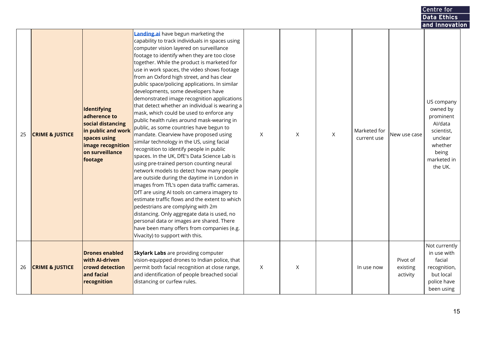|    |                            |                                                                                                                                                  |                                                                                                                                                                                                                                                                                                                                                                                                                                                                                                                                                                                                                                                                                                                                                                                                                                                                                                                                                                                                                                                                                                                                                                                                                                                                                                                                                                |   |   |   |                             |                                  | Data Ethics                                                                                                                             |  |
|----|----------------------------|--------------------------------------------------------------------------------------------------------------------------------------------------|----------------------------------------------------------------------------------------------------------------------------------------------------------------------------------------------------------------------------------------------------------------------------------------------------------------------------------------------------------------------------------------------------------------------------------------------------------------------------------------------------------------------------------------------------------------------------------------------------------------------------------------------------------------------------------------------------------------------------------------------------------------------------------------------------------------------------------------------------------------------------------------------------------------------------------------------------------------------------------------------------------------------------------------------------------------------------------------------------------------------------------------------------------------------------------------------------------------------------------------------------------------------------------------------------------------------------------------------------------------|---|---|---|-----------------------------|----------------------------------|-----------------------------------------------------------------------------------------------------------------------------------------|--|
| 25 | <b>CRIME &amp; JUSTICE</b> | <b>Identifying</b><br>adherence to<br>social distancing<br>in public and work<br>spaces using<br>image recognition<br>on surveillance<br>footage | <b>Landing.ai</b> have begun marketing the<br>capability to track individuals in spaces using<br>computer vision layered on surveillance<br>footage to identify when they are too close<br>together. While the product is marketed for<br>use in work spaces, the video shows footage<br>from an Oxford high street, and has clear<br>public space/policing applications. In similar<br>developments, some developers have<br>demonstrated image recognition applications<br>that detect whether an individual is wearing a<br>mask, which could be used to enforce any<br>public health rules around mask-wearing in<br>public, as some countries have begun to<br>mandate. Clearview have proposed using<br>similar technology in the US, using facial<br>recognition to identify people in public<br>spaces. In the UK, DfE's Data Science Lab is<br>using pre-trained person counting neural<br>network models to detect how many people<br>are outside during the daytime in London in<br>images from TfL's open data traffic cameras.<br>DfT are using AI tools on camera imagery to<br>estimate traffic flows and the extent to which<br>pedestrians are complying with 2m<br>distancing. Only aggregate data is used, no<br>personal data or images are shared. There<br>have been many offers from companies (e.g.<br>Vivacity) to support with this. | Χ | X | X | Marketed for<br>current use | New use case                     | and Innovation<br>US company<br>owned by<br>prominent<br>Al/data<br>scientist,<br>unclear<br>whether<br>being<br>marketed in<br>the UK. |  |
| 26 | <b>CRIME &amp; JUSTICE</b> | <b>Drones enabled</b><br>with Al-driven<br>crowd detection<br>and facial<br>recognition                                                          | <b>Skylark Labs</b> are providing computer<br>vision-equipped drones to Indian police, that<br>permit both facial recognition at close range,<br>and identification of people breached social<br>distancing or curfew rules.                                                                                                                                                                                                                                                                                                                                                                                                                                                                                                                                                                                                                                                                                                                                                                                                                                                                                                                                                                                                                                                                                                                                   | Χ | X |   | In use now                  | Pivot of<br>existing<br>activity | Not currently<br>in use with<br>facial<br>recognition,<br>but local<br>police have<br>been using                                        |  |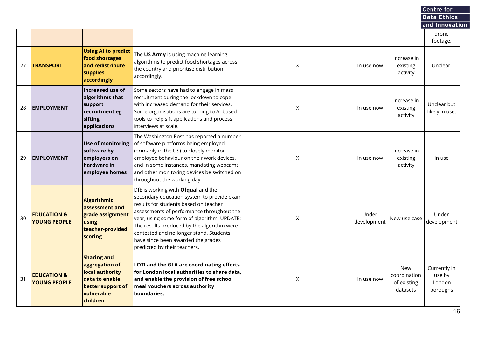# **Centre for<br>Data Ethics<br>and Innovation**

|    |                                               |                                                                                                                          |                                                                                                                                                                                                                                                                                                                                                                                             |          |                      |                                                       | drone<br>footage.                            |
|----|-----------------------------------------------|--------------------------------------------------------------------------------------------------------------------------|---------------------------------------------------------------------------------------------------------------------------------------------------------------------------------------------------------------------------------------------------------------------------------------------------------------------------------------------------------------------------------------------|----------|----------------------|-------------------------------------------------------|----------------------------------------------|
| 27 | <b>TRANSPORT</b>                              | <b>Using AI to predict</b><br>food shortages<br>and redistribute<br>supplies<br>accordingly                              | The US Army is using machine learning<br>algorithms to predict food shortages across<br>the country and prioritise distribution<br>accordingly.                                                                                                                                                                                                                                             | X        | In use now           | Increase in<br>existing<br>activity                   | Unclear.                                     |
| 28 | <b>EMPLOYMENT</b>                             | lIncreased use of<br>algorithms that<br>support<br>recruitment eg<br>sifting<br>applications                             | Some sectors have had to engage in mass<br>recruitment during the lockdown to cope<br>with increased demand for their services.<br>Some organisations are turning to Al-based<br>tools to help sift applications and process<br>interviews at scale.                                                                                                                                        | $\times$ | In use now           | Increase in<br>existing<br>activity                   | Unclear but<br>likely in use.                |
| 29 | <b>EMPLOYMENT</b>                             | <b>Use of monitoring</b><br>software by<br>employers on<br>hardware in<br>employee homes                                 | The Washington Post has reported a number<br>of software platforms being employed<br>(primarily in the US) to closely monitor<br>employee behaviour on their work devices,<br>and in some instances, mandating webcams<br>and other monitoring devices be switched on<br>throughout the working day.                                                                                        | X        | In use now           | Increase in<br>existing<br>activity                   | In use                                       |
| 30 | <b>EDUCATION &amp;</b><br><b>YOUNG PEOPLE</b> | Algorithmic<br>assessment and<br>grade assignment<br>using<br>teacher-provided<br>scoring                                | DfE is working with <b>Ofqual</b> and the<br>secondary education system to provide exam<br>results for students based on teacher<br>assessments of performance throughout the<br>year, using some form of algorithm. UPDATE:<br>The results produced by the algorithm were<br>contested and no longer stand. Students<br>have since been awarded the grades<br>predicted by their teachers. | X        | Under<br>development | New use case                                          | Under<br>development                         |
| 31 | <b>EDUCATION &amp;</b><br><b>YOUNG PEOPLE</b> | <b>Sharing and</b><br>aggregation of<br>local authority<br>data to enable<br>better support of<br>vulnerable<br>children | <b>LOTI</b> and the GLA are coordinating efforts<br>for London local authorities to share data,<br>and enable the provision of free school<br>meal vouchers across authority<br>boundaries.                                                                                                                                                                                                 | X        | In use now           | <b>New</b><br>coordination<br>of existing<br>datasets | Currently in<br>use by<br>London<br>boroughs |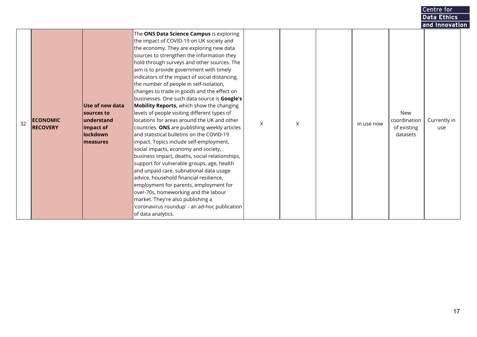|    |                                    |                                                                                   |                                                                                                                                                                                                                                                                                                                                                                                                                                                                                                                                                                                                                                                                                                                                                                                                                                                                                                                                                                                                                                                                                                                                                                                                |   |   |            |                                                       | Centre for<br>Data Ethics |  |
|----|------------------------------------|-----------------------------------------------------------------------------------|------------------------------------------------------------------------------------------------------------------------------------------------------------------------------------------------------------------------------------------------------------------------------------------------------------------------------------------------------------------------------------------------------------------------------------------------------------------------------------------------------------------------------------------------------------------------------------------------------------------------------------------------------------------------------------------------------------------------------------------------------------------------------------------------------------------------------------------------------------------------------------------------------------------------------------------------------------------------------------------------------------------------------------------------------------------------------------------------------------------------------------------------------------------------------------------------|---|---|------------|-------------------------------------------------------|---------------------------|--|
|    |                                    |                                                                                   |                                                                                                                                                                                                                                                                                                                                                                                                                                                                                                                                                                                                                                                                                                                                                                                                                                                                                                                                                                                                                                                                                                                                                                                                |   |   |            |                                                       | and Innovation            |  |
| 32 | <b>ECONOMIC</b><br><b>RECOVERY</b> | Use of new data<br>sources to<br>lunderstand<br>impact of<br>lockdown<br>measures | The ONS Data Science Campus is exploring<br>the impact of COVID-19 on UK society and<br>the economy. They are exploring new data<br>sources to strengthen the information they<br>hold through surveys and other sources. The<br>aim is to provide government with timely<br>indicators of the impact of social distancing,<br>the number of people in self-isolation,<br>changes to trade in goods and the effect on<br>businesses. One such data source is Google's<br><b>Mobility Reports, which show the changing</b><br>levels of people visiting different types of<br>llocations for areas around the UK and other<br>countries. ONS are publishing weekly articles<br>and statistical bulletins on the COVID-19<br>impact. Topics include self-employment,<br>social impacts, economy and society,<br>business impact, deaths, social relationships,<br>support for vulnerable groups, age, health<br>and unpaid care, subnational data usage<br>advice, household financial resilience,<br>employment for parents, employment for<br>over-70s, homeworking and the labour<br>market. They're also publishing a<br>'coronavirus roundup' - an ad-hoc publication<br>of data analytics. | X | X | In use now | <b>New</b><br>coordination<br>of existing<br>datasets | Currently in<br>use       |  |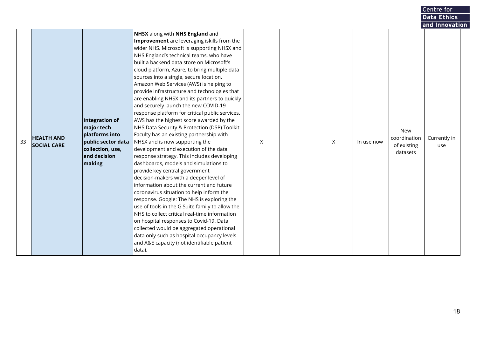|    |                                         |                                                                                                                           |                                                                                                                                                                                                                                                                                                                                                                                                                                                                                                                                                                                                                                                                                                                                                                                                                                                                                                                                                                                                                                                                                                                                                                                                                                                                                                                                                                                                  |   |   |            |                                                       | Centre for          |  |
|----|-----------------------------------------|---------------------------------------------------------------------------------------------------------------------------|--------------------------------------------------------------------------------------------------------------------------------------------------------------------------------------------------------------------------------------------------------------------------------------------------------------------------------------------------------------------------------------------------------------------------------------------------------------------------------------------------------------------------------------------------------------------------------------------------------------------------------------------------------------------------------------------------------------------------------------------------------------------------------------------------------------------------------------------------------------------------------------------------------------------------------------------------------------------------------------------------------------------------------------------------------------------------------------------------------------------------------------------------------------------------------------------------------------------------------------------------------------------------------------------------------------------------------------------------------------------------------------------------|---|---|------------|-------------------------------------------------------|---------------------|--|
|    |                                         |                                                                                                                           |                                                                                                                                                                                                                                                                                                                                                                                                                                                                                                                                                                                                                                                                                                                                                                                                                                                                                                                                                                                                                                                                                                                                                                                                                                                                                                                                                                                                  |   |   |            |                                                       | Data Ethics         |  |
|    |                                         |                                                                                                                           |                                                                                                                                                                                                                                                                                                                                                                                                                                                                                                                                                                                                                                                                                                                                                                                                                                                                                                                                                                                                                                                                                                                                                                                                                                                                                                                                                                                                  |   |   |            |                                                       | and Innovation      |  |
| 33 | <b>HEALTH AND</b><br><b>SOCIAL CARE</b> | <b>Integration of</b><br>major tech<br>platforms into<br>public sector data<br>collection, use,<br>and decision<br>making | NHSX along with NHS England and<br><b>Improvement</b> are leveraging iskills from the<br>wider NHS. Microsoft is supporting NHSX and<br>NHS England's technical teams, who have<br>built a backend data store on Microsoft's<br>cloud platform, Azure, to bring multiple data<br>sources into a single, secure location.<br>Amazon Web Services (AWS) is helping to<br>provide infrastructure and technologies that<br>are enabling NHSX and its partners to quickly<br>and securely launch the new COVID-19<br>response platform for critical public services.<br>AWS has the highest score awarded by the<br>NHS Data Security & Protection (DSP) Toolkit.<br>Faculty has an existing partnership with<br>NHSX and is now supporting the<br>development and execution of the data<br>response strategy. This includes developing<br>dashboards, models and simulations to<br>provide key central government<br>decision-makers with a deeper level of<br>information about the current and future<br>coronavirus situation to help inform the<br>response. Google: The NHS is exploring the<br>use of tools in the G Suite family to allow the<br>NHS to collect critical real-time information<br>on hospital responses to Covid-19. Data<br>collected would be aggregated operational<br>data only such as hospital occupancy levels<br>and A&E capacity (not identifiable patient<br>data). | X | X | In use now | <b>New</b><br>coordination<br>of existing<br>datasets | Currently in<br>use |  |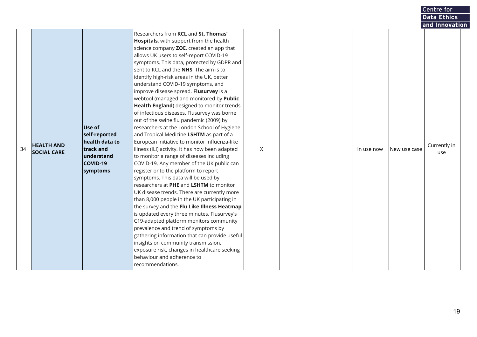|    |                                         |                                                                                               |                                                                                                                                                                                                                                                                                                                                                                                                                                                                                                                                                                                                                                                                                                                                                                                                                                                                                                                                                                                                                                                                                                                                                                                                                                                                                                                                                                                                                                                                            |   |  |            |              | Centre for          |  |
|----|-----------------------------------------|-----------------------------------------------------------------------------------------------|----------------------------------------------------------------------------------------------------------------------------------------------------------------------------------------------------------------------------------------------------------------------------------------------------------------------------------------------------------------------------------------------------------------------------------------------------------------------------------------------------------------------------------------------------------------------------------------------------------------------------------------------------------------------------------------------------------------------------------------------------------------------------------------------------------------------------------------------------------------------------------------------------------------------------------------------------------------------------------------------------------------------------------------------------------------------------------------------------------------------------------------------------------------------------------------------------------------------------------------------------------------------------------------------------------------------------------------------------------------------------------------------------------------------------------------------------------------------------|---|--|------------|--------------|---------------------|--|
|    |                                         |                                                                                               |                                                                                                                                                                                                                                                                                                                                                                                                                                                                                                                                                                                                                                                                                                                                                                                                                                                                                                                                                                                                                                                                                                                                                                                                                                                                                                                                                                                                                                                                            |   |  |            |              | <b>Data Ethics</b>  |  |
|    |                                         |                                                                                               |                                                                                                                                                                                                                                                                                                                                                                                                                                                                                                                                                                                                                                                                                                                                                                                                                                                                                                                                                                                                                                                                                                                                                                                                                                                                                                                                                                                                                                                                            |   |  |            |              | and Innovation      |  |
| 34 | <b>HEALTH AND</b><br><b>SOCIAL CARE</b> | Use of<br>self-reported<br>health data to<br>track and<br>lunderstand<br>COVID-19<br>symptoms | Researchers from KCL and St. Thomas'<br>Hospitals, with support from the health<br>science company ZOE, created an app that<br>allows UK users to self-report COVID-19<br>symptoms. This data, protected by GDPR and<br>sent to KCL and the NHS. The aim is to<br>identify high-risk areas in the UK, better<br>understand COVID-19 symptoms, and<br>improve disease spread. Flusurvey is a<br>webtool (managed and monitored by Public<br>Health England) designed to monitor trends<br>of infectious diseases. Flusurvey was borne<br>out of the swine flu pandemic (2009) by<br>researchers at the London School of Hygiene<br>and Tropical Medicine LSHTM as part of a<br>European initiative to monitor influenza-like<br>illness (ILI) activity. It has now been adapted<br>to monitor a range of diseases including<br>COVID-19. Any member of the UK public can<br>register onto the platform to report<br>symptoms. This data will be used by<br>researchers at PHE and LSHTM to monitor<br>UK disease trends. There are currently more<br>than 8,000 people in the UK participating in<br>the survey and the Flu Like Illness Heatmap<br>is updated every three minutes. Flusurvey's<br>C19-adapted platform monitors community<br>prevalence and trend of symptoms by<br>gathering information that can provide useful<br>insights on community transmission,<br>exposure risk, changes in healthcare seeking<br>behaviour and adherence to<br>recommendations. | X |  | In use now | New use case | Currently in<br>use |  |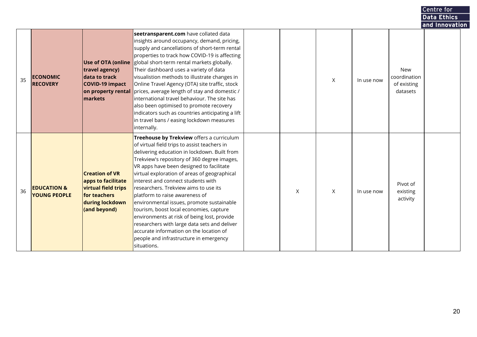|    |                                               |                                                                                                                       |                                                                                                                                                                                                                                                                                                                                                                                                                                                                                                                                                                                                                                                                                                  |   |         |            |                                                       | Centre for         |
|----|-----------------------------------------------|-----------------------------------------------------------------------------------------------------------------------|--------------------------------------------------------------------------------------------------------------------------------------------------------------------------------------------------------------------------------------------------------------------------------------------------------------------------------------------------------------------------------------------------------------------------------------------------------------------------------------------------------------------------------------------------------------------------------------------------------------------------------------------------------------------------------------------------|---|---------|------------|-------------------------------------------------------|--------------------|
|    |                                               |                                                                                                                       |                                                                                                                                                                                                                                                                                                                                                                                                                                                                                                                                                                                                                                                                                                  |   |         |            |                                                       | <b>Data Ethics</b> |
|    |                                               |                                                                                                                       |                                                                                                                                                                                                                                                                                                                                                                                                                                                                                                                                                                                                                                                                                                  |   |         |            |                                                       | and Innovation     |
| 35 | <b>ECONOMIC</b><br><b>RECOVERY</b>            | <b>Use of OTA (online</b><br>travel agency)<br>data to track<br>COVID-19 impact<br>markets                            | seetransparent.com have collated data<br>insights around occupancy, demand, pricing,<br>supply and cancellations of short-term rental<br>properties to track how COVID-19 is affecting<br>global short-term rental markets globally.<br>Their dashboard uses a variety of data<br>visualistion methods to illustrate changes in<br>Online Travel Agency (OTA) site traffic, stock<br>on property rental prices, average length of stay and domestic /<br>international travel behaviour. The site has<br>also been optimised to promote recovery<br>indicators such as countries anticipating a lift<br>in travel bans / easing lockdown measures<br>internally.                                 |   | $\sf X$ | In use now | <b>New</b><br>coordination<br>of existing<br>datasets |                    |
| 36 | <b>EDUCATION &amp;</b><br><b>YOUNG PEOPLE</b> | <b>Creation of VR</b><br>apps to facilitate<br>virtual field trips<br>for teachers<br>during lockdown<br>(and beyond) | Treehouse by Trekview offers a curriculum<br>of virtual field trips to assist teachers in<br>delivering education in lockdown. Built from<br>Trekview's repository of 360 degree images,<br>VR apps have been designed to facilitate<br>virtual exploration of areas of geographical<br>interest and connect students with<br>researchers. Trekview aims to use its<br>platform to raise awareness of<br>environmental issues, promote sustainable<br>tourism, boost local economies, capture<br>environments at risk of being lost, provide<br>researchers with large data sets and deliver<br>accurate information on the location of<br>people and infrastructure in emergency<br>situations. | X | $\sf X$ | In use now | Pivot of<br>existing<br>activity                      |                    |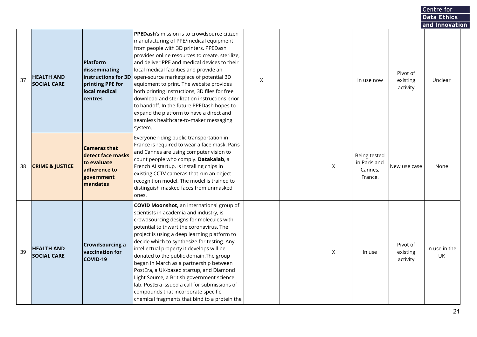|    |                                         |                                                                                                   |                                                                                                                                                                                                                                                                                                                                                                                                                                                                                                                                                                                                                                                          |   |   |                                                    |                                  | Centre for          |  |
|----|-----------------------------------------|---------------------------------------------------------------------------------------------------|----------------------------------------------------------------------------------------------------------------------------------------------------------------------------------------------------------------------------------------------------------------------------------------------------------------------------------------------------------------------------------------------------------------------------------------------------------------------------------------------------------------------------------------------------------------------------------------------------------------------------------------------------------|---|---|----------------------------------------------------|----------------------------------|---------------------|--|
|    |                                         |                                                                                                   |                                                                                                                                                                                                                                                                                                                                                                                                                                                                                                                                                                                                                                                          |   |   |                                                    |                                  | Data Ethics         |  |
|    |                                         |                                                                                                   |                                                                                                                                                                                                                                                                                                                                                                                                                                                                                                                                                                                                                                                          |   |   |                                                    |                                  | and Innovation      |  |
| 37 | <b>HEALTH AND</b><br><b>SOCIAL CARE</b> | Platform<br>disseminating<br>instructions for 3D<br>printing PPE for<br>local medical<br>centres  | <b>PPEDash's mission is to crowdsource citizen</b><br>manufacturing of PPE/medical equipment<br>from people with 3D printers. PPEDash<br>provides online resources to create, sterilize,<br>and deliver PPE and medical devices to their<br>local medical facilities and provide an<br>open-source marketplace of potential 3D<br>equipment to print. The website provides<br>both printing instructions, 3D files for free<br>download and sterilization instructions prior<br>to handoff. In the future PPEDash hopes to<br>expand the platform to have a direct and<br>seamless healthcare-to-maker messaging<br>system.                              | X |   | In use now                                         | Pivot of<br>existing<br>activity | Unclear             |  |
| 38 | <b>CRIME &amp; JUSTICE</b>              | <b>Cameras that</b><br>detect face masks<br>to evaluate<br>adherence to<br>government<br>mandates | Everyone riding public transportation in<br>France is required to wear a face mask. Paris<br>and Cannes are using computer vision to<br>count people who comply. Datakalab, a<br>French AI startup, is installing chips in<br>existing CCTV cameras that run an object<br>recognition model. The model is trained to<br>distinguish masked faces from unmasked<br>ones.                                                                                                                                                                                                                                                                                  |   | Χ | Being tested<br>in Paris and<br>Cannes,<br>France. | New use case                     | None                |  |
| 39 | <b>HEALTH AND</b><br><b>SOCIAL CARE</b> | <b>Crowdsourcing a</b><br><b>vaccination for</b><br>COVID-19                                      | <b>COVID Moonshot, an international group of</b><br>scientists in academia and industry, is<br>crowdsourcing designs for molecules with<br>potential to thwart the coronavirus. The<br>project is using a deep learning platform to<br>decide which to synthesize for testing. Any<br>intellectual property it develops will be<br>donated to the public domain. The group<br>began in March as a partnership between<br>PostEra, a UK-based startup, and Diamond<br>Light Source, a British government science<br>lab. PostEra issued a call for submissions of<br>compounds that incorporate specific<br>chemical fragments that bind to a protein the |   | X | In use                                             | Pivot of<br>existing<br>activity | In use in the<br>UK |  |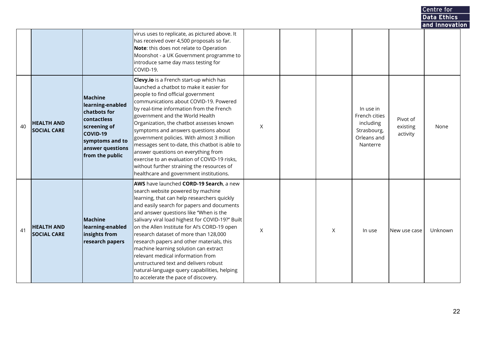|    |                                         |                                                                                                                                                  |                                                                                                                                                                                                                                                                                                                                                                                                                                                                                                                                                                                                                                             |          |   |                                                                                   |                                  | Centre for         |  |
|----|-----------------------------------------|--------------------------------------------------------------------------------------------------------------------------------------------------|---------------------------------------------------------------------------------------------------------------------------------------------------------------------------------------------------------------------------------------------------------------------------------------------------------------------------------------------------------------------------------------------------------------------------------------------------------------------------------------------------------------------------------------------------------------------------------------------------------------------------------------------|----------|---|-----------------------------------------------------------------------------------|----------------------------------|--------------------|--|
|    |                                         |                                                                                                                                                  |                                                                                                                                                                                                                                                                                                                                                                                                                                                                                                                                                                                                                                             |          |   |                                                                                   |                                  | <b>Data Ethics</b> |  |
|    |                                         |                                                                                                                                                  | virus uses to replicate, as pictured above. It<br>has received over 4,500 proposals so far.<br>Note: this does not relate to Operation<br>Moonshot - a UK Government programme to<br>introduce same day mass testing for<br>COVID-19.                                                                                                                                                                                                                                                                                                                                                                                                       |          |   |                                                                                   |                                  | and Innovation     |  |
| 40 | <b>HEALTH AND</b><br><b>SOCIAL CARE</b> | Machine<br>learning-enabled<br>chatbots for<br>contactless<br>screening of<br>COVID-19<br>symptoms and to<br>answer questions<br>from the public | Clevy.io is a French start-up which has<br>launched a chatbot to make it easier for<br>people to find official government<br>communications about COVID-19. Powered<br>by real-time information from the French<br>government and the World Health<br>Organization, the chatbot assesses known<br>symptoms and answers questions about<br>government policies. With almost 3 million<br>messages sent to-date, this chatbot is able to<br>answer questions on everything from<br>exercise to an evaluation of COVID-19 risks,<br>without further straining the resources of<br>healthcare and government institutions.                      | X        |   | In use in<br>French cities<br>including<br>Strasbourg,<br>Orleans and<br>Nanterre | Pivot of<br>existing<br>activity | None               |  |
| 41 | <b>HEALTH AND</b><br><b>SOCIAL CARE</b> | Machine<br>learning-enabled<br>insights from<br>research papers                                                                                  | <b>AWS</b> have launched <b>CORD-19 Search</b> , a new<br>search website powered by machine<br>learning, that can help researchers quickly<br>and easily search for papers and documents<br>and answer questions like "When is the<br>salivary viral load highest for COVID-19?" Built<br>on the Allen Institute for AI's CORD-19 open<br>research dataset of more than 128,000<br>research papers and other materials, this<br>machine learning solution can extract<br>relevant medical information from<br>unstructured text and delivers robust<br>natural-language query capabilities, helping<br>to accelerate the pace of discovery. | $\times$ | X | In use                                                                            | lNew use case                    | Unknown            |  |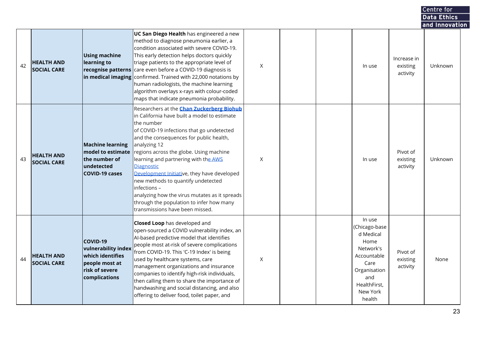|    |                                         |                                                                                                          |                                                                                                                                                                                                                                                                                                                                                                                                                                                                                                                                                                     |   |  |                                                                                                                                               |                                     | Centre for                |  |
|----|-----------------------------------------|----------------------------------------------------------------------------------------------------------|---------------------------------------------------------------------------------------------------------------------------------------------------------------------------------------------------------------------------------------------------------------------------------------------------------------------------------------------------------------------------------------------------------------------------------------------------------------------------------------------------------------------------------------------------------------------|---|--|-----------------------------------------------------------------------------------------------------------------------------------------------|-------------------------------------|---------------------------|--|
|    |                                         |                                                                                                          |                                                                                                                                                                                                                                                                                                                                                                                                                                                                                                                                                                     |   |  |                                                                                                                                               |                                     | Data Ethics               |  |
| 42 | <b>HEALTH AND</b><br><b>SOCIAL CARE</b> | <b>Using machine</b><br>learning to<br>recognise patterns                                                | UC San Diego Health has engineered a new<br>method to diagnose pneumonia earlier, a<br>condition associated with severe COVID-19.<br>This early detection helps doctors quickly<br>triage patients to the appropriate level of<br>care even before a COVID-19 diagnosis is<br>in medical imaging confirmed. Trained with 22,000 notations by<br>human radiologists, the machine learning<br>algorithm overlays x-rays with colour-coded<br>maps that indicate pneumonia probability.                                                                                | X |  | In use                                                                                                                                        | Increase in<br>existing<br>activity | and Innovation<br>Unknown |  |
| 43 | <b>HEALTH AND</b><br><b>SOCIAL CARE</b> | <b>Machine learning</b><br>model to estimate<br>the number of<br>undetected<br><b>COVID-19 cases</b>     | Researchers at the <b>Chan Zuckerberg Biohub</b><br>in California have built a model to estimate<br>the number<br>of COVID-19 infections that go undetected<br>and the consequences for public health,<br>analyzing 12<br>regions across the globe. Using machine<br>learning and partnering with the AWS<br><b>Diagnostic</b><br>Development Initiative, they have developed<br>new methods to quantify undetected<br>infections -<br>analyzing how the virus mutates as it spreads<br>through the population to infer how many<br>transmissions have been missed. | X |  | In use                                                                                                                                        | Pivot of<br>existing<br>activity    | Unknown                   |  |
| 44 | <b>HEALTH AND</b><br><b>SOCIAL CARE</b> | COVID-19<br>vulnerability index<br>which identifies<br>people most at<br>risk of severe<br>complications | <b>Closed Loop</b> has developed and<br>open-sourced a COVID vulnerability index, an<br>Al-based predictive model that identifies<br>people most at-risk of severe complications<br>from COVID-19. This 'C-19 Index' is being<br>used by healthcare systems, care<br>management organizations and insurance<br>companies to identify high-risk individuals,<br>then calling them to share the importance of<br>handwashing and social distancing, and also<br>offering to deliver food, toilet paper, and                                                           | Χ |  | In use<br>(Chicago-base<br>d Medical<br>Home<br>Network's<br>Accountable<br>Care<br>Organisation<br>and<br>HealthFirst,<br>New York<br>health | Pivot of<br>existing<br>activity    | None                      |  |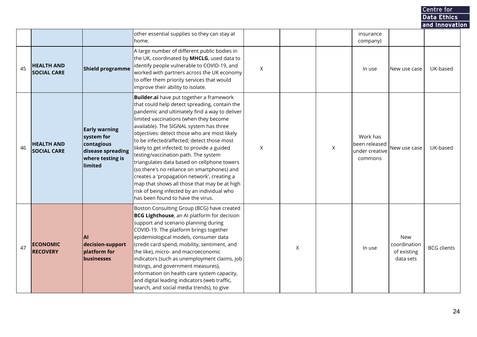**Centre for<br>Data Ethics<br>and Innovation** 

|    |                                         |                                                                                                      | other essential supplies so they can stay at<br>home.                                                                                                                                                                                                                                                                                                                                                                                                                                                                                                                                                                                                                                                 |          |   |   | insurance<br>company)                                  |                                                 |                    |
|----|-----------------------------------------|------------------------------------------------------------------------------------------------------|-------------------------------------------------------------------------------------------------------------------------------------------------------------------------------------------------------------------------------------------------------------------------------------------------------------------------------------------------------------------------------------------------------------------------------------------------------------------------------------------------------------------------------------------------------------------------------------------------------------------------------------------------------------------------------------------------------|----------|---|---|--------------------------------------------------------|-------------------------------------------------|--------------------|
| 45 | <b>HEALTH AND</b><br><b>SOCIAL CARE</b> | Shield programme                                                                                     | A large number of different public bodies in<br>the UK, coordinated by MHCLG, used data to<br>identify people vulnerable to COVID-19, and<br>worked with partners across the UK economy<br>to offer them priority services that would<br>improve their ability to isolate.                                                                                                                                                                                                                                                                                                                                                                                                                            | $\times$ |   |   | In use                                                 | New use case                                    | UK-based           |
| 46 | <b>HEALTH AND</b><br><b>SOCIAL CARE</b> | <b>Early warning</b><br>system for<br>contagious<br>disease spreading<br>where testing is<br>limited | Builder.ai have put together a framework<br>that could help detect spreading, contain the<br>pandemic and ultimately find a way to deliver<br>limited vaccinations (when they become<br>available). The SIGNAL system has three<br>objectives: detect those who are most likely<br>to be infected/affected; detect those most<br>likely to get infected; to provide a guided<br>testing/vaccination path. The system<br>triangulates data based on cellphone towers<br>(so there's no reliance on smartphones) and<br>creates a 'propagation network', creating a<br>map that shows all those that may be at high<br>risk of being infected by an individual who<br>has been found to have the virus. | X        |   | X | Work has<br>been released<br>under creative<br>commons | New use case                                    | UK-based           |
| 47 | <b>ECONOMIC</b><br><b>RECOVERY</b>      | <b>AI</b><br>decision-support<br>platform for<br>businesses                                          | Boston Consulting Group (BCG) have created<br><b>BCG Lighthouse</b> , an AI platform for decision<br>support and scenario planning during<br>COVID-19. The platform brings together<br>epidemiological models, consumer data<br>(credit card spend, mobility, sentiment, and<br>the like), micro- and macroeconomic<br>indicators (such as unemployment claims, job<br>listings, and government measures),<br>information on health care system capacity,<br>and digital leading indicators (web traffic,<br>search, and social media trends), to give                                                                                                                                                |          | Χ |   | In use                                                 | New<br>coordination<br>of existing<br>data sets | <b>BCG</b> clients |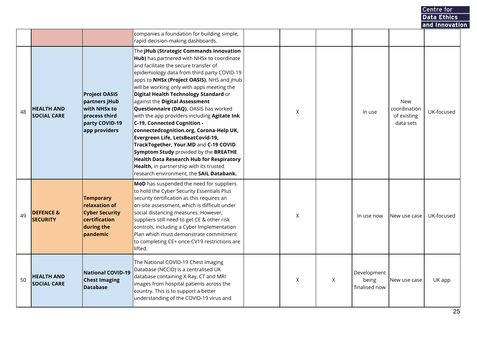|    |                                         |                                                                                                                  |                                                                                                                                                                                                                                                                                                                                                                                                                                                                                                                                                                                                                                                                                                                                                                                                                             |   |   |                                       |                                                        | Centre for     |  |
|----|-----------------------------------------|------------------------------------------------------------------------------------------------------------------|-----------------------------------------------------------------------------------------------------------------------------------------------------------------------------------------------------------------------------------------------------------------------------------------------------------------------------------------------------------------------------------------------------------------------------------------------------------------------------------------------------------------------------------------------------------------------------------------------------------------------------------------------------------------------------------------------------------------------------------------------------------------------------------------------------------------------------|---|---|---------------------------------------|--------------------------------------------------------|----------------|--|
|    |                                         |                                                                                                                  |                                                                                                                                                                                                                                                                                                                                                                                                                                                                                                                                                                                                                                                                                                                                                                                                                             |   |   |                                       |                                                        | Data Ethics    |  |
|    |                                         |                                                                                                                  |                                                                                                                                                                                                                                                                                                                                                                                                                                                                                                                                                                                                                                                                                                                                                                                                                             |   |   |                                       |                                                        | and Innovation |  |
|    |                                         |                                                                                                                  | companies a foundation for building simple,<br>rapid decision-making dashboards.                                                                                                                                                                                                                                                                                                                                                                                                                                                                                                                                                                                                                                                                                                                                            |   |   |                                       |                                                        |                |  |
| 48 | <b>HEALTH AND</b><br><b>SOCIAL CARE</b> | <b>Project OASIS</b><br>partners jHub<br><b>with NHSx to</b><br>process third<br>party COVID-19<br>app providers | The jHub (Strategic Commands Innovation<br>Hub) has partnered with NHSx to coordinate<br>and facilitate the secure transfer of<br>epidemiology data from third party COVID-19<br>apps to <b>NHSx (Project OASIS).</b> NHS and jHub<br>will be working only with apps meeting the<br>Digital Health Technology Standard or<br>against the Digital Assessment<br><b>Questionnaire (DAQ).</b> OASIS has worked<br>with the app providers including <b>Agitate Ink</b><br>C-19, Connected Cognition -<br>connectedcognition.org, Corona-Help UK,<br>Evergreen Life, LetsBeatCovid-19,<br>TrackTogether, Your.MD and C-19 COVID<br><b>Symptom Study</b> provided by the <b>BREATHE</b><br>Health Data Research Hub for Respiratory<br>Health, in partnership with its trusted<br>research environment, the <b>SAIL Databank.</b> | X |   | In use                                | <b>New</b><br>coordination<br>of existing<br>data sets | UK-focused     |  |
| 49 | <b>DEFENCE &amp;</b><br><b>SECURITY</b> | Temporary<br>relaxation of<br><b>Cyber Security</b><br>certification<br>during the<br>pandemic                   | <b>MoD</b> has suspended the need for suppliers<br>to hold the Cyber Security Essentials Plus<br>security certification as this requires an<br>on-site assessment, which is difficult under<br>social distancing measures. However,<br>suppliers still need to get CE & other risk<br>controls, including a Cyber Implementation<br>Plan which must demonstrate commitment<br>to completing CE+ once CV19 restrictions are<br>lifted.                                                                                                                                                                                                                                                                                                                                                                                       | X |   | In use now                            | New use case                                           | UK-focused     |  |
| 50 | <b>HEALTH AND</b><br><b>SOCIAL CARE</b> | <b>National COVID-19</b><br><b>Chest Imaging</b><br><b>Database</b>                                              | The National COVID-19 Chest Imaging<br>Database (NCCID) is a centralised UK<br>database containing X-Ray, CT and MRI<br>images from hospital patients across the<br>country. This is to support a better<br>understanding of the COVID-19 virus and                                                                                                                                                                                                                                                                                                                                                                                                                                                                                                                                                                         | Χ | X | Development<br>being<br>finalised now | New use case                                           | UK app         |  |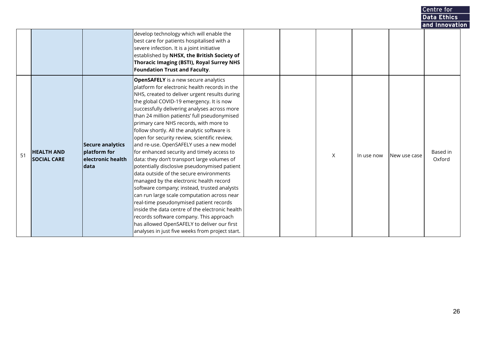|    |                                         |                                                               |                                                                                                                                                                                                                                                                                                                                                                                                                                                                                                                                                                                                                                                                                                                                                                                                                                                                                                                                                                                                                                                            |  |   |            |              | Data Ethics        |  |
|----|-----------------------------------------|---------------------------------------------------------------|------------------------------------------------------------------------------------------------------------------------------------------------------------------------------------------------------------------------------------------------------------------------------------------------------------------------------------------------------------------------------------------------------------------------------------------------------------------------------------------------------------------------------------------------------------------------------------------------------------------------------------------------------------------------------------------------------------------------------------------------------------------------------------------------------------------------------------------------------------------------------------------------------------------------------------------------------------------------------------------------------------------------------------------------------------|--|---|------------|--------------|--------------------|--|
|    |                                         |                                                               |                                                                                                                                                                                                                                                                                                                                                                                                                                                                                                                                                                                                                                                                                                                                                                                                                                                                                                                                                                                                                                                            |  |   |            |              | and Innovation     |  |
|    |                                         |                                                               | develop technology which will enable the<br>best care for patients hospitalised with a<br>severe infection. It is a joint initiative<br>established by NHSX, the British Society of<br>Thoracic Imaging (BSTI), Royal Surrey NHS<br><b>Foundation Trust and Faculty.</b>                                                                                                                                                                                                                                                                                                                                                                                                                                                                                                                                                                                                                                                                                                                                                                                   |  |   |            |              |                    |  |
| 51 | <b>HEALTH AND</b><br><b>SOCIAL CARE</b> | Secure analytics<br>platform for<br>electronic health<br>data | <b>OpenSAFELY</b> is a new secure analytics<br>platform for electronic health records in the<br>NHS, created to deliver urgent results during<br>the global COVID-19 emergency. It is now<br>successfully delivering analyses across more<br>than 24 million patients' full pseudonymised<br>primary care NHS records, with more to<br>follow shortly. All the analytic software is<br>open for security review, scientific review,<br>and re-use. OpenSAFELY uses a new model<br>for enhanced security and timely access to<br>data: they don't transport large volumes of<br>potentially disclosive pseudonymised patient<br>data outside of the secure environments<br>managed by the electronic health record<br>software company; instead, trusted analysts<br>can run large scale computation across near<br>real-time pseudonymised patient records<br>inside the data centre of the electronic health<br>records software company. This approach<br>has allowed OpenSAFELY to deliver our first<br>analyses in just five weeks from project start. |  | X | In use now | New use case | Based in<br>Oxford |  |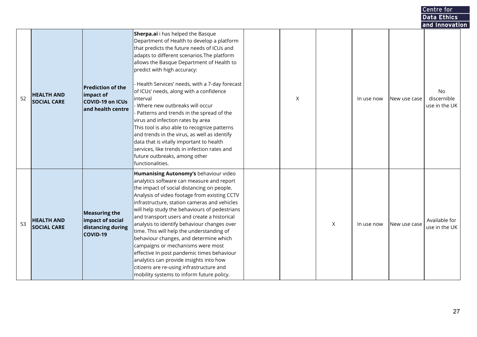|    |                                         |                                                                                       |                                                                                                                                                                                                                                                                                                                                                                                                                                                                                                                                                                                                                                                                                                                                        |   |   |            |              | Data Ethics                                          |  |
|----|-----------------------------------------|---------------------------------------------------------------------------------------|----------------------------------------------------------------------------------------------------------------------------------------------------------------------------------------------------------------------------------------------------------------------------------------------------------------------------------------------------------------------------------------------------------------------------------------------------------------------------------------------------------------------------------------------------------------------------------------------------------------------------------------------------------------------------------------------------------------------------------------|---|---|------------|--------------|------------------------------------------------------|--|
| 52 | <b>HEALTH AND</b><br><b>SOCIAL CARE</b> | <b>Prediction of the</b><br>impact of<br><b>COVID-19 on ICUs</b><br>and health centre | Sherpa.ai i has helped the Basque<br>Department of Health to develop a platform<br>that predicts the future needs of ICUs and<br>adapts to different scenarios. The platform<br>allows the Basque Department of Health to<br>predict with high accuracy:<br>- Health Services' needs, with a 7-day forecast<br>of ICUs' needs, along with a confidence<br>interval<br>Where new outbreaks will occur<br>Patterns and trends in the spread of the<br>virus and infection rates by area<br>This tool is also able to recognize patterns<br>and trends in the virus, as well as identify<br>data that is vitally important to health<br>services, like trends in infection rates and<br>future outbreaks, among other<br>functionalities. | X |   | In use now | New use case | and Innovation<br>No<br>discernible<br>use in the UK |  |
| 53 | <b>HEALTH AND</b><br><b>SOCIAL CARE</b> | <b>Measuring the</b><br>impact of social<br>distancing during<br>COVID-19             | Humanising Autonomy's behaviour video<br>analytics software can measure and report<br>the impact of social distancing on people.<br>Analysis of video footage from existing CCTV<br>infrastructure, station cameras and vehicles<br>will help study the behaviours of pedestrians<br>and transport users and create a historical<br>analysis to identify behaviour changes over<br>time. This will help the understanding of<br>behaviour changes, and determine which<br>campaigns or mechanisms were most<br>effective In post pandemic times behaviour<br>analytics can provide insights into how<br>citizens are re-using infrastructure and<br>mobility systems to inform future policy.                                          |   | X | In use now | New use case | Available for<br>use in the UK                       |  |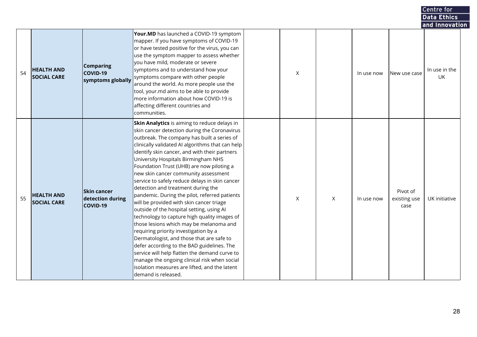|    |                                         |                                                    |                                                                                                                                                                                                                                                                                                                                                                                                                                                                                                                                                                                                                                                                                                                                                                                                                                                                                                                                                                                                                        |   |          |            |                                  | Centre for                            |  |
|----|-----------------------------------------|----------------------------------------------------|------------------------------------------------------------------------------------------------------------------------------------------------------------------------------------------------------------------------------------------------------------------------------------------------------------------------------------------------------------------------------------------------------------------------------------------------------------------------------------------------------------------------------------------------------------------------------------------------------------------------------------------------------------------------------------------------------------------------------------------------------------------------------------------------------------------------------------------------------------------------------------------------------------------------------------------------------------------------------------------------------------------------|---|----------|------------|----------------------------------|---------------------------------------|--|
|    |                                         |                                                    |                                                                                                                                                                                                                                                                                                                                                                                                                                                                                                                                                                                                                                                                                                                                                                                                                                                                                                                                                                                                                        |   |          |            |                                  | Data Ethics                           |  |
| 54 | <b>HEALTH AND</b><br><b>SOCIAL CARE</b> | <b>Comparing</b><br>COVID-19<br>symptoms globally  | Your.MD has launched a COVID-19 symptom<br>mapper. If you have symptoms of COVID-19<br>or have tested positive for the virus, you can<br>use the symptom mapper to assess whether<br>you have mild, moderate or severe<br>symptoms and to understand how your<br>symptoms compare with other people<br>around the world. As more people use the<br>tool, your.md aims to be able to provide<br>more information about how COVID-19 is<br>affecting different countries and<br>communities.                                                                                                                                                                                                                                                                                                                                                                                                                                                                                                                             | X |          | In use now | New use case                     | and Innovation<br>In use in the<br>UK |  |
| 55 | <b>HEALTH AND</b><br><b>SOCIAL CARE</b> | <b>Skin cancer</b><br>detection during<br>COVID-19 | Skin Analytics is aiming to reduce delays in<br>skin cancer detection during the Coronavirus<br>outbreak. The company has built a series of<br>clinically validated AI algorithms that can help<br>identify skin cancer, and with their partners<br>University Hospitals Birmingham NHS<br>Foundation Trust (UHB) are now piloting a<br>new skin cancer community assessment<br>service to safely reduce delays in skin cancer<br>detection and treatment during the<br>pandemic. During the pilot, referred patients<br>will be provided with skin cancer triage<br>outside of the hospital setting, using Al<br>technology to capture high quality images of<br>those lesions which may be melanoma and<br>requiring priority investigation by a<br>Dermatologist, and those that are safe to<br>defer according to the BAD guidelines. The<br>service will help flatten the demand curve to<br>manage the ongoing clinical risk when social<br>isolation measures are lifted, and the latent<br>demand is released. | Χ | $\times$ | In use now | Pivot of<br>existing use<br>case | UK initiative                         |  |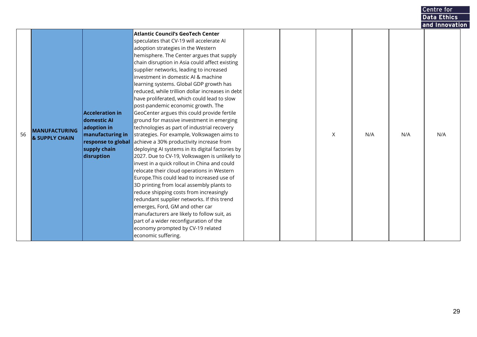|                                              |                                                                                                                              |                                                                                                                                                                                                                                                                                                                                                                                                                                                                                                                                                                                                                                                                                                                                                                                                                                                                                                                                                                                                                                                                                                                                                                                                                                                                                                                       |  |   |     |     | Centre for         |  |
|----------------------------------------------|------------------------------------------------------------------------------------------------------------------------------|-----------------------------------------------------------------------------------------------------------------------------------------------------------------------------------------------------------------------------------------------------------------------------------------------------------------------------------------------------------------------------------------------------------------------------------------------------------------------------------------------------------------------------------------------------------------------------------------------------------------------------------------------------------------------------------------------------------------------------------------------------------------------------------------------------------------------------------------------------------------------------------------------------------------------------------------------------------------------------------------------------------------------------------------------------------------------------------------------------------------------------------------------------------------------------------------------------------------------------------------------------------------------------------------------------------------------|--|---|-----|-----|--------------------|--|
|                                              |                                                                                                                              |                                                                                                                                                                                                                                                                                                                                                                                                                                                                                                                                                                                                                                                                                                                                                                                                                                                                                                                                                                                                                                                                                                                                                                                                                                                                                                                       |  |   |     |     | <b>Data Ethics</b> |  |
|                                              |                                                                                                                              |                                                                                                                                                                                                                                                                                                                                                                                                                                                                                                                                                                                                                                                                                                                                                                                                                                                                                                                                                                                                                                                                                                                                                                                                                                                                                                                       |  |   |     |     | and Innovation     |  |
| <b>MANUFACTURING</b><br>56<br>& SUPPLY CHAIN | <b>Acceleration in</b><br>domestic Al<br>adoption in<br>manufacturing in<br>response to global<br>supply chain<br>disruption | <b>Atlantic Council's GeoTech Center</b><br>speculates that CV-19 will accelerate AI<br>adoption strategies in the Western<br>hemisphere. The Center argues that supply<br>chain disruption in Asia could affect existing<br>supplier networks, leading to increased<br>investment in domestic AI & machine<br>learning systems. Global GDP growth has<br>reduced, while trillion dollar increases in debt<br>have proliferated, which could lead to slow<br>post-pandemic economic growth. The<br>GeoCenter argues this could provide fertile<br>ground for massive investment in emerging<br>technologies as part of industrial recovery<br>strategies. For example, Volkswagen aims to<br>achieve a 30% productivity increase from<br>deploying AI systems in its digital factories by<br>2027. Due to CV-19, Volkswagen is unlikely to<br>invest in a quick rollout in China and could<br>relocate their cloud operations in Western<br>Europe. This could lead to increased use of<br>3D printing from local assembly plants to<br>reduce shipping costs from increasingly<br>redundant supplier networks. If this trend<br>emerges, Ford, GM and other car<br>manufacturers are likely to follow suit, as<br>part of a wider reconfiguration of the<br>economy prompted by CV-19 related<br>economic suffering. |  | X | N/A | N/A | N/A                |  |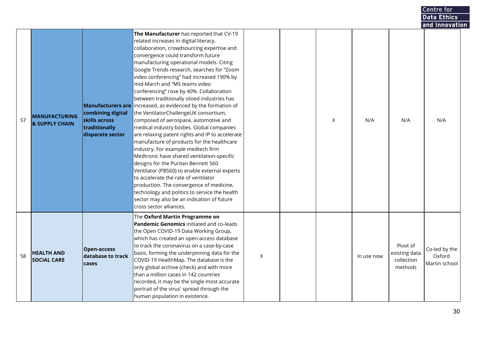|    |                                                   |                                                                         |                                                                                                                                                                                                                                                                                                                                                                                                                                                                                                                                                                                                                                                                                                                                                                                                                                                                                                                                                                                                                                                                                                                                             |   |   |            |                                                    | Centre for                               |  |
|----|---------------------------------------------------|-------------------------------------------------------------------------|---------------------------------------------------------------------------------------------------------------------------------------------------------------------------------------------------------------------------------------------------------------------------------------------------------------------------------------------------------------------------------------------------------------------------------------------------------------------------------------------------------------------------------------------------------------------------------------------------------------------------------------------------------------------------------------------------------------------------------------------------------------------------------------------------------------------------------------------------------------------------------------------------------------------------------------------------------------------------------------------------------------------------------------------------------------------------------------------------------------------------------------------|---|---|------------|----------------------------------------------------|------------------------------------------|--|
|    |                                                   |                                                                         |                                                                                                                                                                                                                                                                                                                                                                                                                                                                                                                                                                                                                                                                                                                                                                                                                                                                                                                                                                                                                                                                                                                                             |   |   |            |                                                    | Data Ethics                              |  |
|    |                                                   |                                                                         |                                                                                                                                                                                                                                                                                                                                                                                                                                                                                                                                                                                                                                                                                                                                                                                                                                                                                                                                                                                                                                                                                                                                             |   |   |            |                                                    | and Innovation                           |  |
| 57 | <b>MANUFACTURING</b><br><b>&amp; SUPPLY CHAIN</b> | combining digital<br>skills across<br>traditionally<br>disparate sector | The Manufacturer has reported that CV-19<br>related increases in digital literacy,<br>collaboration, crowdsourcing expertise and<br>convergence could transform future<br>manufacturing operational models. Citing<br>Google Trends research, searches for "Zoom<br>video conferencing" had increased 190% by<br>mid-March and "MS teams video<br>conferencing" rose by 40%. Collaboration<br>between traditionally siloed industries has<br><b>Manufacturers are</b> increased, as evidenced by the formation of<br>the VentilatorChallengeUK consortium,<br>composed of aerospace, automotive and<br>medical industry bodies. Global companies<br>are relaxing patent rights and IP to accelerate<br>manufacture of products for the healthcare<br>industry. For example medtech firm<br>Medtronic have shared ventilation-specific<br>designs for the Puritan Bennett 560<br>Ventilator (PB560) to enable external experts<br>to accelerate the rate of ventilator<br>production. The convergence of medicine,<br>technology and politics to service the health<br>sector may also be an indication of future<br>cross sector alliances. |   | X | N/A        | N/A                                                | N/A                                      |  |
| 58 | <b>HEALTH AND</b><br><b>SOCIAL CARE</b>           | Open-access <br>database to track<br>cases                              | The Oxford Martin Programme on<br>Pandemic Genomics initiated and co-leads<br>the Open COVID-19 Data Working Group,<br>which has created an open-access database<br>to track the coronavirus on a case-by-case<br>basis, forming the underpinning data for the<br>COVID-19 HealthMap. The database is the<br>only global archive (check) and with more<br>than a million cases in 142 countries<br>recorded, it may be the single most accurate<br>portrait of the virus' spread through the<br>human population in existence.                                                                                                                                                                                                                                                                                                                                                                                                                                                                                                                                                                                                              | X |   | In use now | Pivot of<br>existing data<br>collection<br>methods | Co-led by the<br>Oxford<br>Martin school |  |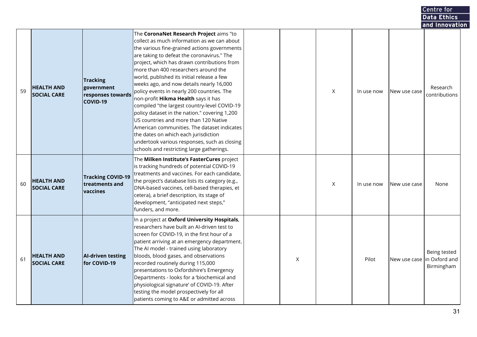|    |                                         |                                                                |                                                                                                                                                                                                                                                                                                                                                                                                                                                                                                                                                                                                                                                                                                                                                                                                         |   |   |            |              | Centre for                                               |  |
|----|-----------------------------------------|----------------------------------------------------------------|---------------------------------------------------------------------------------------------------------------------------------------------------------------------------------------------------------------------------------------------------------------------------------------------------------------------------------------------------------------------------------------------------------------------------------------------------------------------------------------------------------------------------------------------------------------------------------------------------------------------------------------------------------------------------------------------------------------------------------------------------------------------------------------------------------|---|---|------------|--------------|----------------------------------------------------------|--|
|    |                                         |                                                                |                                                                                                                                                                                                                                                                                                                                                                                                                                                                                                                                                                                                                                                                                                                                                                                                         |   |   |            |              | Data Ethics                                              |  |
|    |                                         |                                                                |                                                                                                                                                                                                                                                                                                                                                                                                                                                                                                                                                                                                                                                                                                                                                                                                         |   |   |            |              | and Innovation                                           |  |
| 59 | <b>HEALTH AND</b><br><b>SOCIAL CARE</b> | <b>Tracking</b><br>government<br>responses towards<br>COVID-19 | The CoronaNet Research Project aims "to<br>$\sf l$ collect as much information as we can about<br>the various fine-grained actions governments<br>are taking to defeat the coronavirus." The<br>project, which has drawn contributions from<br>more than 400 researchers around the<br>world, published its initial release a few<br>weeks ago, and now details nearly 16,000<br>policy events in nearly 200 countries. The<br>non-profit <b>Hikma Health</b> says it has<br>compiled "the largest country-level COVID-19<br>policy dataset in the nation." covering 1,200<br>US countries and more than 120 Native<br>American communities. The dataset indicates<br>the dates on which each jurisdiction<br>undertook various responses, such as closing<br>schools and restricting large gatherings. |   | Χ | In use now | New use case | Research<br>contributions                                |  |
| 60 | <b>HEALTH AND</b><br><b>SOCIAL CARE</b> | <b>Tracking COVID-19</b><br>treatments and<br>vaccines         | The Milken Institute's FasterCures project<br>is tracking hundreds of potential COVID-19<br>treatments and vaccines. For each candidate,<br>the project's database lists its category (e.g.,<br>DNA-based vaccines, cell-based therapies, et<br>cetera), a brief description, its stage of<br>development, "anticipated next steps,"<br>funders, and more.                                                                                                                                                                                                                                                                                                                                                                                                                                              |   | X | In use now | New use case | None                                                     |  |
| 61 | <b>HEALTH AND</b><br><b>SOCIAL CARE</b> | <b>AI-driven testing</b><br>for COVID-19                       | In a project at Oxford University Hospitals,<br>researchers have built an AI-driven test to<br>screen for COVID-19, in the first hour of a<br>patient arriving at an emergency department.<br>The AI model - trained using laboratory<br>bloods, blood gases, and observations<br>recorded routinely during 115,000<br>presentations to Oxfordshire's Emergency<br>Departments - looks for a 'biochemical and<br>physiological signature' of COVID-19. After<br>testing the model prospectively for all<br>patients coming to A&E or admitted across                                                                                                                                                                                                                                                    | X |   | Pilot      |              | Being tested<br>New use case in Oxford and<br>Birmingham |  |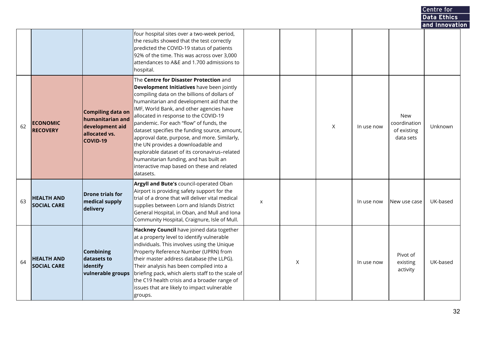|    |                                         |                                                                                              |                                                                                                                                                                                                                                                                                                                                                                                                                                                                                                                                                                                                               |   |   |              |            |                                                        | <b>Data Ethics</b> |
|----|-----------------------------------------|----------------------------------------------------------------------------------------------|---------------------------------------------------------------------------------------------------------------------------------------------------------------------------------------------------------------------------------------------------------------------------------------------------------------------------------------------------------------------------------------------------------------------------------------------------------------------------------------------------------------------------------------------------------------------------------------------------------------|---|---|--------------|------------|--------------------------------------------------------|--------------------|
|    |                                         |                                                                                              | four hospital sites over a two-week period,<br>the results showed that the test correctly<br>predicted the COVID-19 status of patients<br>92% of the time. This was across over 3,000<br>attendances to A&E and 1.700 admissions to<br>hospital.                                                                                                                                                                                                                                                                                                                                                              |   |   |              |            |                                                        | and Innovation     |
| 62 | <b>ECONOMIC</b><br><b>RECOVERY</b>      | Compiling data on<br>humanitarian and<br>development aid<br>allocated vs.<br><b>COVID-19</b> | The Centre for Disaster Protection and<br>Development Initiatives have been jointly<br>compiling data on the billions of dollars of<br>humanitarian and development aid that the<br>IMF, World Bank, and other agencies have<br>allocated in response to the COVID-19<br>pandemic. For each "flow" of funds, the<br>dataset specifies the funding source, amount,<br>approval date, purpose, and more. Similarly,<br>the UN provides a downloadable and<br>explorable dataset of its coronavirus-related<br>humanitarian funding, and has built an<br>interactive map based on these and related<br>datasets. |   |   | $\mathsf{X}$ | In use now | <b>New</b><br>coordination<br>of existing<br>data sets | Unknown            |
| 63 | <b>HEALTH AND</b><br><b>SOCIAL CARE</b> | Drone trials for<br>medical supply<br>delivery                                               | Argyll and Bute's council-operated Oban<br>Airport is providing safety support for the<br>trial of a drone that will deliver vital medical<br>supplies between Lorn and Islands District<br>General Hospital, in Oban, and Mull and Iona<br>Community Hospital, Craignure, Isle of Mull.                                                                                                                                                                                                                                                                                                                      | X |   |              | In use now | New use case                                           | UK-based           |
| 64 | <b>HEALTH AND</b><br><b>SOCIAL CARE</b> | <b>Combining</b><br>datasets to<br>identify<br>vulnerable groups                             | Hackney Council have joined data together<br>at a property level to identify vulnerable<br>individuals. This involves using the Unique<br>Property Reference Number (UPRN) from<br>their master address database (the LLPG).<br>Their analysis has been compiled into a<br>briefing pack, which alerts staff to the scale of<br>the C19 health crisis and a broader range of<br>issues that are likely to impact vulnerable<br>groups.                                                                                                                                                                        |   | X |              | In use now | Pivot of<br>existing<br>activity                       | UK-based           |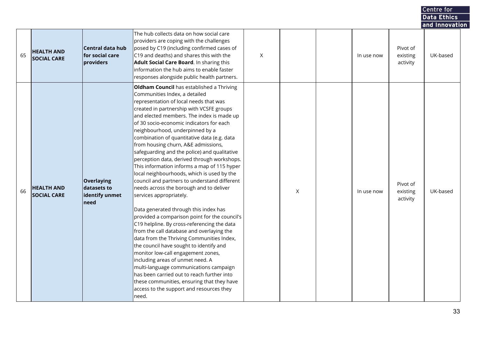|    |                                         |                                                            |                                                                                                                                                                                                                                                                                                                                                                                                                                                                                                                                                                                                                                                                                                                                                                                                                                                                                                                                                                                                                                                                                                                                                                                                                                                         |   |   |            |                                  | Centre for     |  |
|----|-----------------------------------------|------------------------------------------------------------|---------------------------------------------------------------------------------------------------------------------------------------------------------------------------------------------------------------------------------------------------------------------------------------------------------------------------------------------------------------------------------------------------------------------------------------------------------------------------------------------------------------------------------------------------------------------------------------------------------------------------------------------------------------------------------------------------------------------------------------------------------------------------------------------------------------------------------------------------------------------------------------------------------------------------------------------------------------------------------------------------------------------------------------------------------------------------------------------------------------------------------------------------------------------------------------------------------------------------------------------------------|---|---|------------|----------------------------------|----------------|--|
|    |                                         |                                                            |                                                                                                                                                                                                                                                                                                                                                                                                                                                                                                                                                                                                                                                                                                                                                                                                                                                                                                                                                                                                                                                                                                                                                                                                                                                         |   |   |            |                                  | Data Ethics    |  |
|    |                                         |                                                            |                                                                                                                                                                                                                                                                                                                                                                                                                                                                                                                                                                                                                                                                                                                                                                                                                                                                                                                                                                                                                                                                                                                                                                                                                                                         |   |   |            |                                  | and Innovation |  |
| 65 | <b>HEALTH AND</b><br><b>SOCIAL CARE</b> | Central data hub<br>for social care<br>providers           | The hub collects data on how social care<br>providers are coping with the challenges<br>posed by C19 (including confirmed cases of<br>C19 and deaths) and shares this with the<br>Adult Social Care Board. In sharing this<br>information the hub aims to enable faster<br>responses alongside public health partners.                                                                                                                                                                                                                                                                                                                                                                                                                                                                                                                                                                                                                                                                                                                                                                                                                                                                                                                                  | X |   | In use now | Pivot of<br>existing<br>activity | UK-based       |  |
| 66 | <b>HEALTH AND</b><br><b>SOCIAL CARE</b> | <b>Overlaying</b><br>datasets to<br>identify unmet<br>need | Oldham Council has established a Thriving<br>Communities Index, a detailed<br>representation of local needs that was<br>created in partnership with VCSFE groups<br>and elected members. The index is made up<br>of 30 socio-economic indicators for each<br>neighbourhood, underpinned by a<br>combination of quantitative data (e.g. data<br>from housing churn, A&E admissions,<br>safeguarding and the police) and qualitative<br>perception data, derived through workshops.<br>This information informs a map of 115 hyper<br>local neighbourhoods, which is used by the<br>council and partners to understand different<br>needs across the borough and to deliver<br>services appropriately.<br>Data generated through this index has<br>provided a comparison point for the council's<br>C19 helpline. By cross-referencing the data<br>from the call database and overlaying the<br>data from the Thriving Communities Index,<br>the council have sought to identify and<br>monitor low-call engagement zones,<br>including areas of unmet need. A<br>multi-language communications campaign<br>has been carried out to reach further into<br>these communities, ensuring that they have<br>access to the support and resources they<br>need. |   | X | In use now | Pivot of<br>existing<br>activity | UK-based       |  |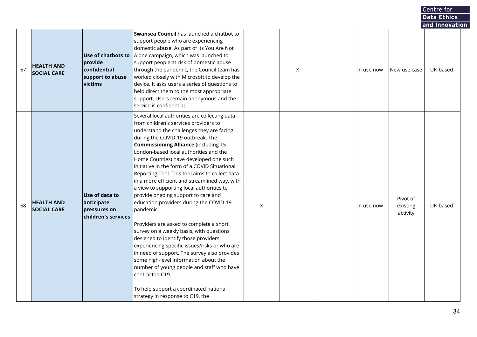|    |                                         |                                                                              |                                                                                                                                                                                                                                                                                                                                                                                                                                                                                                                                                                                                                                                                                                                                                                                                                                                                                                                                                                                                                                    |   |   |            |                                  | Centre for     |  |
|----|-----------------------------------------|------------------------------------------------------------------------------|------------------------------------------------------------------------------------------------------------------------------------------------------------------------------------------------------------------------------------------------------------------------------------------------------------------------------------------------------------------------------------------------------------------------------------------------------------------------------------------------------------------------------------------------------------------------------------------------------------------------------------------------------------------------------------------------------------------------------------------------------------------------------------------------------------------------------------------------------------------------------------------------------------------------------------------------------------------------------------------------------------------------------------|---|---|------------|----------------------------------|----------------|--|
|    |                                         |                                                                              |                                                                                                                                                                                                                                                                                                                                                                                                                                                                                                                                                                                                                                                                                                                                                                                                                                                                                                                                                                                                                                    |   |   |            |                                  | Data Ethics    |  |
|    |                                         |                                                                              |                                                                                                                                                                                                                                                                                                                                                                                                                                                                                                                                                                                                                                                                                                                                                                                                                                                                                                                                                                                                                                    |   |   |            |                                  | and Innovation |  |
| 67 | <b>HEALTH AND</b><br><b>SOCIAL CARE</b> | Use of chatbots to<br>provide<br>confidential<br>support to abuse<br>victims | Swansea Council has launched a chatbot to<br>support people who are experiencing<br>domestic abuse. As part of its You Are Not<br>Alone campaign, which was launched to<br>support people at risk of domestic abuse<br>through the pandemic, the Council team has<br>worked closely with Microsoft to develop the<br>device. It asks users a series of questions to<br>help direct them to the most appropriate<br>support. Users remain anonymous and the<br>service is confidential.                                                                                                                                                                                                                                                                                                                                                                                                                                                                                                                                             |   | X | In use now | New use case                     | UK-based       |  |
| 68 | <b>HEALTH AND</b><br><b>SOCIAL CARE</b> | Use of data to<br>anticipate<br>pressures on<br>children's services          | Several local authorities are collecting data<br>from children's services providers to<br>understand the challenges they are facing<br>during the COVID-19 outbreak. The<br><b>Commissioning Alliance</b> (including 15<br>London-based local authorities and the<br>Home Counties) have developed one such<br>initiative in the form of a COVID Situational<br>Reporting Tool. This tool aims to collect data<br>in a more efficient and streamlined way, with<br>a view to supporting local authorities to<br>provide ongoing support to care and<br>education providers during the COVID-19<br>pandemic.<br>Providers are asked to complete a short<br>survey on a weekly basis, with questions<br>designed to identify those providers<br>experiencing specific issues/risks or who are<br>in need of support. The survey also provides<br>some high-level information about the<br>number of young people and staff who have<br>contracted C19.<br>To help support a coordinated national<br>strategy in response to C19, the | X |   | In use now | Pivot of<br>existing<br>activity | UK-based       |  |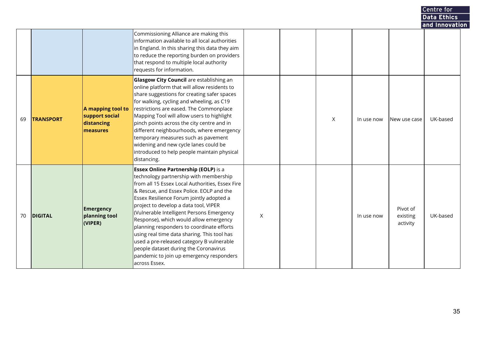|    |                  |                                                               |                                                                                                                                                                                                                                                                                                                                                                                                                                                                                                                                                                                                                 |          |          |            |                                  | Centre for         |  |
|----|------------------|---------------------------------------------------------------|-----------------------------------------------------------------------------------------------------------------------------------------------------------------------------------------------------------------------------------------------------------------------------------------------------------------------------------------------------------------------------------------------------------------------------------------------------------------------------------------------------------------------------------------------------------------------------------------------------------------|----------|----------|------------|----------------------------------|--------------------|--|
|    |                  |                                                               |                                                                                                                                                                                                                                                                                                                                                                                                                                                                                                                                                                                                                 |          |          |            |                                  | <b>Data Ethics</b> |  |
|    |                  |                                                               | Commissioning Alliance are making this<br>information available to all local authorities<br>in England. In this sharing this data they aim<br>to reduce the reporting burden on providers<br>that respond to multiple local authority<br>requests for information.                                                                                                                                                                                                                                                                                                                                              |          |          |            |                                  | and Innovation     |  |
| 69 | <b>TRANSPORT</b> | A mapping tool to<br>support social<br>distancing<br>measures | <b>Glasgow City Council</b> are establishing an<br>online platform that will allow residents to<br>share suggestions for creating safer spaces<br>for walking, cycling and wheeling, as C19<br>restrictions are eased. The Commonplace<br>Mapping Tool will allow users to highlight<br>pinch points across the city centre and in<br>different neighbourhoods, where emergency<br>temporary measures such as pavement<br>widening and new cycle lanes could be<br>introduced to help people maintain physical<br>distancing.                                                                                   |          | $\times$ | In use now | New use case                     | UK-based           |  |
| 70 | <b>DIGITAL</b>   | Emergency<br>planning tool<br>(VIPER)                         | <b>Essex Online Partnership (EOLP)</b> is a<br>technology partnership with membership<br>from all 15 Essex Local Authorities, Essex Fire<br>& Rescue, and Essex Police. EOLP and the<br>Essex Resilience Forum jointly adopted a<br>project to develop a data tool, VIPER<br>(Vulnerable Intelligent Persons Emergency<br>Response), which would allow emergency<br>planning responders to coordinate efforts<br>using real time data sharing. This tool has<br>used a pre-released category B vulnerable<br>people dataset during the Coronavirus<br>pandemic to join up emergency responders<br>across Essex. | $\times$ |          | In use now | Pivot of<br>existing<br>activity | UK-based           |  |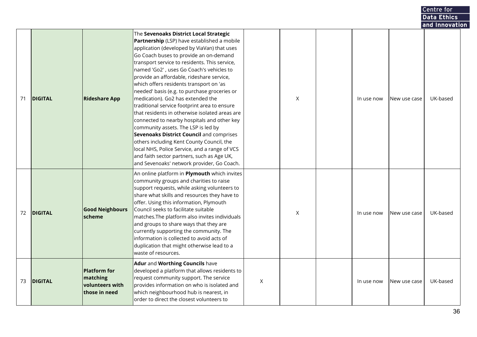|    |                |                                                                     |                                                                                                                                                                                                                                                                                                                                                                                                                                                                                                                                                                                                                                                                                                                                                                                                                                                                                               |   |   |            |              | Data Ethics    |  |
|----|----------------|---------------------------------------------------------------------|-----------------------------------------------------------------------------------------------------------------------------------------------------------------------------------------------------------------------------------------------------------------------------------------------------------------------------------------------------------------------------------------------------------------------------------------------------------------------------------------------------------------------------------------------------------------------------------------------------------------------------------------------------------------------------------------------------------------------------------------------------------------------------------------------------------------------------------------------------------------------------------------------|---|---|------------|--------------|----------------|--|
|    |                |                                                                     |                                                                                                                                                                                                                                                                                                                                                                                                                                                                                                                                                                                                                                                                                                                                                                                                                                                                                               |   |   |            |              | and Innovation |  |
| 71 | <b>DIGITAL</b> | <b>Rideshare App</b>                                                | The Sevenoaks District Local Strategic<br><b>Partnership</b> (LSP) have established a mobile<br>application (developed by ViaVan) that uses<br>Go Coach buses to provide an on-demand<br>transport service to residents. This service,<br>named 'Go2', uses Go Coach's vehicles to<br>provide an affordable, rideshare service,<br>which offers residents transport on 'as<br>needed' basis (e.g. to purchase groceries or<br>medication). Go2 has extended the<br>traditional service footprint area to ensure<br>that residents in otherwise isolated areas are<br>connected to nearby hospitals and other key<br>community assets. The LSP is led by<br>Sevenoaks District Council and comprises<br>others including Kent County Council, the<br>local NHS, Police Service, and a range of VCS<br>and faith sector partners, such as Age UK,<br>and Sevenoaks' network provider, Go Coach. |   | X | In use now | New use case | UK-based       |  |
| 72 | <b>DIGITAL</b> | <b>Good Neighbours</b><br>scheme                                    | An online platform in Plymouth which invites<br>community groups and charities to raise<br>support requests, while asking volunteers to<br>share what skills and resources they have to<br>offer. Using this information, Plymouth<br>Council seeks to facilitate suitable<br>matches. The platform also invites individuals<br>and groups to share ways that they are<br>currently supporting the community. The<br>information is collected to avoid acts of<br>duplication that might otherwise lead to a<br>waste of resources.                                                                                                                                                                                                                                                                                                                                                           |   | X | In use now | New use case | UK-based       |  |
| 73 | <b>DIGITAL</b> | <b>Platform for</b><br>matching<br>volunteers with<br>those in need | Adur and Worthing Councils have<br>developed a platform that allows residents to<br>request community support. The service<br>provides information on who is isolated and<br>which neighbourhood hub is nearest, in<br>order to direct the closest volunteers to                                                                                                                                                                                                                                                                                                                                                                                                                                                                                                                                                                                                                              | X |   | In use now | New use case | UK-based       |  |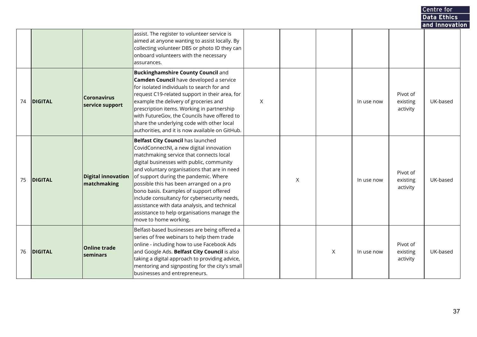|    |                |                                          |                                                                                                                                                                                                                                                                                                                                                                                                                                                                                                                                      |   |   |         |            |                                  | Centre for     |  |
|----|----------------|------------------------------------------|--------------------------------------------------------------------------------------------------------------------------------------------------------------------------------------------------------------------------------------------------------------------------------------------------------------------------------------------------------------------------------------------------------------------------------------------------------------------------------------------------------------------------------------|---|---|---------|------------|----------------------------------|----------------|--|
|    |                |                                          |                                                                                                                                                                                                                                                                                                                                                                                                                                                                                                                                      |   |   |         |            |                                  | Data Ethics    |  |
|    |                |                                          | assist. The register to volunteer service is<br>aimed at anyone wanting to assist locally. By<br>collecting volunteer DBS or photo ID they can<br>onboard volunteers with the necessary<br>assurances.                                                                                                                                                                                                                                                                                                                               |   |   |         |            |                                  | and Innovation |  |
| 74 | <b>DIGITAL</b> | <b>Coronavirus</b><br>service support    | <b>Buckinghamshire County Council and</b><br><b>Camden Council</b> have developed a service<br>for isolated individuals to search for and<br>request C19-related support in their area, for<br>example the delivery of groceries and<br>prescription items. Working in partnership<br>with FutureGov, the Councils have offered to<br>share the underlying code with other local<br>authorities, and it is now available on GitHub.                                                                                                  | X |   |         | In use now | Pivot of<br>existing<br>activity | UK-based       |  |
| 75 | <b>DIGITAL</b> | <b>Digital innovation</b><br>matchmaking | <b>Belfast City Council has launched</b><br>CovidConnectNI, a new digital innovation<br>matchmaking service that connects local<br>digital businesses with public, community<br>and voluntary organisations that are in need<br>of support during the pandemic. Where<br>possible this has been arranged on a pro<br>bono basis. Examples of support offered<br>include consultancy for cybersecurity needs,<br>assistance with data analysis, and technical<br>assistance to help organisations manage the<br>move to home working. |   | X |         | In use now | Pivot of<br>existing<br>activity | UK-based       |  |
| 76 | <b>DIGITAL</b> | <b>Online trade</b><br>seminars          | Belfast-based businesses are being offered a<br>series of free webinars to help them trade<br>online - including how to use Facebook Ads<br>and Google Ads. Belfast City Council is also<br>taking a digital approach to providing advice,<br>mentoring and signposting for the city's small<br>businesses and entrepreneurs.                                                                                                                                                                                                        |   |   | $\sf X$ | In use now | Pivot of<br>existing<br>activity | UK-based       |  |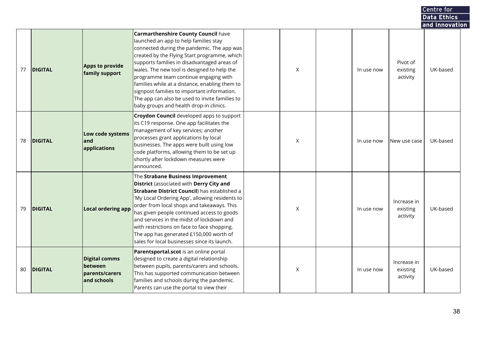|    |                |                                                                  |                                                                                                                                                                                                                                                                                                                                                                                                                                                                                                                        |   |            |                                     | Centre for                 |  |
|----|----------------|------------------------------------------------------------------|------------------------------------------------------------------------------------------------------------------------------------------------------------------------------------------------------------------------------------------------------------------------------------------------------------------------------------------------------------------------------------------------------------------------------------------------------------------------------------------------------------------------|---|------------|-------------------------------------|----------------------------|--|
|    |                |                                                                  |                                                                                                                                                                                                                                                                                                                                                                                                                                                                                                                        |   |            |                                     | Data Ethics                |  |
| 77 | <b>DIGITAL</b> | Apps to provide<br>family support                                | <b>Carmarthenshire County Council have</b><br>launched an app to help families stay<br>connected during the pandemic. The app was<br>created by the Flying Start programme, which<br>supports families in disadvantaged areas of<br>wales. The new tool is designed to help the<br>programme team continue engaging with<br>families while at a distance, enabling them to<br>signpost families to important information.<br>The app can also be used to invite families to<br>baby groups and health drop-in clinics. | X | In use now | Pivot of<br>existing<br>activity    | and Innovation<br>UK-based |  |
| 78 | <b>DIGITAL</b> | Low code systems<br>land<br>applications                         | <b>Croydon Council</b> developed apps to support<br>its C19 response. One app facilitates the<br>management of key services; another<br>processes grant applications by local<br>businesses. The apps were built using low<br>code platforms, allowing them to be set up<br>shortly after lockdown measures were<br>announced.                                                                                                                                                                                         | X | In use now | New use case                        | UK-based                   |  |
| 79 | <b>DIGITAL</b> | Local ordering app                                               | The Strabane Business Improvement<br>District (associated with Derry City and<br>Strabane District Council) has established a<br>'My Local Ordering App', allowing residents to<br>order from local shops and takeaways. This<br>has given people continued access to goods<br>and services in the midst of lockdown and<br>with restrictions on face to face shopping.<br>The app has generated £150,000 worth of<br>sales for local businesses since its launch.                                                     | X | In use now | Increase in<br>existing<br>activity | UK-based                   |  |
| 80 | <b>DIGITAL</b> | Digital comms<br><b>between</b><br>parents/carers<br>and schools | Parentsportal.scot is an online portal<br>designed to create a digital relationship<br>between pupils, parents/carers and schools.<br>This has supported communication between<br>families and schools during the pandemic.<br>Parents can use the portal to view their                                                                                                                                                                                                                                                | X | In use now | Increase in<br>existing<br>activity | UK-based                   |  |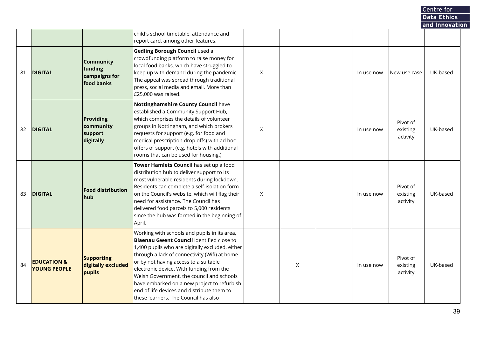Centre for<br>Data Ethics<br>and Innovation

|    |                                               |                                                            |                                                                                                                                                                                                                                                                                                                                                                                                                                                                             |          |   |            |                                  | <u>ana minovatr</u> |
|----|-----------------------------------------------|------------------------------------------------------------|-----------------------------------------------------------------------------------------------------------------------------------------------------------------------------------------------------------------------------------------------------------------------------------------------------------------------------------------------------------------------------------------------------------------------------------------------------------------------------|----------|---|------------|----------------------------------|---------------------|
|    |                                               |                                                            | child's school timetable, attendance and<br>report card, among other features.                                                                                                                                                                                                                                                                                                                                                                                              |          |   |            |                                  |                     |
| 81 | <b>DIGITAL</b>                                | <b>Community</b><br>funding<br>campaigns for<br>food banks | Gedling Borough Council used a<br>crowdfunding platform to raise money for<br>local food banks, which have struggled to<br>keep up with demand during the pandemic.<br>The appeal was spread through traditional<br>press, social media and email. More than<br>£25,000 was raised.                                                                                                                                                                                         | X        |   | In use now | New use case                     | UK-based            |
| 82 | <b>DIGITAL</b>                                | <b>Providing</b><br>community<br>support<br>digitally      | <b>Nottinghamshire County Council have</b><br>established a Community Support Hub,<br>which comprises the details of volunteer<br>groups in Nottingham, and which brokers<br>requests for support (e.g. for food and<br>medical prescription drop offs) with ad hoc<br>offers of support (e.g. hotels with additional<br>rooms that can be used for housing.)                                                                                                               | X        |   | In use now | Pivot of<br>existing<br>activity | UK-based            |
| 83 | <b>DIGITAL</b>                                | <b>Food distribution</b><br>hub                            | Tower Hamlets Council has set up a food<br>distribution hub to deliver support to its<br>most vulnerable residents during lockdown.<br>Residents can complete a self-isolation form<br>on the Council's website, which will flag their<br>need for assistance. The Council has<br>delivered food parcels to 5,000 residents<br>since the hub was formed in the beginning of<br>April.                                                                                       | $\times$ |   | In use now | Pivot of<br>existing<br>activity | UK-based            |
| 84 | <b>EDUCATION &amp;</b><br><b>YOUNG PEOPLE</b> | <b>Supporting</b><br>digitally excluded<br>pupils          | Working with schools and pupils in its area,<br><b>Blaenau Gwent Council</b> identified close to<br>1,400 pupils who are digitally excluded, either<br>through a lack of connectivity (Wifi) at home<br>or by not having access to a suitable<br>electronic device. With funding from the<br>Welsh Government, the council and schools<br>have embarked on a new project to refurbish<br>end of life devices and distribute them to<br>these learners. The Council has also |          | X | In use now | Pivot of<br>existing<br>activity | UK-based            |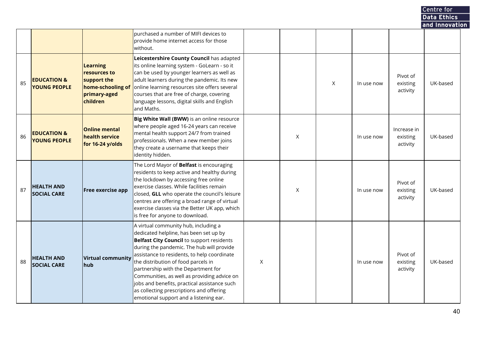|    |                                               |                                                                                                 |                                                                                                                                                                                                                                                                                                                                                                                                                                                                                                   |   |          |          |            |                                     | <b>Data Ethics</b> |  |
|----|-----------------------------------------------|-------------------------------------------------------------------------------------------------|---------------------------------------------------------------------------------------------------------------------------------------------------------------------------------------------------------------------------------------------------------------------------------------------------------------------------------------------------------------------------------------------------------------------------------------------------------------------------------------------------|---|----------|----------|------------|-------------------------------------|--------------------|--|
|    |                                               |                                                                                                 |                                                                                                                                                                                                                                                                                                                                                                                                                                                                                                   |   |          |          |            |                                     | and Innovation     |  |
|    |                                               |                                                                                                 | purchased a number of MIFI devices to<br>provide home internet access for those<br>without.                                                                                                                                                                                                                                                                                                                                                                                                       |   |          |          |            |                                     |                    |  |
| 85 | <b>EDUCATION &amp;</b><br><b>YOUNG PEOPLE</b> | Learning<br><b>resources to</b><br>support the<br>home-schooling of<br>primary-aged<br>children | Leicestershire County Council has adapted<br>its online learning system - GoLearn - so it<br>can be used by younger learners as well as<br>adult learners during the pandemic. Its new<br>online learning resources site offers several<br>courses that are free of charge, covering<br>language lessons, digital skills and English<br>and Maths.                                                                                                                                                |   |          | $\times$ | In use now | Pivot of<br>existing<br>activity    | UK-based           |  |
| 86 | <b>EDUCATION &amp;</b><br>YOUNG PEOPLE        | <b>Online mental</b><br>health service<br>for 16-24 y/olds                                      | Big White Wall (BWW) is an online resource<br>where people aged 16-24 years can receive<br>mental health support 24/7 from trained<br>professionals. When a new member joins<br>they create a username that keeps their<br>identity hidden.                                                                                                                                                                                                                                                       |   | Χ        |          | In use now | Increase in<br>existing<br>activity | UK-based           |  |
| 87 | <b>HEALTH AND</b><br><b>SOCIAL CARE</b>       | <b>Free exercise app</b>                                                                        | The Lord Mayor of Belfast is encouraging<br>residents to keep active and healthy during<br>the lockdown by accessing free online<br>exercise classes. While facilities remain<br>closed, GLL who operate the council's leisure<br>centres are offering a broad range of virtual<br>exercise classes via the Better UK app, which<br>is free for anyone to download.                                                                                                                               |   | $\times$ |          | In use now | Pivot of<br>existing<br>activity    | UK-based           |  |
| 88 | <b>HEALTH AND</b><br><b>SOCIAL CARE</b>       | <b>Virtual community</b><br>hub                                                                 | A virtual community hub, including a<br>dedicated helpline, has been set up by<br><b>Belfast City Council</b> to support residents<br>during the pandemic. The hub will provide<br>assistance to residents, to help coordinate<br>the distribution of food parcels in<br>partnership with the Department for<br>Communities, as well as providing advice on<br>jobs and benefits, practical assistance such<br>as collecting prescriptions and offering<br>emotional support and a listening ear. | X |          |          | In use now | Pivot of<br>existing<br>activity    | UK-based           |  |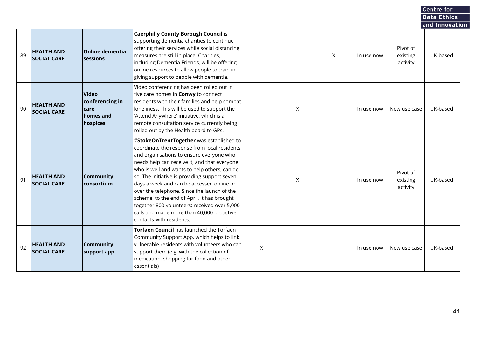|    |                                         |                                                                         |                                                                                                                                                                                                                                                                                                                                                                                                                                                                                                                                                           |   |   |   |            |                                  | Centre for                 |  |
|----|-----------------------------------------|-------------------------------------------------------------------------|-----------------------------------------------------------------------------------------------------------------------------------------------------------------------------------------------------------------------------------------------------------------------------------------------------------------------------------------------------------------------------------------------------------------------------------------------------------------------------------------------------------------------------------------------------------|---|---|---|------------|----------------------------------|----------------------------|--|
|    |                                         |                                                                         |                                                                                                                                                                                                                                                                                                                                                                                                                                                                                                                                                           |   |   |   |            |                                  | Data Ethics                |  |
| 89 | <b>HEALTH AND</b><br><b>SOCIAL CARE</b> | <b>Online dementia</b><br>sessions                                      | <b>Caerphilly County Borough Council is</b><br>supporting dementia charities to continue<br>offering their services while social distancing<br>measures are still in place. Charities,<br>including Dementia Friends, will be offering<br>online resources to allow people to train in<br>giving support to people with dementia.                                                                                                                                                                                                                         |   |   | X | In use now | Pivot of<br>existing<br>activity | and Innovation<br>UK-based |  |
| 90 | <b>HEALTH AND</b><br><b>SOCIAL CARE</b> | <b>Video</b><br>conferencing in<br><b>care</b><br>homes and<br>hospices | Video conferencing has been rolled out in<br>five care homes in <b>Conwy</b> to connect<br>residents with their families and help combat<br>loneliness. This will be used to support the<br>'Attend Anywhere' initiative, which is a<br>remote consultation service currently being<br>rolled out by the Health board to GPs.                                                                                                                                                                                                                             |   | X |   | In use now | New use case                     | UK-based                   |  |
| 91 | <b>HEALTH AND</b><br><b>SOCIAL CARE</b> | Community<br>consortium                                                 | #StokeOnTrentTogether was established to<br>coordinate the response from local residents<br>and organisations to ensure everyone who<br>needs help can receive it, and that everyone<br>who is well and wants to help others, can do<br>so. The initiative is providing support seven<br>days a week and can be accessed online or<br>over the telephone. Since the launch of the<br>scheme, to the end of April, it has brought<br>together 800 volunteers; received over 5,000<br>calls and made more than 40,000 proactive<br>contacts with residents. |   | X |   | In use now | Pivot of<br>existing<br>activity | UK-based                   |  |
| 92 | <b>HEALTH AND</b><br><b>SOCIAL CARE</b> | Community<br>support app                                                | Torfaen Council has launched the Torfaen<br>Community Support App, which helps to link<br>vulnerable residents with volunteers who can<br>support them (e.g. with the collection of<br>medication, shopping for food and other<br>essentials)                                                                                                                                                                                                                                                                                                             | X |   |   | In use now | New use case                     | UK-based                   |  |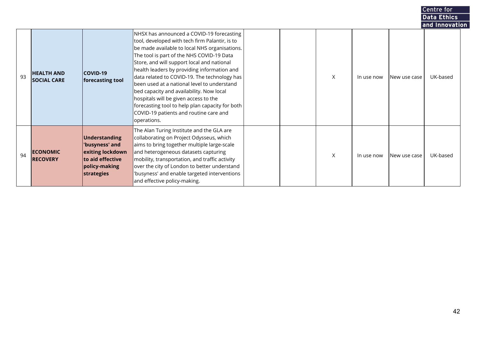|    |                                         |                                                                                                        |                                                                                                                                                                                                                                                                                                                                                                                                                                                                                                                                                                                        |  |   |            |              | Centre for                 |  |
|----|-----------------------------------------|--------------------------------------------------------------------------------------------------------|----------------------------------------------------------------------------------------------------------------------------------------------------------------------------------------------------------------------------------------------------------------------------------------------------------------------------------------------------------------------------------------------------------------------------------------------------------------------------------------------------------------------------------------------------------------------------------------|--|---|------------|--------------|----------------------------|--|
|    |                                         |                                                                                                        |                                                                                                                                                                                                                                                                                                                                                                                                                                                                                                                                                                                        |  |   |            |              | <b>Data Ethics</b>         |  |
| 93 | <b>HEALTH AND</b><br><b>SOCIAL CARE</b> | <b>COVID-19</b><br>forecasting tool                                                                    | NHSX has announced a COVID-19 forecasting<br>tool, developed with tech firm Palantir, is to<br>be made available to local NHS organisations.<br>The tool is part of the NHS COVID-19 Data<br>Store, and will support local and national<br>health leaders by providing information and<br>data related to COVID-19. The technology has<br>been used at a national level to understand<br>bed capacity and availability. Now local<br>hospitals will be given access to the<br>forecasting tool to help plan capacity for both<br>COVID-19 patients and routine care and<br>operations. |  | X | In use now | New use case | and Innovation<br>UK-based |  |
| 94 | <b>ECONOMIC</b><br><b>RECOVERY</b>      | Understanding<br>'busyness' and<br>exiting lockdown<br>to aid effective<br>policy-making<br>strategies | The Alan Turing Institute and the GLA are<br>collaborating on Project Odysseus, which<br>aims to bring together multiple large-scale<br>and heterogeneous datasets capturing<br>mobility, transportation, and traffic activity<br>over the city of London to better understand<br>'busyness' and enable targeted interventions<br>and effective policy-making.                                                                                                                                                                                                                         |  | X | In use now | New use case | UK-based                   |  |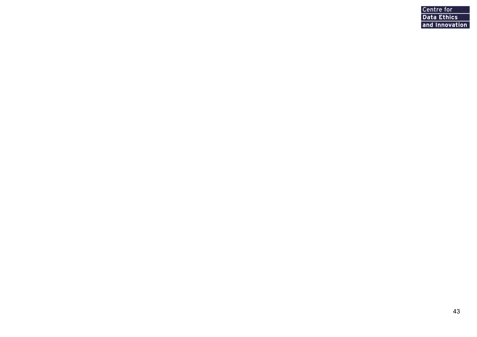| <b>Centre for</b>  |
|--------------------|
| <b>Data Ethics</b> |
| and Innovation     |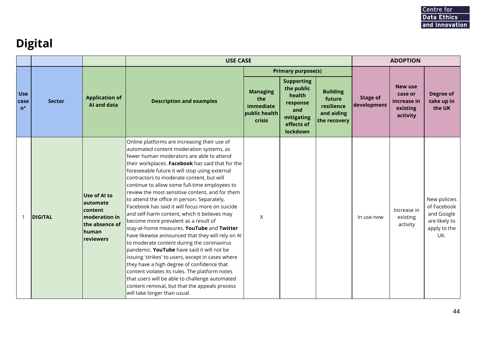## **Digital**

|                                   |                |                                                                                                                           | <b>USE CASE</b>                                                                                                                                                                                                                                                                                                                                                                                                                                                                                                                                                                                                                                                                                                                                                                                                                                                                                                                                                                                                                                                               |                                                                |                                                                                                                                   |                                                                       |                                | <b>ADOPTION</b>                                                  |                                                                                   |
|-----------------------------------|----------------|---------------------------------------------------------------------------------------------------------------------------|-------------------------------------------------------------------------------------------------------------------------------------------------------------------------------------------------------------------------------------------------------------------------------------------------------------------------------------------------------------------------------------------------------------------------------------------------------------------------------------------------------------------------------------------------------------------------------------------------------------------------------------------------------------------------------------------------------------------------------------------------------------------------------------------------------------------------------------------------------------------------------------------------------------------------------------------------------------------------------------------------------------------------------------------------------------------------------|----------------------------------------------------------------|-----------------------------------------------------------------------------------------------------------------------------------|-----------------------------------------------------------------------|--------------------------------|------------------------------------------------------------------|-----------------------------------------------------------------------------------|
| <b>Use</b><br>case<br>$n^{\circ}$ | <b>Sector</b>  | <b>Application of</b><br><b>AI and data</b>                                                                               | <b>Description and examples</b>                                                                                                                                                                                                                                                                                                                                                                                                                                                                                                                                                                                                                                                                                                                                                                                                                                                                                                                                                                                                                                               | <b>Managing</b><br>the<br>immediate<br>public health<br>crisis | <b>Primary purpose(s)</b><br><b>Supporting</b><br>the public<br>health<br>response<br>and<br>mitigating<br>effects of<br>lockdown | <b>Building</b><br>future<br>resilience<br>and aiding<br>the recovery | <b>Stage of</b><br>development | <b>New use</b><br>case or<br>increase in<br>existing<br>activity | Degree of<br>take up in<br>the UK                                                 |
|                                   | <b>DIGITAL</b> | <b>Use of Al to</b><br>lautomate<br><b>content</b><br>moderation in<br>the absence of<br><b>human</b><br><b>reviewers</b> | Online platforms are increasing their use of<br>automated content moderation systems, as<br>fewer human moderators are able to attend<br>their workplaces. Facebook has said that for the<br>foreseeable future it will stop using external<br>contractors to moderate content, but will<br>continue to allow some full-time employees to<br>review the most sensitive content, and for them<br>to attend the office in person. Separately,<br>Facebook has said it will focus more on suicide<br>and self-harm content, which it believes may<br>become more prevalent as a result of<br>stay-at-home measures. YouTube and Twitter<br>have likewise announced that they will rely on Al<br>to moderate content during the coronavirus<br>pandemic. YouTube have said it will not be<br>issuing 'strikes' to users, except in cases where<br>they have a high degree of confidence that<br>content violates its rules. The platform notes<br>that users will be able to challenge automated<br>content removal, but that the appeals process<br>will take longer than usual. | X                                                              |                                                                                                                                   |                                                                       | In use now                     | Increase in<br>existing<br>activity                              | New policies<br>of Facebook<br>and Google<br>are likely to<br>apply to the<br>UK. |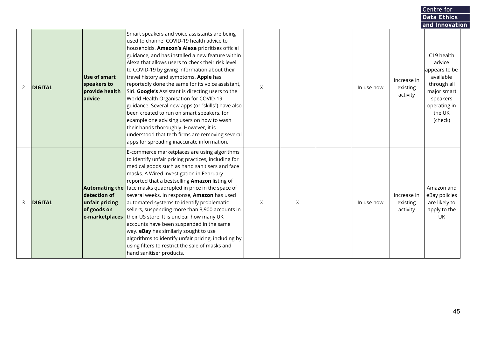|   |                |                                                                                          |                                                                                                                                                                                                                                                                                                                                                                                                                                                                                                                                                                                                                                                                                                                                                                                                    |   |   |            |                                     | Data Ethics                                                                                                                                         |  |
|---|----------------|------------------------------------------------------------------------------------------|----------------------------------------------------------------------------------------------------------------------------------------------------------------------------------------------------------------------------------------------------------------------------------------------------------------------------------------------------------------------------------------------------------------------------------------------------------------------------------------------------------------------------------------------------------------------------------------------------------------------------------------------------------------------------------------------------------------------------------------------------------------------------------------------------|---|---|------------|-------------------------------------|-----------------------------------------------------------------------------------------------------------------------------------------------------|--|
| 2 | <b>DIGITAL</b> | <b>Use of smart</b><br>speakers to<br>provide health<br>advice                           | Smart speakers and voice assistants are being<br>used to channel COVID-19 health advice to<br>households. Amazon's Alexa prioritises official<br>guidance, and has installed a new feature within<br>Alexa that allows users to check their risk level<br>to COVID-19 by giving information about their<br>travel history and symptoms. Apple has<br>reportedly done the same for its voice assistant,<br>Siri. Google's Assistant is directing users to the<br>World Health Organisation for COVID-19<br>guidance. Several new apps (or "skills") have also<br>been created to run on smart speakers, for<br>example one advising users on how to wash<br>their hands thoroughly. However, it is<br>understood that tech firms are removing several<br>apps for spreading inaccurate information. | X |   | In use now | Increase in<br>existing<br>activity | and Innovation<br>C19 health<br>advice<br>appears to be<br>available<br>through all<br>major smart<br>speakers<br>operating in<br>the UK<br>(check) |  |
| 3 | <b>DIGITAL</b> | <b>Automating the</b><br>detection of<br>unfair pricing<br>of goods on<br>e-marketplaces | E-commerce marketplaces are using algorithms<br>to identify unfair pricing practices, including for<br>medical goods such as hand sanitisers and face<br>masks. A Wired investigation in February<br>reported that a bestselling Amazon listing of<br>face masks quadrupled in price in the space of<br>several weeks. In response, Amazon has used<br>automated systems to identify problematic<br>sellers, suspending more than 3,900 accounts in<br>their US store. It is unclear how many UK<br>accounts have been suspended in the same<br>way. eBay has similarly sought to use<br>algorithms to identify unfair pricing, including by<br>using filters to restrict the sale of masks and<br>hand sanitiser products.                                                                        | X | X | In use now | Increase in<br>existing<br>activity | Amazon and<br>eBay policies<br>are likely to<br>apply to the<br>UK                                                                                  |  |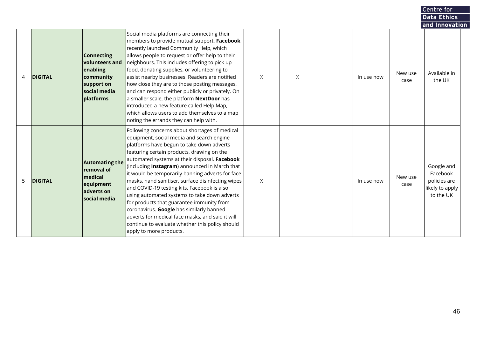|   |                |                                                                                                                |                                                                                                                                                                                                                                                                                                                                                                                                                                                                                                                                                                                                                                                                                                                                    |          |          |            |                 | Centre for                                                             |  |
|---|----------------|----------------------------------------------------------------------------------------------------------------|------------------------------------------------------------------------------------------------------------------------------------------------------------------------------------------------------------------------------------------------------------------------------------------------------------------------------------------------------------------------------------------------------------------------------------------------------------------------------------------------------------------------------------------------------------------------------------------------------------------------------------------------------------------------------------------------------------------------------------|----------|----------|------------|-----------------|------------------------------------------------------------------------|--|
|   |                |                                                                                                                |                                                                                                                                                                                                                                                                                                                                                                                                                                                                                                                                                                                                                                                                                                                                    |          |          |            |                 | Data Ethics<br>and Innovation                                          |  |
| 4 | <b>DIGITAL</b> | <b>Connecting</b><br><b>volunteers</b> and<br>enabling<br>community<br>support on<br>social media<br>platforms | Social media platforms are connecting their<br>members to provide mutual support. Facebook<br>recently launched Community Help, which<br>allows people to request or offer help to their<br>neighbours. This includes offering to pick up<br>food, donating supplies, or volunteering to<br>assist nearby businesses. Readers are notified<br>how close they are to those posting messages,<br>and can respond either publicly or privately. On<br>a smaller scale, the platform NextDoor has<br>introduced a new feature called Help Map,<br>which allows users to add themselves to a map<br>noting the errands they can help with.                                                                                              | $\times$ | $\times$ | In use now | New use<br>case | Available in<br>the UK                                                 |  |
| 5 | <b>DIGITAL</b> | <b>Automating the</b><br>removal of<br>medical<br>equipment<br>adverts on<br>social media                      | Following concerns about shortages of medical<br>equipment, social media and search engine<br>platforms have begun to take down adverts<br>featuring certain products, drawing on the<br>automated systems at their disposal. Facebook<br>(including <b>Instagram</b> ) announced in March that<br>it would be temporarily banning adverts for face<br>masks, hand sanitiser, surface disinfecting wipes<br>and COVID-19 testing kits. Facebook is also<br>using automated systems to take down adverts<br>for products that guarantee immunity from<br>coronavirus. Google has similarly banned<br>adverts for medical face masks, and said it will<br>continue to evaluate whether this policy should<br>apply to more products. | X        |          | In use now | New use<br>case | Google and<br>Facebook<br>policies are<br>likely to apply<br>to the UK |  |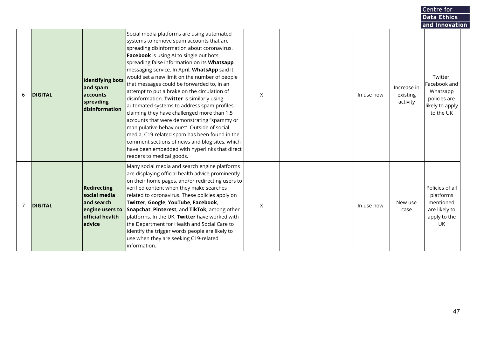|                |                |                                                                                           |                                                                                                                                                                                                                                                                                                                                                                                                                                                                                                                                                                                                                                                                                                                                                                                                                                    |   |  |            |                                     | Centre for                                                                           |
|----------------|----------------|-------------------------------------------------------------------------------------------|------------------------------------------------------------------------------------------------------------------------------------------------------------------------------------------------------------------------------------------------------------------------------------------------------------------------------------------------------------------------------------------------------------------------------------------------------------------------------------------------------------------------------------------------------------------------------------------------------------------------------------------------------------------------------------------------------------------------------------------------------------------------------------------------------------------------------------|---|--|------------|-------------------------------------|--------------------------------------------------------------------------------------|
|                |                |                                                                                           |                                                                                                                                                                                                                                                                                                                                                                                                                                                                                                                                                                                                                                                                                                                                                                                                                                    |   |  |            |                                     | Data Ethics                                                                          |
|                |                |                                                                                           | Social media platforms are using automated                                                                                                                                                                                                                                                                                                                                                                                                                                                                                                                                                                                                                                                                                                                                                                                         |   |  |            |                                     | and Innovation                                                                       |
| 6              | <b>DIGITAL</b> | <b>Identifying bots</b><br>and spam<br>accounts<br>spreading<br>disinformation            | systems to remove spam accounts that are<br>spreading disinformation about coronavirus.<br><b>Facebook</b> is using AI to single out bots<br>spreading false information on its <b>Whatsapp</b><br>messaging service. In April, <b>WhatsApp</b> said it<br>would set a new limit on the number of people<br>that messages could be forwarded to, in an<br>attempt to put a brake on the circulation of<br>disinformation. Twitter is similarly using<br>automated systems to address spam profiles,<br>claiming they have challenged more than 1.5<br>accounts that were demonstrating "spammy or<br>manipulative behaviours". Outside of social<br>media, C19-related spam has been found in the<br>comment sections of news and blog sites, which<br>have been embedded with hyperlinks that direct<br>readers to medical goods. | X |  | In use now | Increase in<br>existing<br>activity | Twitter,<br>Facebook and<br>Whatsapp<br>policies are<br>likely to apply<br>to the UK |
| $\overline{7}$ | <b>DIGITAL</b> | Redirecting<br>social media<br>and search<br>engine users to<br>official health<br>advice | Many social media and search engine platforms<br>are displaying official health advice prominently<br>on their home pages, and/or redirecting users to<br>verified content when they make searches<br>related to coronavirus. These policies apply on<br>Twitter, Google, YouTube, Facebook,<br>Snapchat, Pinterest, and TikTok, among other<br>platforms. In the UK, Twitter have worked with<br>the Department for Health and Social Care to<br>identify the trigger words people are likely to<br>use when they are seeking C19-related<br>information.                                                                                                                                                                                                                                                                         | X |  | In use now | New use<br>case                     | Policies of all<br>platforms<br>mentioned<br>are likely to<br>apply to the<br>UK.    |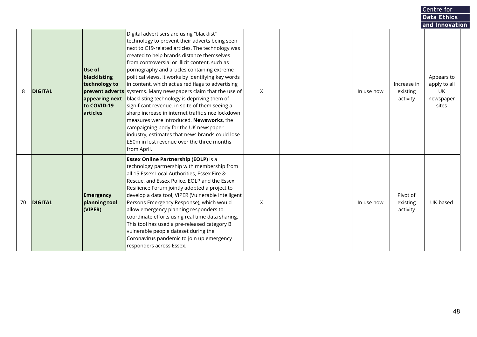|    |                |                                                                                      |                                                                                                                                                                                                                                                                                                                                                                                                                                                                                                                                                                                                                                                                                                                                                                                                                                                |   |  |            |                                     | Centre for                                                               |  |
|----|----------------|--------------------------------------------------------------------------------------|------------------------------------------------------------------------------------------------------------------------------------------------------------------------------------------------------------------------------------------------------------------------------------------------------------------------------------------------------------------------------------------------------------------------------------------------------------------------------------------------------------------------------------------------------------------------------------------------------------------------------------------------------------------------------------------------------------------------------------------------------------------------------------------------------------------------------------------------|---|--|------------|-------------------------------------|--------------------------------------------------------------------------|--|
|    |                |                                                                                      |                                                                                                                                                                                                                                                                                                                                                                                                                                                                                                                                                                                                                                                                                                                                                                                                                                                |   |  |            |                                     | Data Ethics                                                              |  |
| 8  | <b>DIGITAL</b> | Use of<br>blacklisting<br>technology to<br>appearing next<br>to COVID-19<br>articles | Digital advertisers are using "blacklist"<br>technology to prevent their adverts being seen<br>next to C19-related articles. The technology was<br>created to help brands distance themselves<br>from controversial or illicit content, such as<br>pornography and articles containing extreme<br>political views. It works by identifying key words<br>in content, which act as red flags to advertising<br><b>prevent adverts</b> systems. Many newspapers claim that the use of<br>blacklisting technology is depriving them of<br>significant revenue, in spite of them seeing a<br>sharp increase in internet traffic since lockdown<br>measures were introduced. Newsworks, the<br>campaigning body for the UK newspaper<br>industry, estimates that news brands could lose<br>£50m in lost revenue over the three months<br>from April. | X |  | In use now | Increase in<br>existing<br>activity | and Innovation<br>Appears to<br>apply to all<br>UK<br>newspaper<br>sites |  |
| 70 | <b>DIGITAL</b> | Emergency<br>planning tool<br>(VIPER)                                                | <b>Essex Online Partnership (EOLP)</b> is a<br>technology partnership with membership from<br>all 15 Essex Local Authorities, Essex Fire &<br>Rescue, and Essex Police. EOLP and the Essex<br>Resilience Forum jointly adopted a project to<br>develop a data tool, VIPER (Vulnerable Intelligent<br>Persons Emergency Response), which would<br>allow emergency planning responders to<br>coordinate efforts using real time data sharing.<br>This tool has used a pre-released category B<br>vulnerable people dataset during the<br>Coronavirus pandemic to join up emergency<br>responders across Essex.                                                                                                                                                                                                                                   | X |  | In use now | Pivot of<br>existing<br>activity    | UK-based                                                                 |  |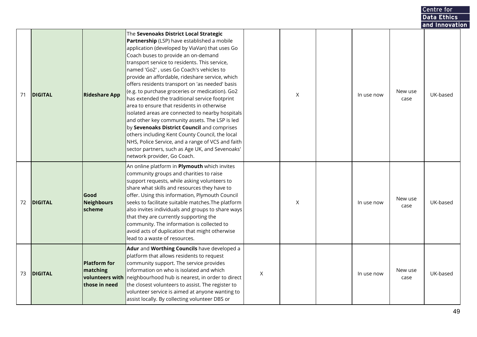|    |                |                                                                     |                                                                                                                                                                                                                                                                                                                                                                                                                                                                                                                                                                                                                                                                                                                                                                                                                                                                                     |   |   |            |                 | Data Ethics    |  |
|----|----------------|---------------------------------------------------------------------|-------------------------------------------------------------------------------------------------------------------------------------------------------------------------------------------------------------------------------------------------------------------------------------------------------------------------------------------------------------------------------------------------------------------------------------------------------------------------------------------------------------------------------------------------------------------------------------------------------------------------------------------------------------------------------------------------------------------------------------------------------------------------------------------------------------------------------------------------------------------------------------|---|---|------------|-----------------|----------------|--|
|    |                |                                                                     |                                                                                                                                                                                                                                                                                                                                                                                                                                                                                                                                                                                                                                                                                                                                                                                                                                                                                     |   |   |            |                 | and Innovation |  |
| 71 | <b>DIGITAL</b> | <b>Rideshare App</b>                                                | The Sevenoaks District Local Strategic<br>Partnership (LSP) have established a mobile<br>application (developed by ViaVan) that uses Go<br>Coach buses to provide an on-demand<br>transport service to residents. This service,<br>named 'Go2', uses Go Coach's vehicles to<br>provide an affordable, rideshare service, which<br>offers residents transport on 'as needed' basis<br>(e.g. to purchase groceries or medication). Go2<br>has extended the traditional service footprint<br>area to ensure that residents in otherwise<br>isolated areas are connected to nearby hospitals<br>and other key community assets. The LSP is led<br>by Sevenoaks District Council and comprises<br>others including Kent County Council, the local<br>NHS, Police Service, and a range of VCS and faith<br>sector partners, such as Age UK, and Sevenoaks'<br>network provider, Go Coach. |   | X | In use now | New use<br>case | UK-based       |  |
| 72 | <b>DIGITAL</b> | Good<br><b>Neighbours</b><br>scheme                                 | An online platform in Plymouth which invites<br>community groups and charities to raise<br>support requests, while asking volunteers to<br>share what skills and resources they have to<br>offer. Using this information, Plymouth Council<br>seeks to facilitate suitable matches. The platform<br>also invites individuals and groups to share ways<br>that they are currently supporting the<br>community. The information is collected to<br>avoid acts of duplication that might otherwise<br>lead to a waste of resources.                                                                                                                                                                                                                                                                                                                                                    |   | X | In use now | New use<br>case | UK-based       |  |
| 73 | <b>DIGITAL</b> | <b>Platform for</b><br>matching<br>volunteers with<br>those in need | Adur and Worthing Councils have developed a<br>platform that allows residents to request<br>community support. The service provides<br>information on who is isolated and which<br>neighbourhood hub is nearest, in order to direct<br>the closest volunteers to assist. The register to<br>volunteer service is aimed at anyone wanting to<br>assist locally. By collecting volunteer DBS or                                                                                                                                                                                                                                                                                                                                                                                                                                                                                       | X |   | In use now | New use<br>case | UK-based       |  |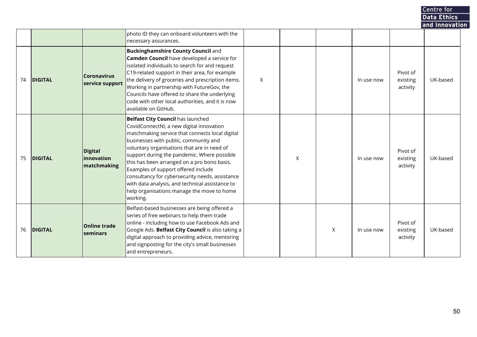|    |                |                                              |                                                                                                                                                                                                                                                                                                                                                                                                                                                                                                                                      |   |          |   |            |                                  | and Innovation |
|----|----------------|----------------------------------------------|--------------------------------------------------------------------------------------------------------------------------------------------------------------------------------------------------------------------------------------------------------------------------------------------------------------------------------------------------------------------------------------------------------------------------------------------------------------------------------------------------------------------------------------|---|----------|---|------------|----------------------------------|----------------|
|    |                |                                              | photo ID they can onboard volunteers with the<br>necessary assurances.                                                                                                                                                                                                                                                                                                                                                                                                                                                               |   |          |   |            |                                  |                |
| 74 | <b>DIGITAL</b> | <b>Coronavirus</b><br>service support        | <b>Buckinghamshire County Council and</b><br>Camden Council have developed a service for<br>isolated individuals to search for and request<br>C19-related support in their area, for example<br>the delivery of groceries and prescription items.<br>Working in partnership with FutureGov, the<br>Councils have offered to share the underlying<br>code with other local authorities, and it is now<br>available on GitHub.                                                                                                         | X |          |   | In use now | Pivot of<br>existing<br>activity | UK-based       |
| 75 | <b>DIGITAL</b> | <b>Digital</b><br>linnovation<br>matchmaking | <b>Belfast City Council has launched</b><br>CovidConnectNI, a new digital innovation<br>matchmaking service that connects local digital<br>businesses with public, community and<br>voluntary organisations that are in need of<br>support during the pandemic. Where possible<br>this has been arranged on a pro bono basis.<br>Examples of support offered include<br>consultancy for cybersecurity needs, assistance<br>with data analysis, and technical assistance to<br>help organisations manage the move to home<br>working. |   | $\times$ |   | In use now | Pivot of<br>existing<br>activity | UK-based       |
| 76 | <b>DIGITAL</b> | <b>Online trade</b><br>seminars              | Belfast-based businesses are being offered a<br>series of free webinars to help them trade<br>online - including how to use Facebook Ads and<br>Google Ads. Belfast City Council is also taking a<br>digital approach to providing advice, mentoring<br>and signposting for the city's small businesses<br>and entrepreneurs.                                                                                                                                                                                                        |   |          | X | In use now | Pivot of<br>existing<br>activity | UK-based       |

Centre for Data Ethics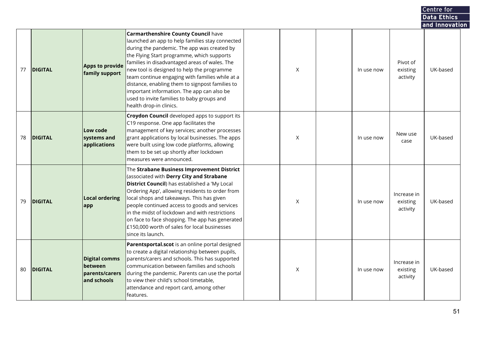|    |                |                                                                  |                                                                                                                                                                                                                                                                                                                                                                                                                                                                                                                        |   |            |                                     | Centre for     |  |
|----|----------------|------------------------------------------------------------------|------------------------------------------------------------------------------------------------------------------------------------------------------------------------------------------------------------------------------------------------------------------------------------------------------------------------------------------------------------------------------------------------------------------------------------------------------------------------------------------------------------------------|---|------------|-------------------------------------|----------------|--|
|    |                |                                                                  |                                                                                                                                                                                                                                                                                                                                                                                                                                                                                                                        |   |            |                                     | Data Ethics    |  |
|    |                |                                                                  |                                                                                                                                                                                                                                                                                                                                                                                                                                                                                                                        |   |            |                                     | and Innovation |  |
| 77 | <b>DIGITAL</b> | Apps to provide<br>family support                                | <b>Carmarthenshire County Council have</b><br>launched an app to help families stay connected<br>during the pandemic. The app was created by<br>the Flying Start programme, which supports<br>families in disadvantaged areas of wales. The<br>new tool is designed to help the programme<br>team continue engaging with families while at a<br>distance, enabling them to signpost families to<br>important information. The app can also be<br>used to invite families to baby groups and<br>health drop-in clinics. | Χ | In use now | Pivot of<br>existing<br>activity    | UK-based       |  |
| 78 | <b>DIGITAL</b> | Low code<br>systems and<br>applications                          | <b>Croydon Council</b> developed apps to support its<br>C19 response. One app facilitates the<br>management of key services; another processes<br>grant applications by local businesses. The apps<br>were built using low code platforms, allowing<br>them to be set up shortly after lockdown<br>measures were announced.                                                                                                                                                                                            | X | In use now | New use<br>case                     | UK-based       |  |
| 79 | <b>DIGITAL</b> | <b>Local ordering</b><br>app                                     | The Strabane Business Improvement District<br>(associated with Derry City and Strabane<br><b>District Council</b> ) has established a 'My Local<br>Ordering App', allowing residents to order from<br>local shops and takeaways. This has given<br>people continued access to goods and services<br>in the midst of lockdown and with restrictions<br>on face to face shopping. The app has generated<br>£150,000 worth of sales for local businesses<br>since its launch.                                             | X | In use now | Increase in<br>existing<br>activity | UK-based       |  |
| 80 | <b>DIGITAL</b> | <b>Digital comms</b><br>between<br>parents/carers<br>and schools | Parentsportal.scot is an online portal designed<br>to create a digital relationship between pupils,<br>parents/carers and schools. This has supported<br>communication between families and schools<br>during the pandemic. Parents can use the portal<br>to view their child's school timetable,<br>attendance and report card, among other<br>features.                                                                                                                                                              | X | In use now | Increase in<br>existing<br>activity | UK-based       |  |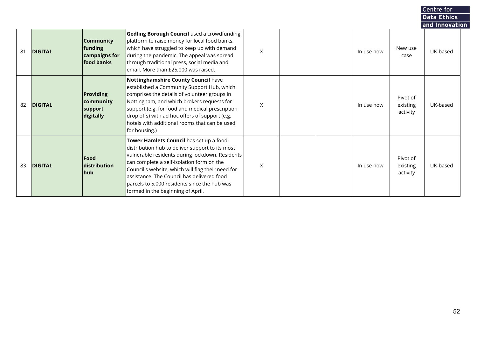|    |                |                                                            |                                                                                                                                                                                                                                                                                                                                                                                    |             |  |            |                                  | Centre for                 |  |
|----|----------------|------------------------------------------------------------|------------------------------------------------------------------------------------------------------------------------------------------------------------------------------------------------------------------------------------------------------------------------------------------------------------------------------------------------------------------------------------|-------------|--|------------|----------------------------------|----------------------------|--|
|    |                |                                                            |                                                                                                                                                                                                                                                                                                                                                                                    |             |  |            |                                  | <b>Data Ethics</b>         |  |
| 81 | <b>DIGITAL</b> | <b>Community</b><br>funding<br>campaigns for<br>food banks | <b>Gedling Borough Council</b> used a crowdfunding<br>platform to raise money for local food banks,<br>which have struggled to keep up with demand<br>during the pandemic. The appeal was spread<br>through traditional press, social media and<br>email. More than £25,000 was raised.                                                                                            | $\mathsf X$ |  | In use now | New use<br>case                  | and Innovation<br>UK-based |  |
| 82 | <b>DIGITAL</b> | <b>Providing</b><br>community<br>support<br>digitally      | <b>Nottinghamshire County Council have</b><br>established a Community Support Hub, which<br>comprises the details of volunteer groups in<br>Nottingham, and which brokers requests for<br>support (e.g. for food and medical prescription<br>drop offs) with ad hoc offers of support (e.g.<br>lhotels with additional rooms that can be used<br>for housing.)                     | X           |  | In use now | Pivot of<br>existing<br>activity | UK-based                   |  |
| 83 | <b>DIGITAL</b> | Food<br><b>distribution</b><br>hub                         | Tower Hamlets Council has set up a food<br>distribution hub to deliver support to its most<br>vulnerable residents during lockdown. Residents<br>can complete a self-isolation form on the<br>Council's website, which will flag their need for<br>assistance. The Council has delivered food<br>parcels to 5,000 residents since the hub was<br>formed in the beginning of April. | X           |  | In use now | Pivot of<br>existing<br>activity | UK-based                   |  |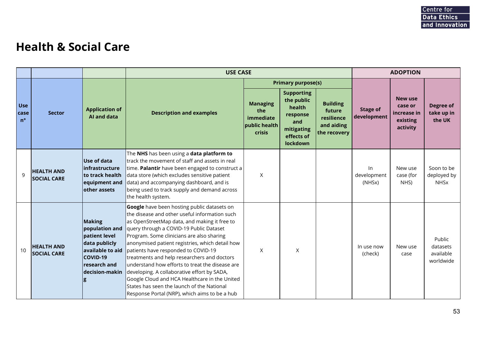## **Health & Social Care**

|                                   |                                         |                                                                                                                                       |                                                                                                                                                                                                                                                                                                                                                                                                                                                                                                                                                                                                                                 | <b>USE CASE</b>                                                       |                                                                                                      |                                                                       |                                |                                                                  |                                              |
|-----------------------------------|-----------------------------------------|---------------------------------------------------------------------------------------------------------------------------------------|---------------------------------------------------------------------------------------------------------------------------------------------------------------------------------------------------------------------------------------------------------------------------------------------------------------------------------------------------------------------------------------------------------------------------------------------------------------------------------------------------------------------------------------------------------------------------------------------------------------------------------|-----------------------------------------------------------------------|------------------------------------------------------------------------------------------------------|-----------------------------------------------------------------------|--------------------------------|------------------------------------------------------------------|----------------------------------------------|
|                                   |                                         |                                                                                                                                       |                                                                                                                                                                                                                                                                                                                                                                                                                                                                                                                                                                                                                                 |                                                                       | <b>Primary purpose(s)</b>                                                                            |                                                                       |                                |                                                                  |                                              |
| <b>Use</b><br>case<br>$n^{\circ}$ | <b>Sector</b>                           | <b>Application of</b><br>Al and data                                                                                                  | <b>Description and examples</b>                                                                                                                                                                                                                                                                                                                                                                                                                                                                                                                                                                                                 | <b>Managing</b><br>the<br><i>immediate</i><br>public health<br>crisis | <b>Supporting</b><br>the public<br>health<br>response<br>and<br>mitigating<br>effects of<br>lockdown | <b>Building</b><br>future<br>resilience<br>and aiding<br>the recovery | <b>Stage of</b><br>development | <b>New use</b><br>case or<br>increase in<br>existing<br>activity | Degree of<br>take up in<br>the UK            |
| 9                                 | <b>HEALTH AND</b><br><b>SOCIAL CARE</b> | Use of data<br>linfrastructure<br>to track health<br>equipment and<br>other assets                                                    | The NHS has been using a data platform to<br>track the movement of staff and assets in real<br>time. Palantir have been engaged to construct a<br>data store (which excludes sensitive patient<br>data) and accompanying dashboard, and is<br>being used to track supply and demand across<br>the health system.                                                                                                                                                                                                                                                                                                                | $\chi$                                                                |                                                                                                      |                                                                       | In.<br>development<br>(NHSx)   | New use<br>case (for<br>NHS)                                     | Soon to be<br>deployed by<br><b>NHSx</b>     |
| 10                                | <b>HEALTH AND</b><br><b>SOCIAL CARE</b> | Making<br>population and<br>patient level<br>data publicly<br>available to aid<br><b>COVID-19</b><br>lresearch and<br>ldecision-makin | Google have been hosting public datasets on<br>the disease and other useful information such<br>as OpenStreetMap data, and making it free to<br>query through a COVID-19 Public Dataset<br>Program. Some clinicians are also sharing<br>anonymised patient registries, which detail how<br>patients have responded to COVID-19<br>treatments and help researchers and doctors<br>understand how efforts to treat the disease are<br>developing. A collaborative effort by SADA,<br>Google Cloud and HCA Healthcare in the United<br>States has seen the launch of the National<br>Response Portal (NRP), which aims to be a hub | $\chi$                                                                | $\sf X$                                                                                              |                                                                       | In use now<br>(check)          | New use<br>case                                                  | Public<br>datasets<br>available<br>worldwide |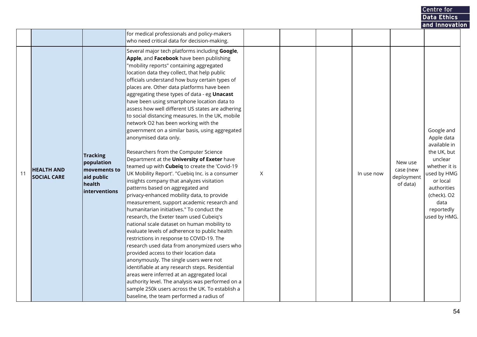Data Ethics<br>and Innovation

|    |                                         |                                                                                        | for medical professionals and policy-makers<br>who need critical data for decision-making.                                                                                                                                                                                                                                                                                                                                                                                                                                                                                                                                                                                                                                                                                                                                                                                                                                                                                                                                                                                                                                                                                                                                                                                                                                                                                                                                                                                                                                                                                                                                     |   |  |            |                                                |                                                                                                                                                                                    |
|----|-----------------------------------------|----------------------------------------------------------------------------------------|--------------------------------------------------------------------------------------------------------------------------------------------------------------------------------------------------------------------------------------------------------------------------------------------------------------------------------------------------------------------------------------------------------------------------------------------------------------------------------------------------------------------------------------------------------------------------------------------------------------------------------------------------------------------------------------------------------------------------------------------------------------------------------------------------------------------------------------------------------------------------------------------------------------------------------------------------------------------------------------------------------------------------------------------------------------------------------------------------------------------------------------------------------------------------------------------------------------------------------------------------------------------------------------------------------------------------------------------------------------------------------------------------------------------------------------------------------------------------------------------------------------------------------------------------------------------------------------------------------------------------------|---|--|------------|------------------------------------------------|------------------------------------------------------------------------------------------------------------------------------------------------------------------------------------|
| 11 | <b>HEALTH AND</b><br><b>SOCIAL CARE</b> | <b>Tracking</b><br>population<br>movements to<br>aid public<br>health<br>interventions | Several major tech platforms including Google,<br>Apple, and Facebook have been publishing<br>'mobility reports" containing aggregated<br>location data they collect, that help public<br>officials understand how busy certain types of<br>places are. Other data platforms have been<br>aggregating these types of data - eg Unacast<br>have been using smartphone location data to<br>assess how well different US states are adhering<br>to social distancing measures. In the UK, mobile<br>network O2 has been working with the<br>government on a similar basis, using aggregated<br>anonymised data only.<br>Researchers from the Computer Science<br>Department at the <b>University of Exeter</b> have<br>teamed up with Cubeiq to create the 'Covid-19<br>UK Mobility Report'. "Cuebiq Inc. is a consumer<br>insights company that analyzes visitation<br>patterns based on aggregated and<br>privacy-enhanced mobility data, to provide<br>measurement, support academic research and<br>humanitarian initiatives." To conduct the<br>research, the Exeter team used Cubeiq's<br>national scale dataset on human mobility to<br>evaluate levels of adherence to public health<br>restrictions in response to COVID-19. The<br>research used data from anonymized users who<br>provided access to their location data<br>anonymously. The single users were not<br>identifiable at any research steps. Residential<br>areas were inferred at an aggregated local<br>authority level. The analysis was performed on a<br>sample 250k users across the UK. To establish a<br>baseline, the team performed a radius of | X |  | In use now | New use<br>case (new<br>deployment<br>of data) | Google and<br>Apple data<br>available in<br>the UK, but<br>unclear<br>whether it is<br>used by HMG<br>or local<br>authorities<br>(check). O2<br>data<br>reportedly<br>used by HMG. |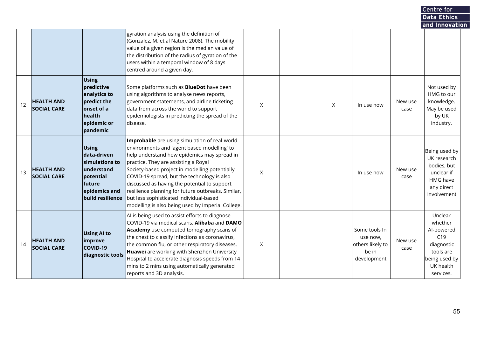|    |                                         |                                                                                                                         |                                                                                                                                                                                                                                                                                                                                                                                                                                                                                            |              |         |                                                                       |                 | Centre for                                                                                                    |  |
|----|-----------------------------------------|-------------------------------------------------------------------------------------------------------------------------|--------------------------------------------------------------------------------------------------------------------------------------------------------------------------------------------------------------------------------------------------------------------------------------------------------------------------------------------------------------------------------------------------------------------------------------------------------------------------------------------|--------------|---------|-----------------------------------------------------------------------|-----------------|---------------------------------------------------------------------------------------------------------------|--|
|    |                                         |                                                                                                                         |                                                                                                                                                                                                                                                                                                                                                                                                                                                                                            |              |         |                                                                       |                 | Data Ethics                                                                                                   |  |
|    |                                         |                                                                                                                         | gyration analysis using the definition of<br>(Gonzalez, M. et al Nature 2008). The mobility<br>value of a given region is the median value of<br>the distribution of the radius of gyration of the<br>users within a temporal window of 8 days<br>centred around a given day.                                                                                                                                                                                                              |              |         |                                                                       |                 | and Innovation                                                                                                |  |
| 12 | <b>HEALTH AND</b><br><b>SOCIAL CARE</b> | <b>Using</b><br>predictive<br>analytics to<br>predict the<br>onset of a<br>health<br>epidemic or<br>pandemic            | Some platforms such as <b>BlueDot</b> have been<br>using algorithms to analyse news reports,<br>government statements, and airline ticketing<br>data from across the world to support<br>epidemiologists in predicting the spread of the<br>disease.                                                                                                                                                                                                                                       | $\mathsf{X}$ | $\sf X$ | In use now                                                            | New use<br>case | Not used by<br>HMG to our<br>knowledge.<br>May be used<br>by UK<br>industry.                                  |  |
| 13 | <b>HEALTH AND</b><br><b>SOCIAL CARE</b> | <b>Using</b><br>data-driven<br>simulations to<br>understand<br>potential<br>future<br>epidemics and<br>build resilience | Improbable are using simulation of real-world<br>environments and 'agent based modelling' to<br>help understand how epidemics may spread in<br>practice. They are assisting a Royal<br>Society-based project in modelling potentially<br>COVID-19 spread, but the technology is also<br>discussed as having the potential to support<br>resilience planning for future outbreaks. Similar,<br>but less sophisticated individual-based<br>modelling is also being used by Imperial College. | X            |         | In use now                                                            | New use<br>case | Being used by<br>UK research<br>bodies, but<br>unclear if<br>HMG have<br>any direct<br>involvement            |  |
| 14 | <b>HEALTH AND</b><br><b>SOCIAL CARE</b> | <b>Using AI to</b><br>improve<br><b>COVID-19</b><br>diagnostic tools                                                    | AI is being used to assist efforts to diagnose<br>COVID-19 via medical scans. Alibaba and DAMO<br>Academy use computed tomography scans of<br>the chest to classify infections as coronavirus,<br>the common flu, or other respiratory diseases.<br>Huawei are working with Shenzhen University<br>Hospital to accelerate diagnosis speeds from 14<br>mins to 2 mins using automatically generated<br>reports and 3D analysis.                                                             | X            |         | Some tools In<br>use now,<br>others likely to<br>be in<br>development | New use<br>case | Unclear<br>whether<br>Al-powered<br>C19<br>diagnostic<br>tools are<br>being used by<br>UK health<br>services. |  |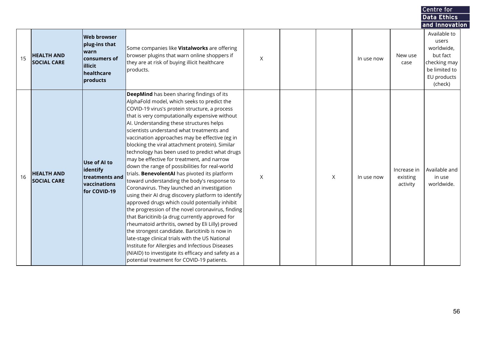|    |                                         |                                                                                                   |                                                                                                                                                                                                                                                                                                                                                                                                                                                                                                                                                                                                                                                                                                                                                                                                                                                                                                                                                                                                                                                                                                                                                                                                                             |             |   |            |                                     | Data Ethics                                                                                                |
|----|-----------------------------------------|---------------------------------------------------------------------------------------------------|-----------------------------------------------------------------------------------------------------------------------------------------------------------------------------------------------------------------------------------------------------------------------------------------------------------------------------------------------------------------------------------------------------------------------------------------------------------------------------------------------------------------------------------------------------------------------------------------------------------------------------------------------------------------------------------------------------------------------------------------------------------------------------------------------------------------------------------------------------------------------------------------------------------------------------------------------------------------------------------------------------------------------------------------------------------------------------------------------------------------------------------------------------------------------------------------------------------------------------|-------------|---|------------|-------------------------------------|------------------------------------------------------------------------------------------------------------|
|    |                                         |                                                                                                   |                                                                                                                                                                                                                                                                                                                                                                                                                                                                                                                                                                                                                                                                                                                                                                                                                                                                                                                                                                                                                                                                                                                                                                                                                             |             |   |            |                                     | and Innovation                                                                                             |
| 15 | <b>HEALTH AND</b><br><b>SOCIAL CARE</b> | <b>Web browser</b><br>plug-ins that<br>lwarn<br>consumers of<br>illicit<br>healthcare<br>products | Some companies like Vistalworks are offering<br>browser plugins that warn online shoppers if<br>they are at risk of buying illicit healthcare<br>products.                                                                                                                                                                                                                                                                                                                                                                                                                                                                                                                                                                                                                                                                                                                                                                                                                                                                                                                                                                                                                                                                  | $\mathsf X$ |   | In use now | New use<br>case                     | Available to<br>users<br>worldwide,<br>but fact<br>checking may<br>be limited to<br>EU products<br>(check) |
| 16 | <b>HEALTH AND</b><br><b>SOCIAL CARE</b> | <b>Use of Al to</b><br>identify<br>treatments and<br>vaccinations<br>for COVID-19                 | DeepMind has been sharing findings of its<br>AlphaFold model, which seeks to predict the<br>COVID-19 virus's protein structure, a process<br>that is very computationally expensive without<br>AI. Understanding these structures helps<br>scientists understand what treatments and<br>vaccination approaches may be effective (eg in<br>blocking the viral attachment protein). Similar<br>technology has been used to predict what drugs<br>may be effective for treatment, and narrow<br>down the range of possibilities for real-world<br>trials. BenevolentAI has pivoted its platform<br>toward understanding the body's response to<br>Coronavirus. They launched an investigation<br>using their AI drug discovery platform to identify<br>approved drugs which could potentially inhibit<br>the progression of the novel coronavirus, finding<br>that Baricitinib (a drug currently approved for<br>rheumatoid arthritis, owned by Eli Lilly) proved<br>the strongest candidate. Baricitinib is now in<br>late-stage clinical trials with the US National<br>Institute for Allergies and Infectious Diseases<br>(NIAID) to investigate its efficacy and safety as a<br>potential treatment for COVID-19 patients. | X           | X | In use now | Increase in<br>existing<br>activity | Available and<br>in use<br>worldwide.                                                                      |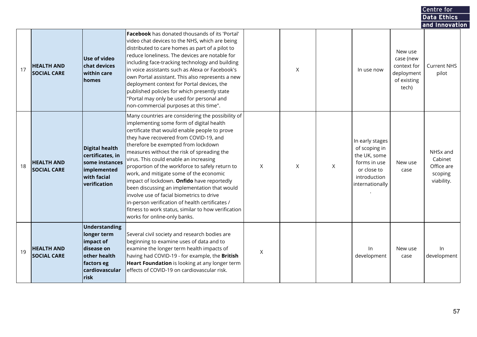|    |                                         |                                                                                                                               |                                                                                                                                                                                                                                                                                                                                                                                                                                                                                                                                                                                                                                                                                                            |   |   |   |                                                                                                                    |                                                                           | Centre for                                                 |  |
|----|-----------------------------------------|-------------------------------------------------------------------------------------------------------------------------------|------------------------------------------------------------------------------------------------------------------------------------------------------------------------------------------------------------------------------------------------------------------------------------------------------------------------------------------------------------------------------------------------------------------------------------------------------------------------------------------------------------------------------------------------------------------------------------------------------------------------------------------------------------------------------------------------------------|---|---|---|--------------------------------------------------------------------------------------------------------------------|---------------------------------------------------------------------------|------------------------------------------------------------|--|
|    |                                         |                                                                                                                               |                                                                                                                                                                                                                                                                                                                                                                                                                                                                                                                                                                                                                                                                                                            |   |   |   |                                                                                                                    |                                                                           | Data Ethics                                                |  |
| 17 | <b>HEALTH AND</b><br><b>SOCIAL CARE</b> | Use of video<br>chat devices<br>within care<br>homes                                                                          | <b>Facebook</b> has donated thousands of its 'Portal'<br>video chat devices to the NHS, which are being<br>distributed to care homes as part of a pilot to<br>reduce loneliness. The devices are notable for<br>including face-tracking technology and building<br>in voice assistants such as Alexa or Facebook's<br>own Portal assistant. This also represents a new<br>deployment context for Portal devices, the<br>published policies for which presently state<br>"Portal may only be used for personal and<br>non-commercial purposes at this time".                                                                                                                                                |   | X |   | In use now                                                                                                         | New use<br>case (new<br>context for<br>deployment<br>of existing<br>tech) | and Innovation<br><b>Current NHS</b><br>pilot              |  |
| 18 | <b>HEALTH AND</b><br><b>SOCIAL CARE</b> | <b>Digital health</b><br>certificates, in<br>some instances<br>implemented<br>with facial<br>verification                     | Many countries are considering the possibility of<br>implementing some form of digital health<br>certificate that would enable people to prove<br>they have recovered from COVID-19, and<br>therefore be exempted from lockdown<br>measures without the risk of spreading the<br>virus. This could enable an increasing<br>proportion of the workforce to safely return to<br>work, and mitigate some of the economic<br>impact of lockdown. Onfido have reportedly<br>been discussing an implementation that would<br>involve use of facial biometrics to drive<br>in-person verification of health certificates /<br>fitness to work status, similar to how verification<br>works for online-only banks. | X | X | X | In early stages<br>of scoping in<br>the UK, some<br>forms in use<br>or close to<br>introduction<br>internationally | New use<br>case                                                           | NHSx and<br>Cabinet<br>Office are<br>scoping<br>viability. |  |
| 19 | <b>HEALTH AND</b><br><b>SOCIAL CARE</b> | <b>Understanding</b><br>longer term<br>impact of<br>disease on<br>other health<br>factors eg<br>cardiovascular<br><b>risk</b> | Several civil society and research bodies are<br>beginning to examine uses of data and to<br>examine the longer term health impacts of<br>having had COVID-19 - for example, the British<br>Heart Foundation is looking at any longer term<br>effects of COVID-19 on cardiovascular risk.                                                                                                                                                                                                                                                                                                                                                                                                                  | X |   |   | $\ln$<br>development                                                                                               | New use<br>case                                                           | In.<br>development                                         |  |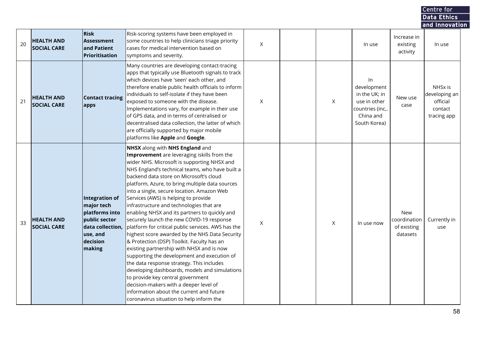|    |                                         |                                                                                                                              |                                                                                                                                                                                                                                                                                                                                                                                                                                                                                                                                                                                                                                                                                                                                                                                                                                                                                                                                                                                                                                                     |   |   |                                                                                                     |                                                       | Centre for<br>Data Ethics<br>and Innovation                    |  |
|----|-----------------------------------------|------------------------------------------------------------------------------------------------------------------------------|-----------------------------------------------------------------------------------------------------------------------------------------------------------------------------------------------------------------------------------------------------------------------------------------------------------------------------------------------------------------------------------------------------------------------------------------------------------------------------------------------------------------------------------------------------------------------------------------------------------------------------------------------------------------------------------------------------------------------------------------------------------------------------------------------------------------------------------------------------------------------------------------------------------------------------------------------------------------------------------------------------------------------------------------------------|---|---|-----------------------------------------------------------------------------------------------------|-------------------------------------------------------|----------------------------------------------------------------|--|
| 20 | <b>HEALTH AND</b><br><b>SOCIAL CARE</b> | <b>Risk</b><br><b>Assessment</b><br>and Patient<br><b>Prioritisation</b>                                                     | Risk-scoring systems have been employed in<br>some countries to help clinicians triage priority<br>cases for medical intervention based on<br>symptoms and severity.                                                                                                                                                                                                                                                                                                                                                                                                                                                                                                                                                                                                                                                                                                                                                                                                                                                                                | X |   | In use                                                                                              | Increase in<br>existing<br>activity                   | In use                                                         |  |
| 21 | <b>HEALTH AND</b><br><b>SOCIAL CARE</b> | <b>Contact tracing</b><br>apps                                                                                               | Many countries are developing contact-tracing<br>apps that typically use Bluetooth signals to track<br>which devices have 'seen' each other, and<br>therefore enable public health officials to inform<br>individuals to self-isolate if they have been<br>exposed to someone with the disease.<br>Implementations vary, for example in their use<br>of GPS data, and in terms of centralised or<br>decentralised data collection, the latter of which<br>are officially supported by major mobile<br>platforms like Apple and Google.                                                                                                                                                                                                                                                                                                                                                                                                                                                                                                              | X | X | In<br>development<br>in the UK; in<br>use in other<br>countries (inc,.<br>China and<br>South Korea) | New use<br>case                                       | NHSx is<br>developing an<br>official<br>contact<br>tracing app |  |
| 33 | <b>HEALTH AND</b><br><b>SOCIAL CARE</b> | <b>Integration of</b><br>major tech<br>platforms into<br>public sector<br>data collection,<br>use, and<br>decision<br>making | <b>NHSX</b> along with <b>NHS England</b> and<br>Improvement are leveraging iskills from the<br>wider NHS. Microsoft is supporting NHSX and<br>NHS England's technical teams, who have built a<br>backend data store on Microsoft's cloud<br>platform, Azure, to bring multiple data sources<br>into a single, secure location. Amazon Web<br>Services (AWS) is helping to provide<br>infrastructure and technologies that are<br>enabling NHSX and its partners to quickly and<br>securely launch the new COVID-19 response<br>platform for critical public services. AWS has the<br>highest score awarded by the NHS Data Security<br>& Protection (DSP) Toolkit. Faculty has an<br>existing partnership with NHSX and is now<br>supporting the development and execution of<br>the data response strategy. This includes<br>developing dashboards, models and simulations<br>to provide key central government<br>decision-makers with a deeper level of<br>information about the current and future<br>coronavirus situation to help inform the | X | X | In use now                                                                                          | <b>New</b><br>coordination<br>of existing<br>datasets | Currently in<br>use                                            |  |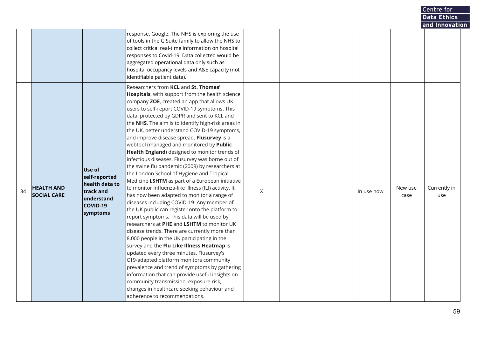|    |                                         |                                                                                               |                                                                                                                                                                                                                                                                                                                                                                                                                                                                                                                                                                                                                                                                                                                                                                                                                                                                                                                                                                                                                                                                                                                                                                                                                                                                                                                                                                                                                                                                   |   |  |            |                 | Data Ethics         |  |
|----|-----------------------------------------|-----------------------------------------------------------------------------------------------|-------------------------------------------------------------------------------------------------------------------------------------------------------------------------------------------------------------------------------------------------------------------------------------------------------------------------------------------------------------------------------------------------------------------------------------------------------------------------------------------------------------------------------------------------------------------------------------------------------------------------------------------------------------------------------------------------------------------------------------------------------------------------------------------------------------------------------------------------------------------------------------------------------------------------------------------------------------------------------------------------------------------------------------------------------------------------------------------------------------------------------------------------------------------------------------------------------------------------------------------------------------------------------------------------------------------------------------------------------------------------------------------------------------------------------------------------------------------|---|--|------------|-----------------|---------------------|--|
|    |                                         |                                                                                               |                                                                                                                                                                                                                                                                                                                                                                                                                                                                                                                                                                                                                                                                                                                                                                                                                                                                                                                                                                                                                                                                                                                                                                                                                                                                                                                                                                                                                                                                   |   |  |            |                 | and Innovation      |  |
|    |                                         |                                                                                               | response. Google: The NHS is exploring the use<br>of tools in the G Suite family to allow the NHS to<br>collect critical real-time information on hospital<br>responses to Covid-19. Data collected would be<br>aggregated operational data only such as<br>hospital occupancy levels and A&E capacity (not<br>identifiable patient data).                                                                                                                                                                                                                                                                                                                                                                                                                                                                                                                                                                                                                                                                                                                                                                                                                                                                                                                                                                                                                                                                                                                        |   |  |            |                 |                     |  |
| 34 | <b>HEALTH AND</b><br><b>SOCIAL CARE</b> | Use of<br>self-reported<br>health data to<br>track and<br>lunderstand<br>COVID-19<br>symptoms | Researchers from KCL and St. Thomas'<br>Hospitals, with support from the health science<br>company ZOE, created an app that allows UK<br>users to self-report COVID-19 symptoms. This<br>data, protected by GDPR and sent to KCL and<br>the NHS. The aim is to identify high-risk areas in<br>the UK, better understand COVID-19 symptoms,<br>and improve disease spread. Flusurvey is a<br>webtool (managed and monitored by Public<br>Health England) designed to monitor trends of<br>infectious diseases. Flusurvey was borne out of<br>the swine flu pandemic (2009) by researchers at<br>the London School of Hygiene and Tropical<br>Medicine LSHTM as part of a European initiative<br>to monitor influenza-like illness (ILI) activity. It<br>has now been adapted to monitor a range of<br>diseases including COVID-19. Any member of<br>the UK public can register onto the platform to<br>report symptoms. This data will be used by<br>researchers at PHE and LSHTM to monitor UK<br>disease trends. There are currently more than<br>8,000 people in the UK participating in the<br>survey and the Flu Like Illness Heatmap is<br>updated every three minutes. Flusurvey's<br>C19-adapted platform monitors community<br>prevalence and trend of symptoms by gathering<br>information that can provide useful insights on<br>community transmission, exposure risk,<br>changes in healthcare seeking behaviour and<br>adherence to recommendations. | X |  | In use now | New use<br>case | Currently in<br>use |  |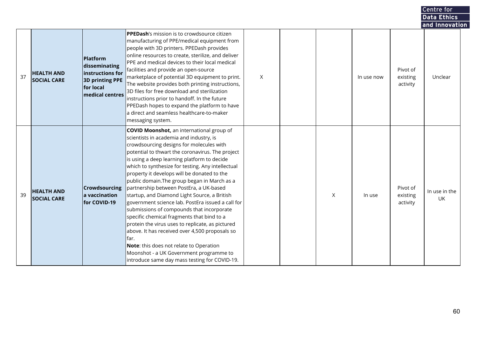|    |                                         |                                                                                                         |                                                                                                                                                                                                                                                                                                                                                                                                                                                                                                                                                                                                                                                                                                                                                                                                                                                                                                       |   |   |            |                                  | Data Ethics          |  |
|----|-----------------------------------------|---------------------------------------------------------------------------------------------------------|-------------------------------------------------------------------------------------------------------------------------------------------------------------------------------------------------------------------------------------------------------------------------------------------------------------------------------------------------------------------------------------------------------------------------------------------------------------------------------------------------------------------------------------------------------------------------------------------------------------------------------------------------------------------------------------------------------------------------------------------------------------------------------------------------------------------------------------------------------------------------------------------------------|---|---|------------|----------------------------------|----------------------|--|
|    |                                         |                                                                                                         |                                                                                                                                                                                                                                                                                                                                                                                                                                                                                                                                                                                                                                                                                                                                                                                                                                                                                                       |   |   |            |                                  | and Innovation       |  |
| 37 | <b>HEALTH AND</b><br><b>SOCIAL CARE</b> | Platform<br>disseminating<br>instructions for<br><b>3D printing PPE</b><br>for local<br>medical centres | <b>PPEDash's mission is to crowdsource citizen</b><br>manufacturing of PPE/medical equipment from<br>people with 3D printers. PPEDash provides<br>online resources to create, sterilize, and deliver<br>PPE and medical devices to their local medical<br>facilities and provide an open-source<br>marketplace of potential 3D equipment to print.<br>The website provides both printing instructions,<br>3D files for free download and sterilization<br>instructions prior to handoff. In the future<br>PPEDash hopes to expand the platform to have<br>a direct and seamless healthcare-to-maker<br>messaging system.                                                                                                                                                                                                                                                                              | X |   | In use now | Pivot of<br>existing<br>activity | Unclear              |  |
| 39 | <b>HEALTH AND</b><br><b>SOCIAL CARE</b> | <b>Crowdsourcing</b><br>a vaccination<br>for COVID-19                                                   | <b>COVID Moonshot, an international group of</b><br>scientists in academia and industry, is<br>crowdsourcing designs for molecules with<br>potential to thwart the coronavirus. The project<br>is using a deep learning platform to decide<br>which to synthesize for testing. Any intellectual<br>property it develops will be donated to the<br>public domain. The group began in March as a<br>partnership between PostEra, a UK-based<br>startup, and Diamond Light Source, a British<br>government science lab. PostEra issued a call for<br>submissions of compounds that incorporate<br>specific chemical fragments that bind to a<br>protein the virus uses to replicate, as pictured<br>above. It has received over 4,500 proposals so<br>far.<br><b>Note:</b> this does not relate to Operation<br>Moonshot - a UK Government programme to<br>introduce same day mass testing for COVID-19. |   | X | In use     | Pivot of<br>existing<br>activity | In use in the<br>UK. |  |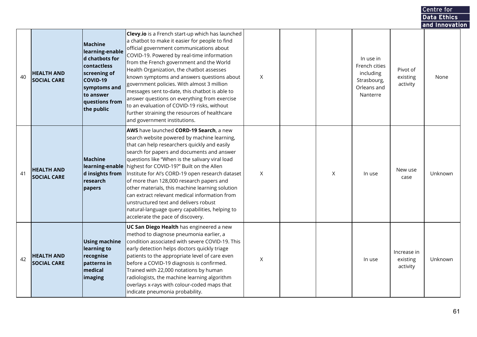|    |                                         |                                                                                                                                                                    |                                                                                                                                                                                                                                                                                                                                                                                                                                                                                                                                                                                                                                          |   |   |                                                                                   |                                     | Centre for         |  |
|----|-----------------------------------------|--------------------------------------------------------------------------------------------------------------------------------------------------------------------|------------------------------------------------------------------------------------------------------------------------------------------------------------------------------------------------------------------------------------------------------------------------------------------------------------------------------------------------------------------------------------------------------------------------------------------------------------------------------------------------------------------------------------------------------------------------------------------------------------------------------------------|---|---|-----------------------------------------------------------------------------------|-------------------------------------|--------------------|--|
|    |                                         |                                                                                                                                                                    |                                                                                                                                                                                                                                                                                                                                                                                                                                                                                                                                                                                                                                          |   |   |                                                                                   |                                     | <b>Data Ethics</b> |  |
|    |                                         |                                                                                                                                                                    |                                                                                                                                                                                                                                                                                                                                                                                                                                                                                                                                                                                                                                          |   |   |                                                                                   |                                     | and Innovation     |  |
| 40 | <b>HEALTH AND</b><br><b>SOCIAL CARE</b> | <b>Machine</b><br>learning-enable<br>d chatbots for<br><b>contactless</b><br>screening of<br>COVID-19<br>symptoms and<br>to answer<br>questions from<br>the public | Clevy.io is a French start-up which has launched<br>a chatbot to make it easier for people to find<br>official government communications about<br>COVID-19. Powered by real-time information<br>from the French government and the World<br>Health Organization, the chatbot assesses<br>known symptoms and answers questions about<br>government policies. With almost 3 million<br>messages sent to-date, this chatbot is able to<br>answer questions on everything from exercise<br>to an evaluation of COVID-19 risks, without<br>further straining the resources of healthcare<br>and government institutions.                      | X |   | In use in<br>French cities<br>including<br>Strasbourg,<br>Orleans and<br>Nanterre | Pivot of<br>existing<br>activity    | None               |  |
| 41 | <b>HEALTH AND</b><br><b>SOCIAL CARE</b> | <b>Machine</b><br>learning-enable<br>d insights from<br>research<br>papers                                                                                         | <b>AWS</b> have launched <b>CORD-19 Search</b> , a new<br>search website powered by machine learning,<br>that can help researchers quickly and easily<br>search for papers and documents and answer<br>questions like "When is the salivary viral load<br>highest for COVID-19?" Built on the Allen<br>Institute for AI's CORD-19 open research dataset<br>of more than 128,000 research papers and<br>other materials, this machine learning solution<br>can extract relevant medical information from<br>unstructured text and delivers robust<br>natural-language query capabilities, helping to<br>accelerate the pace of discovery. | X | X | In use                                                                            | New use<br>case                     | Unknown            |  |
| 42 | <b>HEALTH AND</b><br><b>SOCIAL CARE</b> | <b>Using machine</b><br>learning to<br>recognise<br>patterns in<br>medical<br>imaging                                                                              | UC San Diego Health has engineered a new<br>method to diagnose pneumonia earlier, a<br>condition associated with severe COVID-19. This<br>early detection helps doctors quickly triage<br>patients to the appropriate level of care even<br>before a COVID-19 diagnosis is confirmed.<br>Trained with 22,000 notations by human<br>radiologists, the machine learning algorithm<br>overlays x-rays with colour-coded maps that<br>indicate pneumonia probability.                                                                                                                                                                        | X |   | In use                                                                            | Increase in<br>existing<br>activity | Unknown            |  |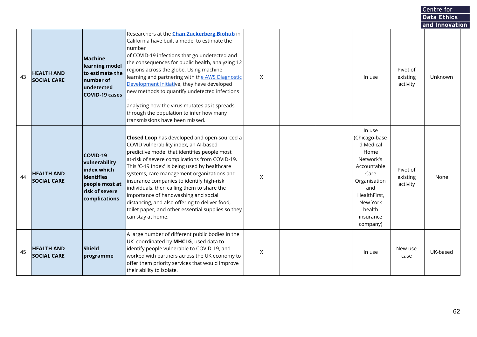|    |                                         |                                                                                                             |                                                                                                                                                                                                                                                                                                                                                                                                                                                                                                                                                          |   |  |                                                                                                                                                                        |                                  | Centre for<br>Data Ethics<br>and Innovation |
|----|-----------------------------------------|-------------------------------------------------------------------------------------------------------------|----------------------------------------------------------------------------------------------------------------------------------------------------------------------------------------------------------------------------------------------------------------------------------------------------------------------------------------------------------------------------------------------------------------------------------------------------------------------------------------------------------------------------------------------------------|---|--|------------------------------------------------------------------------------------------------------------------------------------------------------------------------|----------------------------------|---------------------------------------------|
| 43 | <b>HEALTH AND</b><br><b>SOCIAL CARE</b> | Machine<br>learning model<br>to estimate the<br>number of<br>undetected<br>COVID-19 cases                   | Researchers at the Chan Zuckerberg Biohub in<br>California have built a model to estimate the<br>number<br>of COVID-19 infections that go undetected and<br>the consequences for public health, analyzing 12<br>regions across the globe. Using machine<br>learning and partnering with the AWS Diagnostic<br>Development Initiative, they have developed<br>new methods to quantify undetected infections<br>analyzing how the virus mutates as it spreads<br>through the population to infer how many<br>transmissions have been missed.               | X |  | In use                                                                                                                                                                 | Pivot of<br>existing<br>activity | Unknown                                     |
| 44 | <b>HEALTH AND</b><br><b>SOCIAL CARE</b> | COVID-19<br>vulnerability<br>index which<br>identifies<br>people most at<br>risk of severe<br>complications | Closed Loop has developed and open-sourced a<br>COVID vulnerability index, an AI-based<br>predictive model that identifies people most<br>at-risk of severe complications from COVID-19.<br>This 'C-19 Index' is being used by healthcare<br>systems, care management organizations and<br>insurance companies to identify high-risk<br>individuals, then calling them to share the<br>importance of handwashing and social<br>distancing, and also offering to deliver food,<br>toilet paper, and other essential supplies so they<br>can stay at home. | X |  | In use<br>(Chicago-base<br>d Medical<br>Home<br>Network's<br>Accountable<br>Care<br>Organisation<br>and<br>HealthFirst,<br>New York<br>health<br>insurance<br>company) | Pivot of<br>existing<br>activity | None                                        |
| 45 | <b>HEALTH AND</b><br><b>SOCIAL CARE</b> | Shield<br>programme                                                                                         | A large number of different public bodies in the<br>UK, coordinated by MHCLG, used data to<br>identify people vulnerable to COVID-19, and<br>worked with partners across the UK economy to<br>offer them priority services that would improve<br>their ability to isolate.                                                                                                                                                                                                                                                                               | X |  | In use                                                                                                                                                                 | New use<br>case                  | UK-based                                    |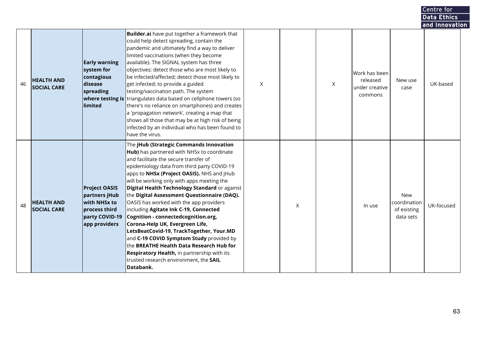|    |                                         |                                                                                                                  |                                                                                                                                                                                                                                                                                                                                                                                                                                                                                                                                                                                                                                                                                                                                                                                                 |   |   |   |                                                        |                                                        | Centre for                 |  |
|----|-----------------------------------------|------------------------------------------------------------------------------------------------------------------|-------------------------------------------------------------------------------------------------------------------------------------------------------------------------------------------------------------------------------------------------------------------------------------------------------------------------------------------------------------------------------------------------------------------------------------------------------------------------------------------------------------------------------------------------------------------------------------------------------------------------------------------------------------------------------------------------------------------------------------------------------------------------------------------------|---|---|---|--------------------------------------------------------|--------------------------------------------------------|----------------------------|--|
|    |                                         |                                                                                                                  |                                                                                                                                                                                                                                                                                                                                                                                                                                                                                                                                                                                                                                                                                                                                                                                                 |   |   |   |                                                        |                                                        | Data Ethics                |  |
| 46 | <b>HEALTH AND</b><br><b>SOCIAL CARE</b> | <b>Early warning</b><br>system for<br>contagious<br>disease<br>spreading<br>where testing is<br>limited          | <b>Builder.ai</b> have put together a framework that<br>could help detect spreading, contain the<br>pandemic and ultimately find a way to deliver<br>limited vaccinations (when they become<br>available). The SIGNAL system has three<br>objectives: detect those who are most likely to<br>be infected/affected; detect those most likely to<br>get infected; to provide a guided<br>testing/vaccination path. The system<br>triangulates data based on cellphone towers (so<br>there's no reliance on smartphones) and creates<br>a 'propagation network', creating a map that<br>shows all those that may be at high risk of being<br>infected by an individual who has been found to<br>have the virus.                                                                                    | X |   | X | Work has been<br>released<br>under creative<br>commons | New use<br>case                                        | and Innovation<br>UK-based |  |
| 48 | <b>HEALTH AND</b><br><b>SOCIAL CARE</b> | <b>Project OASIS</b><br>partners jHub<br><b>with NHSx to</b><br>process third<br>party COVID-19<br>app providers | The jHub (Strategic Commands Innovation<br><b>Hub)</b> has partnered with NHSx to coordinate<br>and facilitate the secure transfer of<br>epidemiology data from third party COVID-19<br>apps to NHSx (Project OASIS). NHS and jHub<br>will be working only with apps meeting the<br>Digital Health Technology Standard or against<br>the Digital Assessment Questionnaire (DAQ).<br>OASIS has worked with the app providers<br>including Agitate Ink C-19, Connected<br>Cognition - connectedcognition.org,<br>Corona-Help UK, Evergreen Life,<br>LetsBeatCovid-19, TrackTogether, Your.MD<br>and C-19 COVID Symptom Study provided by<br>the BREATHE Health Data Research Hub for<br><b>Respiratory Health, in partnership with its</b><br>trusted research environment, the SAIL<br>Databank. |   | X |   | In use                                                 | <b>New</b><br>coordination<br>of existing<br>data sets | UK-focused                 |  |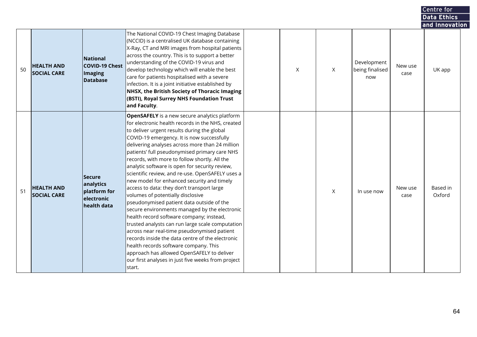|    |                                         |                                                                         |                                                                                                                                                                                                                                                                                                                                                                                                                                                                                                                                                                                                                                                                                                                                                                                                                                                                                                                                                                                                                                                            |   |          |                                       |                 | Centre for               |  |
|----|-----------------------------------------|-------------------------------------------------------------------------|------------------------------------------------------------------------------------------------------------------------------------------------------------------------------------------------------------------------------------------------------------------------------------------------------------------------------------------------------------------------------------------------------------------------------------------------------------------------------------------------------------------------------------------------------------------------------------------------------------------------------------------------------------------------------------------------------------------------------------------------------------------------------------------------------------------------------------------------------------------------------------------------------------------------------------------------------------------------------------------------------------------------------------------------------------|---|----------|---------------------------------------|-----------------|--------------------------|--|
|    |                                         |                                                                         |                                                                                                                                                                                                                                                                                                                                                                                                                                                                                                                                                                                                                                                                                                                                                                                                                                                                                                                                                                                                                                                            |   |          |                                       |                 | Data Ethics              |  |
| 50 | <b>HEALTH AND</b><br><b>SOCIAL CARE</b> | National<br><b>COVID-19 Chest</b><br>Imaging<br>Database                | The National COVID-19 Chest Imaging Database<br>(NCCID) is a centralised UK database containing<br>X-Ray, CT and MRI images from hospital patients<br>across the country. This is to support a better<br>understanding of the COVID-19 virus and<br>develop technology which will enable the best<br>care for patients hospitalised with a severe<br>infection. It is a joint initiative established by<br>NHSX, the British Society of Thoracic Imaging<br>(BSTI), Royal Surrey NHS Foundation Trust<br>and Faculty.                                                                                                                                                                                                                                                                                                                                                                                                                                                                                                                                      | X | X        | Development<br>being finalised<br>now | New use<br>case | and Innovation<br>UK app |  |
| 51 | <b>HEALTH AND</b><br><b>SOCIAL CARE</b> | Secure<br>analytics<br>platform for<br><b>electronic</b><br>health data | <b>OpenSAFELY</b> is a new secure analytics platform<br>for electronic health records in the NHS, created<br>to deliver urgent results during the global<br>COVID-19 emergency. It is now successfully<br>delivering analyses across more than 24 million<br>patients' full pseudonymised primary care NHS<br>records, with more to follow shortly. All the<br>analytic software is open for security review,<br>scientific review, and re-use. OpenSAFELY uses a<br>new model for enhanced security and timely<br>access to data: they don't transport large<br>volumes of potentially disclosive<br>pseudonymised patient data outside of the<br>secure environments managed by the electronic<br>health record software company; instead,<br>trusted analysts can run large scale computation<br>across near real-time pseudonymised patient<br>records inside the data centre of the electronic<br>health records software company. This<br>approach has allowed OpenSAFELY to deliver<br>our first analyses in just five weeks from project<br>start. |   | $\times$ | In use now                            | New use<br>case | Based in<br>Oxford       |  |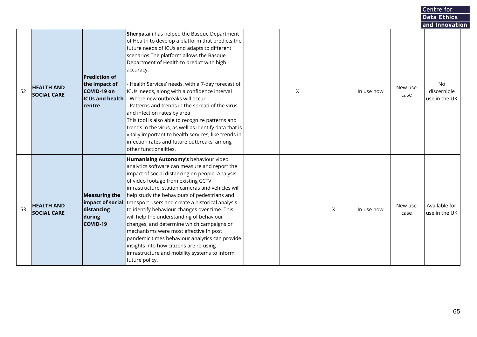|    |                                         |                                                                                           |                                                                                                                                                                                                                                                                                                                                                                                                                                                                                                                                                                                                                                                                                                                                |             |                           |            |                 | Data Ethics                               |  |
|----|-----------------------------------------|-------------------------------------------------------------------------------------------|--------------------------------------------------------------------------------------------------------------------------------------------------------------------------------------------------------------------------------------------------------------------------------------------------------------------------------------------------------------------------------------------------------------------------------------------------------------------------------------------------------------------------------------------------------------------------------------------------------------------------------------------------------------------------------------------------------------------------------|-------------|---------------------------|------------|-----------------|-------------------------------------------|--|
|    |                                         |                                                                                           |                                                                                                                                                                                                                                                                                                                                                                                                                                                                                                                                                                                                                                                                                                                                |             |                           |            |                 | and Innovation                            |  |
| 52 | <b>HEALTH AND</b><br><b>SOCIAL CARE</b> | <b>Prediction of</b><br>the impact of<br>COVID-19 on<br><b>ICUs and health</b><br>lcentre | Sherpa.ai i has helped the Basque Department<br>of Health to develop a platform that predicts the<br>future needs of ICUs and adapts to different<br>scenarios. The platform allows the Basque<br>Department of Health to predict with high<br>accuracy:<br>Health Services' needs, with a 7-day forecast of<br>ICUs' needs, along with a confidence interval<br>Where new outbreaks will occur<br>Patterns and trends in the spread of the virus<br>and infection rates by area<br>This tool is also able to recognize patterns and<br>trends in the virus, as well as identify data that is<br>vitally important to health services, like trends in<br>infection rates and future outbreaks, among<br>other functionalities. | $\mathsf X$ |                           | In use now | New use<br>case | <b>No</b><br>discernible<br>use in the UK |  |
| 53 | <b>HEALTH AND</b><br><b>SOCIAL CARE</b> | <b>Measuring the</b><br>impact of social<br>distancing<br>during<br>COVID-19              | Humanising Autonomy's behaviour video<br>analytics software can measure and report the<br>impact of social distancing on people. Analysis<br>of video footage from existing CCTV<br>infrastructure, station cameras and vehicles will<br>help study the behaviours of pedestrians and<br>transport users and create a historical analysis<br>to identify behaviour changes over time. This<br>will help the understanding of behaviour<br>changes, and determine which campaigns or<br>mechanisms were most effective In post<br>pandemic times behaviour analytics can provide<br>insights into how citizens are re-using<br>infrastructure and mobility systems to inform<br>future policy.                                  |             | $\boldsymbol{\mathsf{X}}$ | In use now | New use<br>case | Available for<br>use in the UK            |  |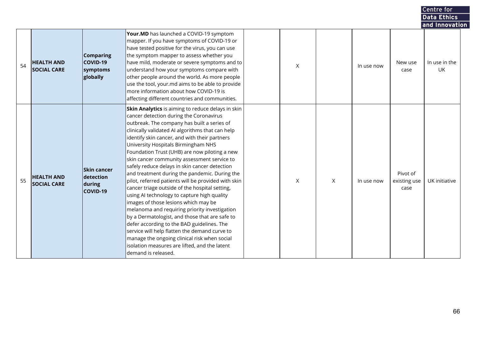|    |                                         |                                                       |                                                                                                                                                                                                                                                                                                                                                                                                                                                                                                                                                                                                                                                                                                                                                                                                                                                                                                                                                                                                                     |   |          |            |                                  | <b>Centre for</b>                     |  |
|----|-----------------------------------------|-------------------------------------------------------|---------------------------------------------------------------------------------------------------------------------------------------------------------------------------------------------------------------------------------------------------------------------------------------------------------------------------------------------------------------------------------------------------------------------------------------------------------------------------------------------------------------------------------------------------------------------------------------------------------------------------------------------------------------------------------------------------------------------------------------------------------------------------------------------------------------------------------------------------------------------------------------------------------------------------------------------------------------------------------------------------------------------|---|----------|------------|----------------------------------|---------------------------------------|--|
|    |                                         |                                                       |                                                                                                                                                                                                                                                                                                                                                                                                                                                                                                                                                                                                                                                                                                                                                                                                                                                                                                                                                                                                                     |   |          |            |                                  | <b>Data Ethics</b>                    |  |
| 54 | <b>HEALTH AND</b><br><b>SOCIAL CARE</b> | <b>Comparing</b><br>COVID-19<br>symptoms<br>globally  | Your.MD has launched a COVID-19 symptom<br>mapper. If you have symptoms of COVID-19 or<br>have tested positive for the virus, you can use<br>the symptom mapper to assess whether you<br>have mild, moderate or severe symptoms and to<br>understand how your symptoms compare with<br>other people around the world. As more people<br>use the tool, your.md aims to be able to provide<br>more information about how COVID-19 is<br>affecting different countries and communities.                                                                                                                                                                                                                                                                                                                                                                                                                                                                                                                                | X |          | In use now | New use<br>case                  | and Innovation<br>In use in the<br>UK |  |
| 55 | <b>HEALTH AND</b><br><b>SOCIAL CARE</b> | <b>Skin cancer</b><br>detection<br>during<br>COVID-19 | Skin Analytics is aiming to reduce delays in skin<br>cancer detection during the Coronavirus<br>outbreak. The company has built a series of<br>clinically validated AI algorithms that can help<br>identify skin cancer, and with their partners<br>University Hospitals Birmingham NHS<br>Foundation Trust (UHB) are now piloting a new<br>skin cancer community assessment service to<br>safely reduce delays in skin cancer detection<br>and treatment during the pandemic. During the<br>pilot, referred patients will be provided with skin<br>cancer triage outside of the hospital setting,<br>using AI technology to capture high quality<br>images of those lesions which may be<br>melanoma and requiring priority investigation<br>by a Dermatologist, and those that are safe to<br>defer according to the BAD guidelines. The<br>service will help flatten the demand curve to<br>manage the ongoing clinical risk when social<br>isolation measures are lifted, and the latent<br>demand is released. | X | $\times$ | In use now | Pivot of<br>existing use<br>case | UK initiative                         |  |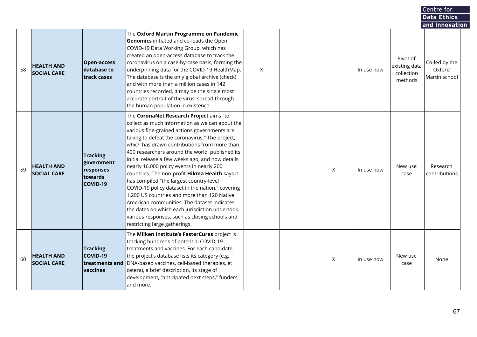|    |                                         |                                                                          |                                                                                                                                                                                                                                                                                                                                                                                                                                                                                                                                                                                                                                                                                                                                                                                       |   |          |            |                                                    | Centre for                                                 |  |
|----|-----------------------------------------|--------------------------------------------------------------------------|---------------------------------------------------------------------------------------------------------------------------------------------------------------------------------------------------------------------------------------------------------------------------------------------------------------------------------------------------------------------------------------------------------------------------------------------------------------------------------------------------------------------------------------------------------------------------------------------------------------------------------------------------------------------------------------------------------------------------------------------------------------------------------------|---|----------|------------|----------------------------------------------------|------------------------------------------------------------|--|
|    |                                         |                                                                          |                                                                                                                                                                                                                                                                                                                                                                                                                                                                                                                                                                                                                                                                                                                                                                                       |   |          |            |                                                    | <b>Data Ethics</b>                                         |  |
| 58 | <b>HEALTH AND</b><br><b>SOCIAL CARE</b> | <b>Open-access</b><br>database to<br>track cases                         | The Oxford Martin Programme on Pandemic<br><b>Genomics</b> initiated and co-leads the Open<br>COVID-19 Data Working Group, which has<br>created an open-access database to track the<br>coronavirus on a case-by-case basis, forming the<br>underpinning data for the COVID-19 HealthMap.<br>The database is the only global archive (check)<br>and with more than a million cases in 142<br>countries recorded, it may be the single most<br>accurate portrait of the virus' spread through<br>the human population in existence.                                                                                                                                                                                                                                                    | X |          | In use now | Pivot of<br>existing data<br>collection<br>methods | and Innovation<br>Co-led by the<br>Oxford<br>Martin school |  |
| 59 | <b>HEALTH AND</b><br><b>SOCIAL CARE</b> | <b>Tracking</b><br>government<br>responses<br>towards<br><b>COVID-19</b> | The CoronaNet Research Project aims "to<br>collect as much information as we can about the<br>various fine-grained actions governments are<br>taking to defeat the coronavirus." The project,<br>which has drawn contributions from more than<br>400 researchers around the world, published its<br>initial release a few weeks ago, and now details<br>nearly 16,000 policy events in nearly 200<br>countries. The non-profit Hikma Health says it<br>has compiled "the largest country-level<br>COVID-19 policy dataset in the nation." covering<br>1,200 US countries and more than 120 Native<br>American communities. The dataset indicates<br>the dates on which each jurisdiction undertook<br>various responses, such as closing schools and<br>restricting large gatherings. |   | $\times$ | In use now | New use<br>case                                    | Research<br>contributions                                  |  |
| 60 | <b>HEALTH AND</b><br><b>SOCIAL CARE</b> | <b>Tracking</b><br><b>COVID-19</b><br>treatments and<br><b>vaccines</b>  | The Milken Institute's FasterCures project is<br>tracking hundreds of potential COVID-19<br>treatments and vaccines. For each candidate,<br>the project's database lists its category (e.g.,<br>DNA-based vaccines, cell-based therapies, et<br>cetera), a brief description, its stage of<br>development, "anticipated next steps," funders,<br>and more.                                                                                                                                                                                                                                                                                                                                                                                                                            |   | X        | In use now | New use<br>case                                    | None                                                       |  |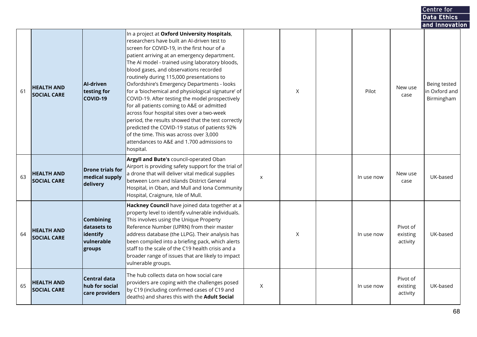|    |                                         |                                                                     |                                                                                                                                                                                                                                                                                                                                                                                                                                                                                                                                                                                                                                                                                                                                                                                                       |   |   |            |                                  | Centre for                                  |  |
|----|-----------------------------------------|---------------------------------------------------------------------|-------------------------------------------------------------------------------------------------------------------------------------------------------------------------------------------------------------------------------------------------------------------------------------------------------------------------------------------------------------------------------------------------------------------------------------------------------------------------------------------------------------------------------------------------------------------------------------------------------------------------------------------------------------------------------------------------------------------------------------------------------------------------------------------------------|---|---|------------|----------------------------------|---------------------------------------------|--|
|    |                                         |                                                                     |                                                                                                                                                                                                                                                                                                                                                                                                                                                                                                                                                                                                                                                                                                                                                                                                       |   |   |            |                                  | Data Ethics                                 |  |
|    |                                         |                                                                     |                                                                                                                                                                                                                                                                                                                                                                                                                                                                                                                                                                                                                                                                                                                                                                                                       |   |   |            |                                  | and Innovation                              |  |
| 61 | <b>HEALTH AND</b><br><b>SOCIAL CARE</b> | <b>AI-driven</b><br>testing for<br>COVID-19                         | In a project at Oxford University Hospitals,<br>researchers have built an AI-driven test to<br>screen for COVID-19, in the first hour of a<br>patient arriving at an emergency department.<br>The AI model - trained using laboratory bloods,<br>blood gases, and observations recorded<br>routinely during 115,000 presentations to<br>Oxfordshire's Emergency Departments - looks<br>for a 'biochemical and physiological signature' of<br>COVID-19. After testing the model prospectively<br>for all patients coming to A&E or admitted<br>across four hospital sites over a two-week<br>period, the results showed that the test correctly<br>predicted the COVID-19 status of patients 92%<br>of the time. This was across over 3,000<br>attendances to A&E and 1.700 admissions to<br>hospital. |   | X | Pilot      | New use<br>case                  | Being tested<br>in Oxford and<br>Birmingham |  |
| 63 | <b>HEALTH AND</b><br><b>SOCIAL CARE</b> | <b>Drone trials for</b><br>medical supply<br>delivery               | Argyll and Bute's council-operated Oban<br>Airport is providing safety support for the trial of<br>a drone that will deliver vital medical supplies<br>between Lorn and Islands District General<br>Hospital, in Oban, and Mull and Iona Community<br>Hospital, Craignure, Isle of Mull.                                                                                                                                                                                                                                                                                                                                                                                                                                                                                                              | X |   | In use now | New use<br>case                  | UK-based                                    |  |
| 64 | <b>HEALTH AND</b><br><b>SOCIAL CARE</b> | <b>Combining</b><br>datasets to<br>identify<br>vulnerable<br>groups | Hackney Council have joined data together at a<br>property level to identify vulnerable individuals.<br>This involves using the Unique Property<br>Reference Number (UPRN) from their master<br>address database (the LLPG). Their analysis has<br>been compiled into a briefing pack, which alerts<br>staff to the scale of the C19 health crisis and a<br>broader range of issues that are likely to impact<br>vulnerable groups.                                                                                                                                                                                                                                                                                                                                                                   |   | Χ | In use now | Pivot of<br>existing<br>activity | UK-based                                    |  |
| 65 | <b>HEALTH AND</b><br><b>SOCIAL CARE</b> | Central data<br>hub for social<br>care providers                    | The hub collects data on how social care<br>providers are coping with the challenges posed<br>by C19 (including confirmed cases of C19 and<br>deaths) and shares this with the <b>Adult Social</b>                                                                                                                                                                                                                                                                                                                                                                                                                                                                                                                                                                                                    | X |   | In use now | Pivot of<br>existing<br>activity | UK-based                                    |  |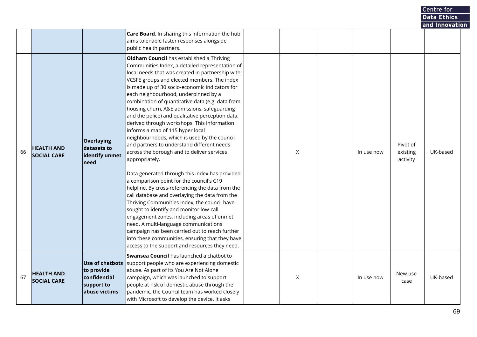|    |                                         |                                                                                     |                                                                                                                                                                                                                                                                                                                                                                                                                                                                                                                                                                                                                                                                                                                                                                                                                                                                                                                                                                                                                                                                                                                                                                                                                                                       |   |            |                                  | Centre for     |  |
|----|-----------------------------------------|-------------------------------------------------------------------------------------|-------------------------------------------------------------------------------------------------------------------------------------------------------------------------------------------------------------------------------------------------------------------------------------------------------------------------------------------------------------------------------------------------------------------------------------------------------------------------------------------------------------------------------------------------------------------------------------------------------------------------------------------------------------------------------------------------------------------------------------------------------------------------------------------------------------------------------------------------------------------------------------------------------------------------------------------------------------------------------------------------------------------------------------------------------------------------------------------------------------------------------------------------------------------------------------------------------------------------------------------------------|---|------------|----------------------------------|----------------|--|
|    |                                         |                                                                                     |                                                                                                                                                                                                                                                                                                                                                                                                                                                                                                                                                                                                                                                                                                                                                                                                                                                                                                                                                                                                                                                                                                                                                                                                                                                       |   |            |                                  | Data Ethics    |  |
|    |                                         |                                                                                     |                                                                                                                                                                                                                                                                                                                                                                                                                                                                                                                                                                                                                                                                                                                                                                                                                                                                                                                                                                                                                                                                                                                                                                                                                                                       |   |            |                                  | and Innovation |  |
|    |                                         |                                                                                     | Care Board. In sharing this information the hub<br>aims to enable faster responses alongside                                                                                                                                                                                                                                                                                                                                                                                                                                                                                                                                                                                                                                                                                                                                                                                                                                                                                                                                                                                                                                                                                                                                                          |   |            |                                  |                |  |
|    |                                         |                                                                                     | public health partners.                                                                                                                                                                                                                                                                                                                                                                                                                                                                                                                                                                                                                                                                                                                                                                                                                                                                                                                                                                                                                                                                                                                                                                                                                               |   |            |                                  |                |  |
| 66 | <b>HEALTH AND</b><br><b>SOCIAL CARE</b> | <b>Overlaying</b><br>datasets to<br>identify unmet<br>need                          | <b>Oldham Council</b> has established a Thriving<br>Communities Index, a detailed representation of<br>local needs that was created in partnership with<br>VCSFE groups and elected members. The index<br>is made up of 30 socio-economic indicators for<br>each neighbourhood, underpinned by a<br>combination of quantitative data (e.g. data from<br>housing churn, A&E admissions, safeguarding<br>and the police) and qualitative perception data,<br>derived through workshops. This information<br>informs a map of 115 hyper local<br>neighbourhoods, which is used by the council<br>and partners to understand different needs<br>across the borough and to deliver services<br>appropriately.<br>Data generated through this index has provided<br>a comparison point for the council's C19<br>helpline. By cross-referencing the data from the<br>call database and overlaying the data from the<br>Thriving Communities Index, the council have<br>sought to identify and monitor low-call<br>engagement zones, including areas of unmet<br>need. A multi-language communications<br>campaign has been carried out to reach further<br>into these communities, ensuring that they have<br>access to the support and resources they need. | X | In use now | Pivot of<br>existing<br>activity | UK-based       |  |
| 67 | <b>HEALTH AND</b><br><b>SOCIAL CARE</b> | <b>Use of chatbots</b><br>to provide<br>confidential<br>support to<br>abuse victims | Swansea Council has launched a chatbot to<br>support people who are experiencing domestic<br>abuse. As part of its You Are Not Alone<br>campaign, which was launched to support<br>people at risk of domestic abuse through the<br>pandemic, the Council team has worked closely<br>with Microsoft to develop the device. It asks                                                                                                                                                                                                                                                                                                                                                                                                                                                                                                                                                                                                                                                                                                                                                                                                                                                                                                                     | X | In use now | New use<br>case                  | UK-based       |  |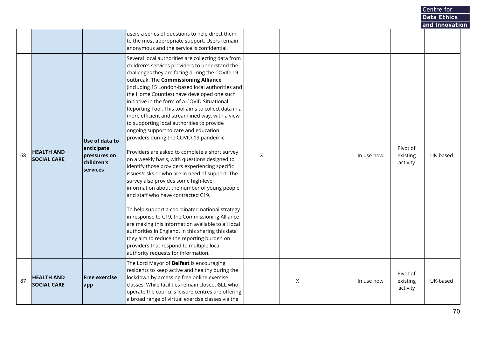|    |                                         |                                                                        |                                                                                                                                                                                                                                                                                                                                                                                                                                                                                                                                                                                                                                                                                                                                                                                                                                                                                                                                                                                                                                                                                                                                                                                                                                                                                       |   |   |            |                                  | Centre for     |  |
|----|-----------------------------------------|------------------------------------------------------------------------|---------------------------------------------------------------------------------------------------------------------------------------------------------------------------------------------------------------------------------------------------------------------------------------------------------------------------------------------------------------------------------------------------------------------------------------------------------------------------------------------------------------------------------------------------------------------------------------------------------------------------------------------------------------------------------------------------------------------------------------------------------------------------------------------------------------------------------------------------------------------------------------------------------------------------------------------------------------------------------------------------------------------------------------------------------------------------------------------------------------------------------------------------------------------------------------------------------------------------------------------------------------------------------------|---|---|------------|----------------------------------|----------------|--|
|    |                                         |                                                                        |                                                                                                                                                                                                                                                                                                                                                                                                                                                                                                                                                                                                                                                                                                                                                                                                                                                                                                                                                                                                                                                                                                                                                                                                                                                                                       |   |   |            |                                  | Data Ethics    |  |
|    |                                         |                                                                        |                                                                                                                                                                                                                                                                                                                                                                                                                                                                                                                                                                                                                                                                                                                                                                                                                                                                                                                                                                                                                                                                                                                                                                                                                                                                                       |   |   |            |                                  | and Innovation |  |
|    |                                         |                                                                        | users a series of questions to help direct them<br>to the most appropriate support. Users remain<br>anonymous and the service is confidential.                                                                                                                                                                                                                                                                                                                                                                                                                                                                                                                                                                                                                                                                                                                                                                                                                                                                                                                                                                                                                                                                                                                                        |   |   |            |                                  |                |  |
| 68 | <b>HEALTH AND</b><br><b>SOCIAL CARE</b> | Use of data to<br>anticipate<br>pressures on<br>children's<br>services | Several local authorities are collecting data from<br>children's services providers to understand the<br>challenges they are facing during the COVID-19<br>outbreak. The Commissioning Alliance<br>(including 15 London-based local authorities and<br>the Home Counties) have developed one such<br>initiative in the form of a COVID Situational<br>Reporting Tool. This tool aims to collect data in a<br>more efficient and streamlined way, with a view<br>to supporting local authorities to provide<br>ongoing support to care and education<br>providers during the COVID-19 pandemic.<br>Providers are asked to complete a short survey<br>on a weekly basis, with questions designed to<br>identify those providers experiencing specific<br>issues/risks or who are in need of support. The<br>survey also provides some high-level<br>information about the number of young people<br>and staff who have contracted C19.<br>To help support a coordinated national strategy<br>in response to C19, the Commissioning Alliance<br>are making this information available to all local<br>authorities in England. In this sharing this data<br>they aim to reduce the reporting burden on<br>providers that respond to multiple local<br>authority requests for information. | X |   | In use now | Pivot of<br>existing<br>activity | UK-based       |  |
| 87 | <b>HEALTH AND</b><br><b>SOCIAL CARE</b> | <b>Free exercise</b><br> app                                           | The Lord Mayor of Belfast is encouraging<br>residents to keep active and healthy during the<br>lockdown by accessing free online exercise<br>classes. While facilities remain closed, GLL who<br>operate the council's leisure centres are offering<br>a broad range of virtual exercise classes via the                                                                                                                                                                                                                                                                                                                                                                                                                                                                                                                                                                                                                                                                                                                                                                                                                                                                                                                                                                              |   | X | In use now | Pivot of<br>existing<br>activity | UK-based       |  |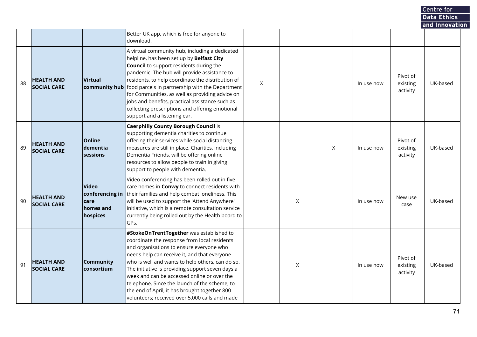|    |                                         |                                                                  |                                                                                                                                                                                                                                                                                                                                                                                                                                                                                                 |   |   |   |            |                                  | Centre for     |  |
|----|-----------------------------------------|------------------------------------------------------------------|-------------------------------------------------------------------------------------------------------------------------------------------------------------------------------------------------------------------------------------------------------------------------------------------------------------------------------------------------------------------------------------------------------------------------------------------------------------------------------------------------|---|---|---|------------|----------------------------------|----------------|--|
|    |                                         |                                                                  |                                                                                                                                                                                                                                                                                                                                                                                                                                                                                                 |   |   |   |            |                                  | Data Ethics    |  |
|    |                                         |                                                                  | Better UK app, which is free for anyone to<br>download.                                                                                                                                                                                                                                                                                                                                                                                                                                         |   |   |   |            |                                  | and Innovation |  |
| 88 | <b>HEALTH AND</b><br><b>SOCIAL CARE</b> | Virtual<br>community hub                                         | A virtual community hub, including a dedicated<br>helpline, has been set up by Belfast City<br><b>Council</b> to support residents during the<br>pandemic. The hub will provide assistance to<br>residents, to help coordinate the distribution of<br>food parcels in partnership with the Department<br>for Communities, as well as providing advice on<br>jobs and benefits, practical assistance such as<br>collecting prescriptions and offering emotional<br>support and a listening ear.  | X |   |   | In use now | Pivot of<br>existing<br>activity | UK-based       |  |
| 89 | <b>HEALTH AND</b><br><b>SOCIAL CARE</b> | Online<br>ldementia<br>sessions                                  | <b>Caerphilly County Borough Council is</b><br>supporting dementia charities to continue<br>offering their services while social distancing<br>measures are still in place. Charities, including<br>Dementia Friends, will be offering online<br>resources to allow people to train in giving<br>support to people with dementia.                                                                                                                                                               |   |   | X | In use now | Pivot of<br>existing<br>activity | UK-based       |  |
| 90 | <b>HEALTH AND</b><br><b>SOCIAL CARE</b> | <b>Video</b><br>conferencing in<br>care<br>homes and<br>hospices | Video conferencing has been rolled out in five<br>care homes in <b>Conwy</b> to connect residents with<br>their families and help combat loneliness. This<br>will be used to support the 'Attend Anywhere'<br>initiative, which is a remote consultation service<br>currently being rolled out by the Health board to<br>GPs.                                                                                                                                                                   |   | Χ |   | In use now | New use<br>case                  | UK-based       |  |
| 91 | <b>HEALTH AND</b><br><b>SOCIAL CARE</b> | <b>Community</b><br>consortium                                   | #StokeOnTrentTogether was established to<br>coordinate the response from local residents<br>and organisations to ensure everyone who<br>needs help can receive it, and that everyone<br>who is well and wants to help others, can do so.<br>The initiative is providing support seven days a<br>week and can be accessed online or over the<br>telephone. Since the launch of the scheme, to<br>the end of April, it has brought together 800<br>volunteers; received over 5,000 calls and made |   | X |   | In use now | Pivot of<br>existing<br>activity | UK-based       |  |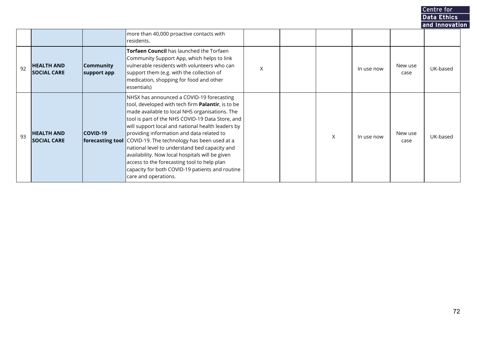and Innovation more than 40,000 proactive contacts with residents. **Torfaen Council** has launched the Torfaen Community Support App, which helps to link **Community** vulnerable residents with volunteers who can <sup>92</sup> **HEALTH AND** x | | | | | | | | | | | | | | | | New use UK-based **SOCIAL CARE support app** support them (e.g. with the collection of case medication, shopping for food and other essentials) NHSX has announced a COVID-19 forecasting tool, developed with tech firm **Palantir**, is to be made available to local NHS organisations. The tool is part of the NHS COVID-19 Data Store, and will support local and national health leaders by <sup>93</sup> **HEALTH AND COVID-19** providing information and data related to  $X$  In use now New use UK-based **SOCIAL CARE forecasting tool** COVID-19. The technology has been used at a case national level to understand bed capacity and availability. Now local hospitals will be given access to the forecasting tool to help plan capacity for both COVID-19 patients and routine care and operations.

Centre for Data Ethics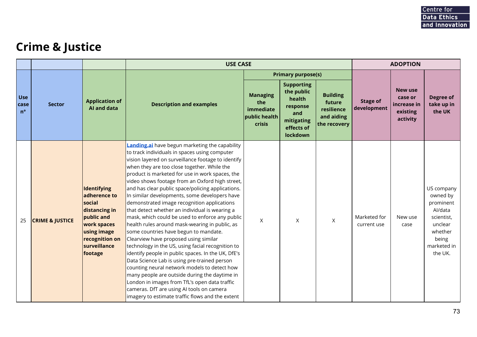# **Crime & Justice**

|                                   |                            |                                                                                                                                                 | <b>USE CASE</b>                                                                                                                                                                                                                                                                                                                                                                                                                                                                                                                                                                                                                                                                                                                                                                                                                                                                                                                                                                                                                                                                                                               |                                                                |                                                                                                      |                                                                       |                                | <b>ADOPTION</b>                                                  |                                                                                                                       |
|-----------------------------------|----------------------------|-------------------------------------------------------------------------------------------------------------------------------------------------|-------------------------------------------------------------------------------------------------------------------------------------------------------------------------------------------------------------------------------------------------------------------------------------------------------------------------------------------------------------------------------------------------------------------------------------------------------------------------------------------------------------------------------------------------------------------------------------------------------------------------------------------------------------------------------------------------------------------------------------------------------------------------------------------------------------------------------------------------------------------------------------------------------------------------------------------------------------------------------------------------------------------------------------------------------------------------------------------------------------------------------|----------------------------------------------------------------|------------------------------------------------------------------------------------------------------|-----------------------------------------------------------------------|--------------------------------|------------------------------------------------------------------|-----------------------------------------------------------------------------------------------------------------------|
|                                   |                            |                                                                                                                                                 |                                                                                                                                                                                                                                                                                                                                                                                                                                                                                                                                                                                                                                                                                                                                                                                                                                                                                                                                                                                                                                                                                                                               |                                                                | <b>Primary purpose(s)</b>                                                                            |                                                                       |                                |                                                                  |                                                                                                                       |
| <b>Use</b><br>case<br>$n^{\circ}$ | <b>Sector</b>              | <b>Application of</b><br>AI and data                                                                                                            | <b>Description and examples</b>                                                                                                                                                                                                                                                                                                                                                                                                                                                                                                                                                                                                                                                                                                                                                                                                                                                                                                                                                                                                                                                                                               | <b>Managing</b><br>the<br>immediate<br>public health<br>crisis | <b>Supporting</b><br>the public<br>health<br>response<br>and<br>mitigating<br>effects of<br>lockdown | <b>Building</b><br>future<br>resilience<br>and aiding<br>the recovery | <b>Stage of</b><br>development | <b>New use</b><br>case or<br>increase in<br>existing<br>activity | <b>Degree of</b><br>take up in<br>the UK                                                                              |
| 25                                | <b>CRIME &amp; JUSTICE</b> | Identifying<br>adherence to<br>social<br>distancing in<br>public and<br>work spaces<br>using image<br>recognition on<br>surveillance<br>footage | <b>Landing.ai</b> have begun marketing the capability<br>to track individuals in spaces using computer<br>vision layered on surveillance footage to identify<br>when they are too close together. While the<br>product is marketed for use in work spaces, the<br>video shows footage from an Oxford high street,<br>and has clear public space/policing applications.<br>In similar developments, some developers have<br>demonstrated image recognition applications<br>that detect whether an individual is wearing a<br>mask, which could be used to enforce any public<br>health rules around mask-wearing in public, as<br>some countries have begun to mandate.<br>Clearview have proposed using similar<br>technology in the US, using facial recognition to<br>identify people in public spaces. In the UK, DfE's<br>Data Science Lab is using pre-trained person<br>counting neural network models to detect how<br>many people are outside during the daytime in<br>London in images from TfL's open data traffic<br>cameras. DfT are using AI tools on camera<br>imagery to estimate traffic flows and the extent | $\mathsf{X}$                                                   | $\mathsf{X}$                                                                                         | $\mathsf{X}$                                                          | Marketed for<br>current use    | New use<br>case                                                  | US company<br>owned by<br>prominent<br>Al/data<br>scientist,<br>unclear<br>whether<br>being<br>marketed in<br>the UK. |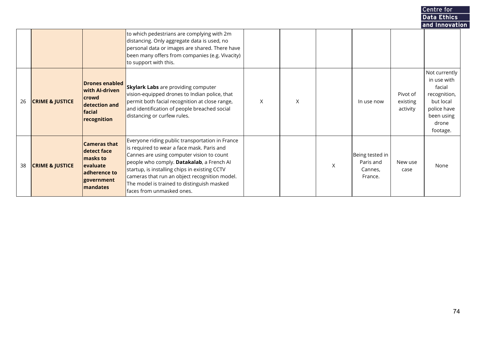|    |                            |                                                                                                               |                                                                                                                                                                                                                                                                                                                                                                      |   |   |   |                                                    |                                  | Centre for                                                                                                            |  |
|----|----------------------------|---------------------------------------------------------------------------------------------------------------|----------------------------------------------------------------------------------------------------------------------------------------------------------------------------------------------------------------------------------------------------------------------------------------------------------------------------------------------------------------------|---|---|---|----------------------------------------------------|----------------------------------|-----------------------------------------------------------------------------------------------------------------------|--|
|    |                            |                                                                                                               |                                                                                                                                                                                                                                                                                                                                                                      |   |   |   |                                                    |                                  | <b>Data Ethics</b>                                                                                                    |  |
|    |                            |                                                                                                               | to which pedestrians are complying with 2m<br>distancing. Only aggregate data is used, no<br>personal data or images are shared. There have<br>been many offers from companies (e.g. Vivacity)<br>to support with this.                                                                                                                                              |   |   |   |                                                    |                                  | and Innovation                                                                                                        |  |
| 26 | <b>CRIME &amp; JUSTICE</b> | <b>Drones enabled</b><br>with Al-driven<br>crowd<br>detection and<br>facial<br>recognition                    | <b>Skylark Labs</b> are providing computer<br>vision-equipped drones to Indian police, that<br>permit both facial recognition at close range,<br>and identification of people breached social<br>distancing or curfew rules.                                                                                                                                         | X | X |   | In use now                                         | Pivot of<br>existing<br>activity | Not currently<br>in use with<br>facial<br>recognition,<br>but local<br>police have<br>been using<br>drone<br>footage. |  |
| 38 | <b>CRIME &amp; JUSTICE</b> | <b>Cameras that</b><br>detect face<br>masks to<br><b>levaluate</b><br>ladherence to<br>government<br>mandates | Everyone riding public transportation in France<br>is required to wear a face mask. Paris and<br>Cannes are using computer vision to count<br>people who comply. Datakalab, a French Al<br>startup, is installing chips in existing CCTV<br>cameras that run an object recognition model.<br>The model is trained to distinguish masked<br>faces from unmasked ones. |   |   | Χ | Being tested in<br>Paris and<br>Cannes.<br>France. | New use<br>case                  | None                                                                                                                  |  |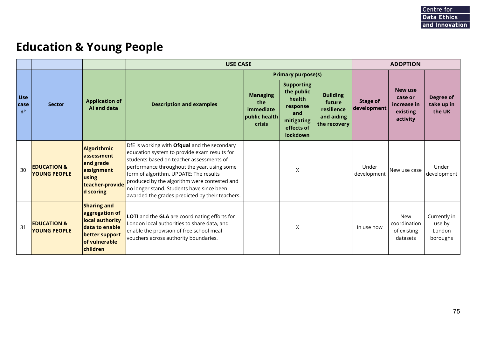### **Education & Young People**

|                                   |                                               |                                                                                                                                        | <b>USE CASE</b>                                                                                                                                                                                                                                                                                                                                                                          |                                                                       |                                                                                                      |                                                                       |                                | <b>ADOPTION</b>                                           |                                              |
|-----------------------------------|-----------------------------------------------|----------------------------------------------------------------------------------------------------------------------------------------|------------------------------------------------------------------------------------------------------------------------------------------------------------------------------------------------------------------------------------------------------------------------------------------------------------------------------------------------------------------------------------------|-----------------------------------------------------------------------|------------------------------------------------------------------------------------------------------|-----------------------------------------------------------------------|--------------------------------|-----------------------------------------------------------|----------------------------------------------|
|                                   |                                               |                                                                                                                                        |                                                                                                                                                                                                                                                                                                                                                                                          |                                                                       | <b>Primary purpose(s)</b>                                                                            |                                                                       |                                |                                                           |                                              |
| <b>Use</b><br>case<br>$n^{\circ}$ | <b>Sector</b>                                 | <b>Application of</b><br>Al and data                                                                                                   | <b>Description and examples</b>                                                                                                                                                                                                                                                                                                                                                          | <b>Managing</b><br>the<br>immediate<br>public health<br><b>crisis</b> | <b>Supporting</b><br>the public<br>health<br>response<br>and<br>mitigating<br>effects of<br>lockdown | <b>Building</b><br>future<br>resilience<br>and aiding<br>the recovery | <b>Stage of</b><br>development | New use<br>case or<br>increase in<br>existing<br>activity | Degree of<br>take up in<br>the UK            |
| 30                                | <b>EDUCATION &amp;</b><br><b>YOUNG PEOPLE</b> | Algorithmic<br>lassessment<br>and grade<br>assignment<br>using<br>teacher-provide<br>d scoring                                         | DfE is working with <b>Ofqual</b> and the secondary<br>education system to provide exam results for<br>students based on teacher assessments of<br>performance throughout the year, using some<br>form of algorithm. UPDATE: The results<br>produced by the algorithm were contested and<br>no longer stand. Students have since been<br>awarded the grades predicted by their teachers. |                                                                       | $\times$                                                                                             |                                                                       | Under<br>development           | New use case                                              | Under<br>development                         |
| 31                                | <b>EDUCATION &amp;</b><br>YOUNG PEOPLE        | <b>Sharing and</b><br>aggregation of<br>local authority<br>data to enable<br>better support<br><b>of vulnerable</b><br><b>children</b> | <b>LOTI</b> and the <b>GLA</b> are coordinating efforts for<br>London local authorities to share data, and<br>enable the provision of free school meal<br>vouchers across authority boundaries.                                                                                                                                                                                          |                                                                       | $\sf X$                                                                                              |                                                                       | In use now                     | New<br>coordination<br>of existing<br>datasets            | Currently in<br>use by<br>London<br>boroughs |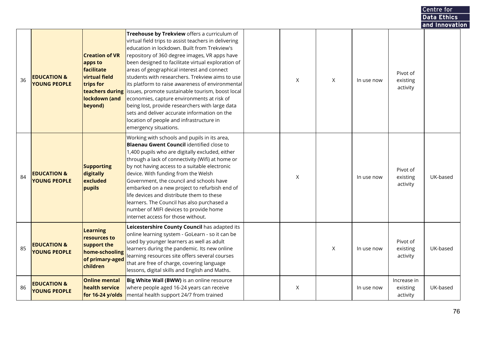|    |                                               |                                                                                                                                    |                                                                                                                                                                                                                                                                                                                                                                                                                                                                                                                                                                                                                                                                                            |             |          |            |                                     | <b>Data Ethics</b><br>and Innovation |  |
|----|-----------------------------------------------|------------------------------------------------------------------------------------------------------------------------------------|--------------------------------------------------------------------------------------------------------------------------------------------------------------------------------------------------------------------------------------------------------------------------------------------------------------------------------------------------------------------------------------------------------------------------------------------------------------------------------------------------------------------------------------------------------------------------------------------------------------------------------------------------------------------------------------------|-------------|----------|------------|-------------------------------------|--------------------------------------|--|
| 36 | <b>EDUCATION &amp;</b><br>YOUNG PEOPLE        | <b>Creation of VR</b><br>apps to<br>facilitate<br><b>virtual field</b><br>trips for<br>teachers during<br>lockdown (and<br>beyond) | Treehouse by Trekview offers a curriculum of<br>virtual field trips to assist teachers in delivering<br>education in lockdown. Built from Trekview's<br>repository of 360 degree images, VR apps have<br>been designed to facilitate virtual exploration of<br>areas of geographical interest and connect<br>students with researchers. Trekview aims to use<br>its platform to raise awareness of environmental<br>issues, promote sustainable tourism, boost local<br>economies, capture environments at risk of<br>being lost, provide researchers with large data<br>sets and deliver accurate information on the<br>location of people and infrastructure in<br>emergency situations. | X           | X        | In use now | Pivot of<br>existing<br>activity    |                                      |  |
| 84 | <b>EDUCATION &amp;</b><br><b>YOUNG PEOPLE</b> | <b>Supporting</b><br>digitally<br>excluded<br>pupils                                                                               | Working with schools and pupils in its area,<br><b>Blaenau Gwent Council</b> identified close to<br>1,400 pupils who are digitally excluded, either<br>through a lack of connectivity (Wifi) at home or<br>by not having access to a suitable electronic<br>device. With funding from the Welsh<br>Government, the council and schools have<br>embarked on a new project to refurbish end of<br>life devices and distribute them to these<br>learners. The Council has also purchased a<br>number of MIFI devices to provide home<br>internet access for those without.                                                                                                                    | $\mathsf X$ |          | In use now | Pivot of<br>existing<br>activity    | UK-based                             |  |
| 85 | <b>EDUCATION &amp;</b><br><b>YOUNG PEOPLE</b> | <b>Learning</b><br>resources to<br>support the<br>home-schooling<br>of primary-aged<br>children                                    | Leicestershire County Council has adapted its<br>online learning system - GoLearn - so it can be<br>used by younger learners as well as adult<br>learners during the pandemic. Its new online<br>learning resources site offers several courses<br>that are free of charge, covering language<br>lessons, digital skills and English and Maths.                                                                                                                                                                                                                                                                                                                                            |             | $\times$ | In use now | Pivot of<br>existing<br>activity    | UK-based                             |  |
| 86 | <b>EDUCATION &amp;</b><br><b>YOUNG PEOPLE</b> | <b>Online mental</b><br>health service<br>for $16-24$ y/olds                                                                       | Big White Wall (BWW) is an online resource<br>where people aged 16-24 years can receive<br>mental health support 24/7 from trained                                                                                                                                                                                                                                                                                                                                                                                                                                                                                                                                                         | X           |          | In use now | Increase in<br>existing<br>activity | UK-based                             |  |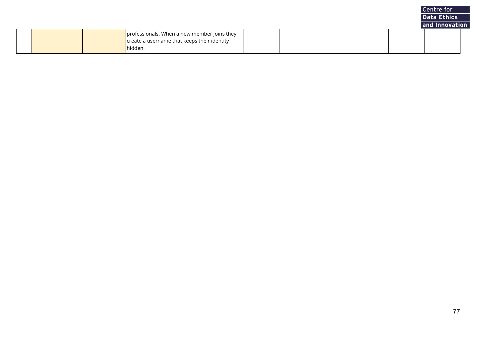|  |                                                                                                                            |  |  | Data Ethics    |
|--|----------------------------------------------------------------------------------------------------------------------------|--|--|----------------|
|  |                                                                                                                            |  |  | and Innovation |
|  | professionals. When a new member joins they<br>$\sqrt{\frac{1}{1}}$ create a username that keeps their identity<br>hidden. |  |  |                |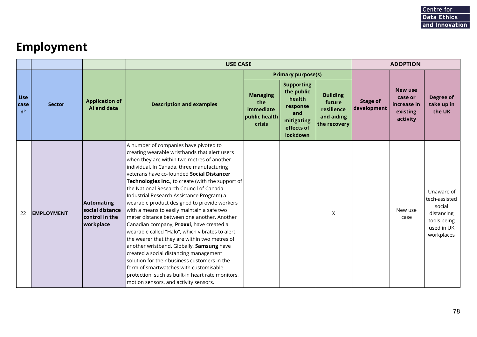## **Employment**

|                                   |                   |                                                              | <b>USE CASE</b>                                                                                                                                                                                                                                                                                                                                                                                                                                                                                                                                                                                                                                                                                                                                                                                                                                                                                                                                          |                                                                |                                                                                                      |                                                                       | <b>ADOPTION</b>                |                                                                  |                                                                                                |
|-----------------------------------|-------------------|--------------------------------------------------------------|----------------------------------------------------------------------------------------------------------------------------------------------------------------------------------------------------------------------------------------------------------------------------------------------------------------------------------------------------------------------------------------------------------------------------------------------------------------------------------------------------------------------------------------------------------------------------------------------------------------------------------------------------------------------------------------------------------------------------------------------------------------------------------------------------------------------------------------------------------------------------------------------------------------------------------------------------------|----------------------------------------------------------------|------------------------------------------------------------------------------------------------------|-----------------------------------------------------------------------|--------------------------------|------------------------------------------------------------------|------------------------------------------------------------------------------------------------|
|                                   |                   |                                                              |                                                                                                                                                                                                                                                                                                                                                                                                                                                                                                                                                                                                                                                                                                                                                                                                                                                                                                                                                          |                                                                | <b>Primary purpose(s)</b>                                                                            |                                                                       |                                |                                                                  |                                                                                                |
| <b>Use</b><br>case<br>$n^{\circ}$ | <b>Sector</b>     | <b>Application of</b><br><b>AI and data</b>                  | <b>Description and examples</b>                                                                                                                                                                                                                                                                                                                                                                                                                                                                                                                                                                                                                                                                                                                                                                                                                                                                                                                          | <b>Managing</b><br>the<br>immediate<br>public health<br>crisis | <b>Supporting</b><br>the public<br>health<br>response<br>and<br>mitigating<br>effects of<br>lockdown | <b>Building</b><br>future<br>resilience<br>and aiding<br>the recovery | <b>Stage of</b><br>development | <b>New use</b><br>case or<br>increase in<br>existing<br>activity | Degree of<br>take up in<br>the UK                                                              |
| 22                                | <b>EMPLOYMENT</b> | Automating<br>social distance<br>control in the<br>workplace | A number of companies have pivoted to<br>creating wearable wristbands that alert users<br>when they are within two metres of another<br>individual. In Canada, three manufacturing<br>veterans have co-founded Social Distancer<br>Technologies Inc., to create (with the support of<br>the National Research Council of Canada<br>Industrial Research Assistance Program) a<br>wearable product designed to provide workers<br>with a means to easily maintain a safe two<br>meter distance between one another. Another<br>Canadian company, Proxxi, have created a<br>wearable called "Halo", which vibrates to alert<br>the wearer that they are within two metres of<br>another wristband. Globally, Samsung have<br>created a social distancing management<br>solution for their business customers in the<br>form of smartwatches with customisable<br>protection, such as built-in heart rate monitors,<br>motion sensors, and activity sensors. |                                                                |                                                                                                      | X                                                                     |                                | New use<br>case                                                  | Unaware of<br>tech-assisted<br>social<br>distancing<br>tools being<br>used in UK<br>workplaces |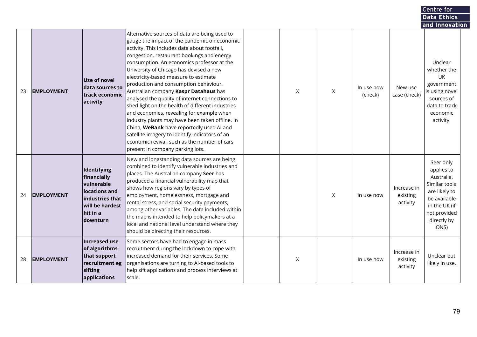|    |                   |                                                                                                                         |                                                                                                                                                                                                                                                                                                                                                                                                                                                                                                                                                                                                                                                                                                                                                                                                           |   |   |                       |                                     | Centre for                                                                                                                                      |  |
|----|-------------------|-------------------------------------------------------------------------------------------------------------------------|-----------------------------------------------------------------------------------------------------------------------------------------------------------------------------------------------------------------------------------------------------------------------------------------------------------------------------------------------------------------------------------------------------------------------------------------------------------------------------------------------------------------------------------------------------------------------------------------------------------------------------------------------------------------------------------------------------------------------------------------------------------------------------------------------------------|---|---|-----------------------|-------------------------------------|-------------------------------------------------------------------------------------------------------------------------------------------------|--|
|    |                   |                                                                                                                         |                                                                                                                                                                                                                                                                                                                                                                                                                                                                                                                                                                                                                                                                                                                                                                                                           |   |   |                       |                                     | Data Ethics                                                                                                                                     |  |
| 23 | <b>EMPLOYMENT</b> | Use of novel<br>data sources to<br>track economic<br>activity                                                           | Alternative sources of data are being used to<br>gauge the impact of the pandemic on economic<br>activity. This includes data about footfall,<br>congestion, restaurant bookings and energy<br>consumption. An economics professor at the<br>University of Chicago has devised a new<br>electricity-based measure to estimate<br>production and consumption behaviour.<br>Australian company Kaspr Datahaus has<br>analysed the quality of internet connections to<br>shed light on the health of different industries<br>and economies, revealing for example when<br>industry plants may have been taken offline. In<br>China, WeBank have reportedly used AI and<br>satellite imagery to identify indicators of an<br>economic revival, such as the number of cars<br>present in company parking lots. | X | X | In use now<br>(check) | New use<br>case (check)             | and Innovation<br>Unclear<br>whether the<br>UK.<br>government<br>is using novel<br>sources of<br>data to track<br>economic<br>activity.         |  |
| 24 | <b>EMPLOYMENT</b> | Identifying<br>financially<br>vulnerable<br>locations and<br>industries that<br>will be hardest<br>hit in a<br>downturn | New and longstanding data sources are being<br>combined to identify vulnerable industries and<br>places. The Australian company Seer has<br>produced a financial vulnerability map that<br>shows how regions vary by types of<br>employment, homelessness, mortgage and<br>rental stress, and social security payments,<br>among other variables. The data included within<br>the map is intended to help policymakers at a<br>local and national level understand where they<br>should be directing their resources.                                                                                                                                                                                                                                                                                     |   | X | in use now            | Increase in<br>existing<br>activity | Seer only<br>applies to<br>Australia.<br>Similar tools<br>are likely to<br>be available<br>in the UK (if<br>not provided<br>directly by<br>ONS) |  |
| 28 | <b>EMPLOYMENT</b> | <b>Increased use</b><br>of algorithms<br>that support<br>recruitment eg<br>sifting<br>applications                      | Some sectors have had to engage in mass<br>recruitment during the lockdown to cope with<br>increased demand for their services. Some<br>organisations are turning to Al-based tools to<br>help sift applications and process interviews at<br>scale.                                                                                                                                                                                                                                                                                                                                                                                                                                                                                                                                                      | X |   | In use now            | Increase in<br>existing<br>activity | Unclear but<br>likely in use.                                                                                                                   |  |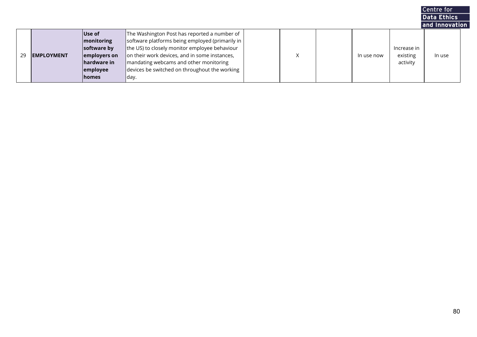|     |                   |               |                                                 |  |            |             | Centre for     |  |
|-----|-------------------|---------------|-------------------------------------------------|--|------------|-------------|----------------|--|
|     |                   |               |                                                 |  |            |             | Data Ethics    |  |
|     |                   |               |                                                 |  |            |             | and Innovation |  |
|     |                   | Use of        | The Washington Post has reported a number of    |  |            |             |                |  |
|     |                   | monitoring    | software platforms being employed (primarily in |  |            |             |                |  |
|     |                   | software by   | the US) to closely monitor employee behaviour   |  |            | Increase in |                |  |
| -29 | <b>EMPLOYMENT</b> | employers on  | on their work devices, and in some instances,   |  | In use now | existing    | In use         |  |
|     |                   | hardware in   | mandating webcams and other monitoring          |  |            | activity    |                |  |
|     |                   | employee      | devices be switched on throughout the working   |  |            |             |                |  |
|     |                   | <b>Ihomes</b> | Iday.                                           |  |            |             |                |  |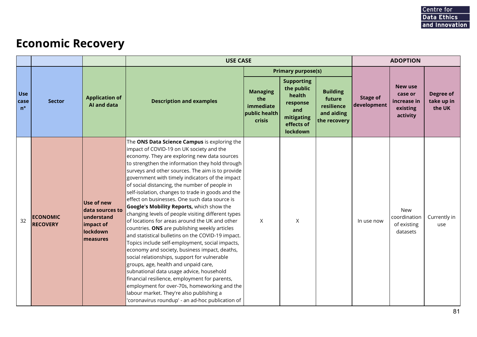#### **Economic Recovery**

|                                   |                                    |                                                                                   | <b>USE CASE</b>                                                                                                                                                                                                                                                                                                                                                                                                                                                                                                                                                                                                                                                                                                                                                                                                                                                                                                                                                                                                                                                                                                                                                      |                                                                |                                                                                                                                   |                                                                       |                                | <b>ADOPTION</b>                                                  |                                   |
|-----------------------------------|------------------------------------|-----------------------------------------------------------------------------------|----------------------------------------------------------------------------------------------------------------------------------------------------------------------------------------------------------------------------------------------------------------------------------------------------------------------------------------------------------------------------------------------------------------------------------------------------------------------------------------------------------------------------------------------------------------------------------------------------------------------------------------------------------------------------------------------------------------------------------------------------------------------------------------------------------------------------------------------------------------------------------------------------------------------------------------------------------------------------------------------------------------------------------------------------------------------------------------------------------------------------------------------------------------------|----------------------------------------------------------------|-----------------------------------------------------------------------------------------------------------------------------------|-----------------------------------------------------------------------|--------------------------------|------------------------------------------------------------------|-----------------------------------|
| <b>Use</b><br>case<br>$n^{\circ}$ | <b>Sector</b>                      | <b>Application of</b><br><b>Al and data</b>                                       | <b>Description and examples</b>                                                                                                                                                                                                                                                                                                                                                                                                                                                                                                                                                                                                                                                                                                                                                                                                                                                                                                                                                                                                                                                                                                                                      | <b>Managing</b><br>the<br>immediate<br>public health<br>crisis | <b>Primary purpose(s)</b><br><b>Supporting</b><br>the public<br>health<br>response<br>and<br>mitigating<br>effects of<br>lockdown | <b>Building</b><br>future<br>resilience<br>and aiding<br>the recovery | <b>Stage of</b><br>development | <b>New use</b><br>case or<br>increase in<br>existing<br>activity | Degree of<br>take up in<br>the UK |
| 32                                | <b>ECONOMIC</b><br><b>RECOVERY</b> | Use of new<br>data sources to<br>lunderstand<br>impact of<br>lockdown<br>measures | The ONS Data Science Campus is exploring the<br>impact of COVID-19 on UK society and the<br>economy. They are exploring new data sources<br>to strengthen the information they hold through<br>surveys and other sources. The aim is to provide<br>government with timely indicators of the impact<br>of social distancing, the number of people in<br>self-isolation, changes to trade in goods and the<br>effect on businesses. One such data source is<br><b>Google's Mobility Reports, which show the</b><br>changing levels of people visiting different types<br>of locations for areas around the UK and other<br>countries. ONS are publishing weekly articles<br>and statistical bulletins on the COVID-19 impact.<br>Topics include self-employment, social impacts,<br>economy and society, business impact, deaths,<br>social relationships, support for vulnerable<br>groups, age, health and unpaid care,<br>subnational data usage advice, household<br>financial resilience, employment for parents,<br>employment for over-70s, homeworking and the<br>labour market. They're also publishing a<br>'coronavirus roundup' - an ad-hoc publication of | $\mathsf{X}$                                                   | X                                                                                                                                 |                                                                       | In use now                     | New<br>coordination<br>of existing<br>datasets                   | Currently in<br>use               |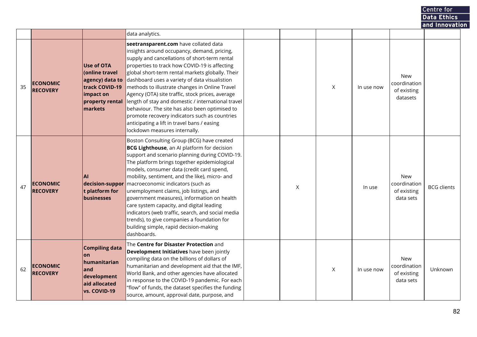and Innovation data analytics. **seetransparent.com** have collated data insights around occupancy, demand, pricing, supply and cancellations of short-term rental **Use of OTA** properties to track how COVID-19 is affecting **(online travel** global short-term rental markets globally. Their New **agency) data to** dashboard uses a variety of data visualistion coordination **ECONOMIC** 35 **track COVID-19** methods to illustrate changes in Online Travel X In use now **RECOVERY** of existing **impact on** Agency (OTA) site traffic, stock prices, average datasets length of stay and domestic / international travel **property rental markets** behaviour. The site has also been optimised to promote recovery indicators such as countries anticipating a lift in travel bans / easing lockdown measures internally. Boston Consulting Group (BCG) have created **BCG Lighthouse**, an AI platform for decision support and scenario planning during COVID-19. The platform brings together epidemiological models, consumer data (credit card spend, **AI** mobility, sentiment, and the like), micro- and New <sup>47</sup> **ECONOMIC decision-suppor** macroeconomic indicators (such as coordination X | In use BCG clients **RECOVERY t platform for** unemployment claims, job listings, and of existing **businesses** government measures), information on health data sets care system capacity, and digital leading indicators (web traffic, search, and social media trends), to give companies a foundation for building simple, rapid decision-making dashboards. The **Centre for Disaster Protection** and **Compiling data Development Initiatives** have been jointly **on** compiling data on the billions of dollars of New **humanitarian** <sup>62</sup> **ECONOMIC** humanitarian and development aid that the IMF, coordination **and**  $X = \int \ln(\sec \theta) \cos \theta$ Unknown World Bank, and other agencies have allocated **RECOVERY** of existing **development** in response to the COVID-19 pandemic. For each data sets **aid allocated** "flow" of funds, the dataset specifies the funding **vs. COVID-19** source, amount, approval date, purpose, and

**Centre for Data Ethics**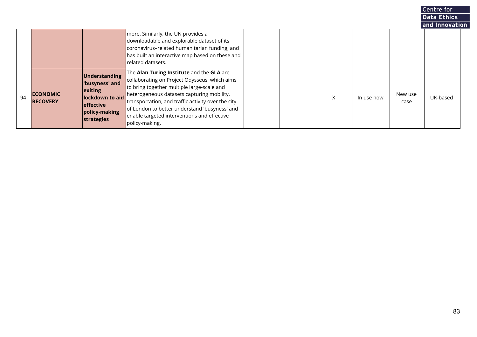|    |                                    |                                                                                                           |                                                                                                                                                                                                                                                                                                                                                                |  |   |            |                 | Data Ethics    |  |
|----|------------------------------------|-----------------------------------------------------------------------------------------------------------|----------------------------------------------------------------------------------------------------------------------------------------------------------------------------------------------------------------------------------------------------------------------------------------------------------------------------------------------------------------|--|---|------------|-----------------|----------------|--|
|    |                                    |                                                                                                           |                                                                                                                                                                                                                                                                                                                                                                |  |   |            |                 | and Innovation |  |
|    |                                    |                                                                                                           | more. Similarly, the UN provides a<br>downloadable and explorable dataset of its<br>coronavirus-related humanitarian funding, and<br>has built an interactive map based on these and<br>related datasets.                                                                                                                                                      |  |   |            |                 |                |  |
| 94 | <b>ECONOMIC</b><br><b>RECOVERY</b> | Understanding<br>'busyness' and<br>exiting<br>lockdown to aid<br>effective<br>policy-making<br>strategies | The Alan Turing Institute and the GLA are<br>collaborating on Project Odysseus, which aims<br>to bring together multiple large-scale and<br>heterogeneous datasets capturing mobility,<br>transportation, and traffic activity over the city<br>of London to better understand 'busyness' and<br>enable targeted interventions and effective<br>policy-making. |  | X | In use now | New use<br>case | UK-based       |  |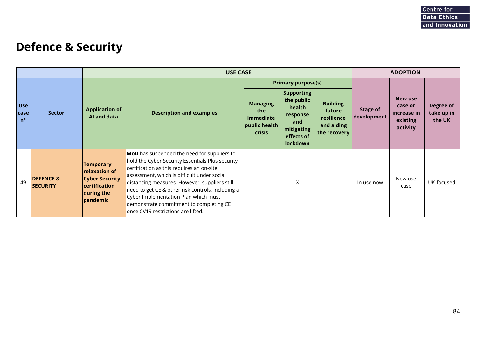#### **Defence & Security**

|                                   |                                         |                                                                                                       |                                                                                                                                                                                                                                                                                                                                                                                                                                    | <b>USE CASE</b>                                                              |                                                                                                                    |                                                                       |                                | <b>ADOPTION</b>                                                  |                                   |
|-----------------------------------|-----------------------------------------|-------------------------------------------------------------------------------------------------------|------------------------------------------------------------------------------------------------------------------------------------------------------------------------------------------------------------------------------------------------------------------------------------------------------------------------------------------------------------------------------------------------------------------------------------|------------------------------------------------------------------------------|--------------------------------------------------------------------------------------------------------------------|-----------------------------------------------------------------------|--------------------------------|------------------------------------------------------------------|-----------------------------------|
|                                   |                                         |                                                                                                       |                                                                                                                                                                                                                                                                                                                                                                                                                                    |                                                                              | <b>Primary purpose(s)</b>                                                                                          |                                                                       |                                |                                                                  |                                   |
| <b>Use</b><br>case<br>$n^{\circ}$ | <b>Sector</b>                           | <b>Application of</b><br>Al and data                                                                  | <b>Description and examples</b>                                                                                                                                                                                                                                                                                                                                                                                                    | <b>Managing</b><br>the<br><b>immediate</b><br>public health<br><b>crisis</b> | <b>Supporting</b><br>the public<br><b>health</b><br>response<br>and<br>mitigating<br>effects of<br><b>lockdown</b> | <b>Building</b><br>future<br>resilience<br>and aiding<br>the recovery | <b>Stage of</b><br>development | <b>New use</b><br>case or<br>increase in<br>existing<br>activity | Degree of<br>take up in<br>the UK |
| 49                                | <b>DEFENCE &amp;</b><br><b>SECURITY</b> | Temporary<br><b>relaxation of</b><br><b>Cyber Security</b><br>certification<br>during the<br>pandemic | <b>MoD</b> has suspended the need for suppliers to<br>hold the Cyber Security Essentials Plus security<br>certification as this requires an on-site<br>assessment, which is difficult under social<br>distancing measures. However, suppliers still<br>need to get CE & other risk controls, including a<br>Cyber Implementation Plan which must<br>demonstrate commitment to completing CE+<br>once CV19 restrictions are lifted. |                                                                              | X                                                                                                                  |                                                                       | In use now                     | New use<br>case                                                  | UK-focused                        |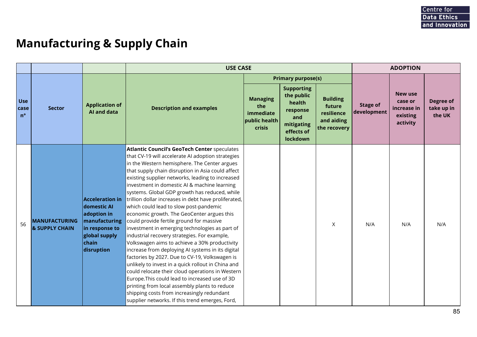## **Manufacturing & Supply Chain**

|                                   |                                        |                                                                                                                                 | <b>USE CASE</b>                                                                                                                                                                                                                                                                                                                                                                                                                                                                                                                                                                                                                                                                                                                                                                                                                                                                                                                                                                                                                                                                                                                        |                                                                |                                                                                                      |                                                                       |                                | <b>ADOPTION</b>                                                  |                                   |
|-----------------------------------|----------------------------------------|---------------------------------------------------------------------------------------------------------------------------------|----------------------------------------------------------------------------------------------------------------------------------------------------------------------------------------------------------------------------------------------------------------------------------------------------------------------------------------------------------------------------------------------------------------------------------------------------------------------------------------------------------------------------------------------------------------------------------------------------------------------------------------------------------------------------------------------------------------------------------------------------------------------------------------------------------------------------------------------------------------------------------------------------------------------------------------------------------------------------------------------------------------------------------------------------------------------------------------------------------------------------------------|----------------------------------------------------------------|------------------------------------------------------------------------------------------------------|-----------------------------------------------------------------------|--------------------------------|------------------------------------------------------------------|-----------------------------------|
|                                   |                                        |                                                                                                                                 |                                                                                                                                                                                                                                                                                                                                                                                                                                                                                                                                                                                                                                                                                                                                                                                                                                                                                                                                                                                                                                                                                                                                        |                                                                | <b>Primary purpose(s)</b>                                                                            |                                                                       |                                |                                                                  |                                   |
| <b>Use</b><br>case<br>$n^{\circ}$ | <b>Sector</b>                          | <b>Application of</b><br>AI and data                                                                                            | <b>Description and examples</b>                                                                                                                                                                                                                                                                                                                                                                                                                                                                                                                                                                                                                                                                                                                                                                                                                                                                                                                                                                                                                                                                                                        | <b>Managing</b><br>the<br>immediate<br>public health<br>crisis | <b>Supporting</b><br>the public<br>health<br>response<br>and<br>mitigating<br>effects of<br>lockdown | <b>Building</b><br>future<br>resilience<br>and aiding<br>the recovery | <b>Stage of</b><br>development | <b>New use</b><br>case or<br>increase in<br>existing<br>activity | Degree of<br>take up in<br>the UK |
| 56                                | <b>MANUFACTURING</b><br>& SUPPLY CHAIN | <b>Acceleration in</b><br>domestic Al<br>adoption in<br>manufacturing<br>in response to<br>global supply<br>chain<br>disruption | <b>Atlantic Council's GeoTech Center</b> speculates<br>that CV-19 will accelerate AI adoption strategies<br>in the Western hemisphere. The Center argues<br>that supply chain disruption in Asia could affect<br>existing supplier networks, leading to increased<br>investment in domestic AI & machine learning<br>systems. Global GDP growth has reduced, while<br>trillion dollar increases in debt have proliferated,<br>which could lead to slow post-pandemic<br>economic growth. The GeoCenter argues this<br>could provide fertile ground for massive<br>investment in emerging technologies as part of<br>industrial recovery strategies. For example,<br>Volkswagen aims to achieve a 30% productivity<br>increase from deploying AI systems in its digital<br>factories by 2027. Due to CV-19, Volkswagen is<br>unlikely to invest in a quick rollout in China and<br>could relocate their cloud operations in Western<br>Europe. This could lead to increased use of 3D<br>printing from local assembly plants to reduce<br>shipping costs from increasingly redundant<br>supplier networks. If this trend emerges, Ford, |                                                                |                                                                                                      | $\sf X$                                                               | N/A                            | N/A                                                              | N/A                               |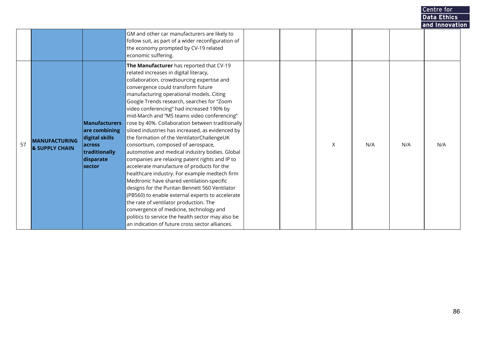|    |                                        |                                                                                                                   |                                                                                                                                                                                                                                                                                                                                                                                                                                                                                                                                                                                                                                                                                                                                                                                                                                                                                                                                                                                                                                                                                                              |              |     |     | Data Ethics    |  |
|----|----------------------------------------|-------------------------------------------------------------------------------------------------------------------|--------------------------------------------------------------------------------------------------------------------------------------------------------------------------------------------------------------------------------------------------------------------------------------------------------------------------------------------------------------------------------------------------------------------------------------------------------------------------------------------------------------------------------------------------------------------------------------------------------------------------------------------------------------------------------------------------------------------------------------------------------------------------------------------------------------------------------------------------------------------------------------------------------------------------------------------------------------------------------------------------------------------------------------------------------------------------------------------------------------|--------------|-----|-----|----------------|--|
|    |                                        |                                                                                                                   |                                                                                                                                                                                                                                                                                                                                                                                                                                                                                                                                                                                                                                                                                                                                                                                                                                                                                                                                                                                                                                                                                                              |              |     |     | and Innovation |  |
|    |                                        |                                                                                                                   | GM and other car manufacturers are likely to<br>follow suit, as part of a wider reconfiguration of<br>the economy prompted by CV-19 related<br>economic suffering.                                                                                                                                                                                                                                                                                                                                                                                                                                                                                                                                                                                                                                                                                                                                                                                                                                                                                                                                           |              |     |     |                |  |
| 57 | <b>MANUFACTURING</b><br>& SUPPLY CHAIN | <b>Manufacturers</b><br>are combining<br>digital skills<br>lacross<br>traditionally<br>disparate<br><b>sector</b> | The Manufacturer has reported that CV-19<br>related increases in digital literacy,<br>collaboration, crowdsourcing expertise and<br>convergence could transform future<br>manufacturing operational models. Citing<br>Google Trends research, searches for "Zoom<br>video conferencing" had increased 190% by<br>mid-March and "MS teams video conferencing"<br>rose by 40%. Collaboration between traditionally<br>siloed industries has increased, as evidenced by<br>the formation of the VentilatorChallengeUK<br>consortium, composed of aerospace,<br>automotive and medical industry bodies. Global<br>companies are relaxing patent rights and IP to<br>accelerate manufacture of products for the<br>healthcare industry. For example medtech firm<br>Medtronic have shared ventilation-specific<br>designs for the Puritan Bennett 560 Ventilator<br>(PB560) to enable external experts to accelerate<br>the rate of ventilator production. The<br>convergence of medicine, technology and<br>politics to service the health sector may also be<br>an indication of future cross sector alliances. | $\mathsf{X}$ | N/A | N/A | N/A            |  |